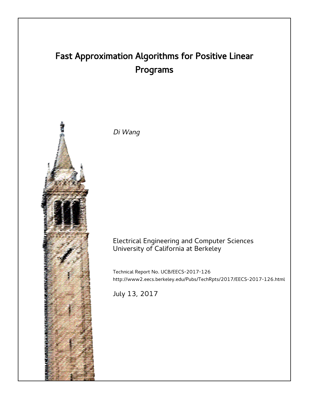# Fast Approximation Algorithms for Positive Linear Programs



Di Wang

## Electrical Engineering and Computer Sciences University of California at Berkeley

Technical Report No. UCB/EECS-2017-126 http://www2.eecs.berkeley.edu/Pubs/TechRpts/2017/EECS-2017-126.html

July 13, 2017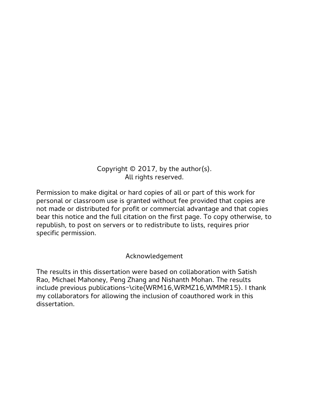Copyright  $\odot$  2017, by the author(s). All rights reserved.

Permission to make digital or hard copies of all or part of this work for personal or classroom use is granted without fee provided that copies are not made or distributed for profit or commercial advantage and that copies bear this notice and the full citation on the first page. To copy otherwise, to republish, to post on servers or to redistribute to lists, requires prior specific permission.

Acknowledgement

The results in this dissertation were based on collaboration with Satish Rao, Michael Mahoney, Peng Zhang and Nishanth Mohan. The results include previous publications~\cite{WRM16,WRMZ16,WMMR15}. I thank my collaborators for allowing the inclusion of coauthored work in this dissertation.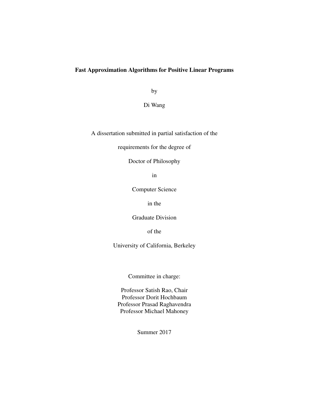### Fast Approximation Algorithms for Positive Linear Programs

by

Di Wang

A dissertation submitted in partial satisfaction of the

requirements for the degree of

Doctor of Philosophy

in

Computer Science

in the

Graduate Division

of the

University of California, Berkeley

Committee in charge:

Professor Satish Rao, Chair Professor Dorit Hochbaum Professor Prasad Raghavendra Professor Michael Mahoney

Summer 2017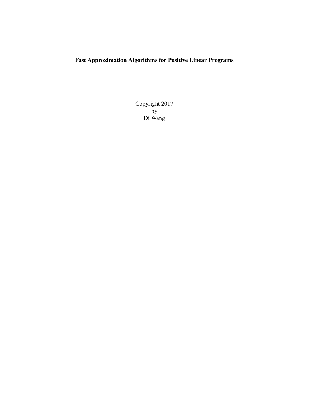# Fast Approximation Algorithms for Positive Linear Programs

Copyright 2017 by Di Wang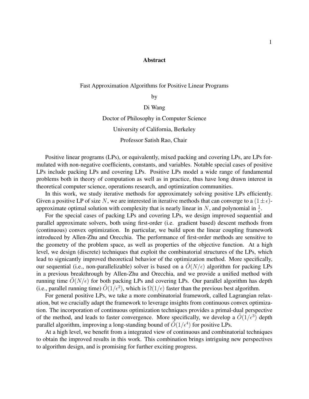#### Abstract

#### Fast Approximation Algorithms for Positive Linear Programs

by

### Di Wang

#### Doctor of Philosophy in Computer Science

#### University of California, Berkeley

#### Professor Satish Rao, Chair

Positive linear programs (LPs), or equivalently, mixed packing and covering LPs, are LPs formulated with non-negative coefficients, constants, and variables. Notable special cases of positive LPs include packing LPs and covering LPs. Positive LPs model a wide range of fundamental problems both in theory of computation as well as in practice, thus have long drawn interest in theoretical computer science, operations research, and optimization communities.

In this work, we study iterative methods for approximately solving positive LPs efficiently. Given a positive LP of size N, we are interested in iterative methods that can converge to a  $(1 \pm \epsilon)$ approximate optimal solution with complexity that is nearly linear in N, and polynomial in  $\frac{1}{\epsilon}$ .

For the special cases of packing LPs and covering LPs, we design improved sequential and parallel approximate solvers, both using first-order (i.e. gradient based) descent methods from (continuous) convex optimization. In particular, we build upon the linear coupling framework introduced by Allen-Zhu and Orecchia. The performance of first-order methods are sensitive to the geometry of the problem space, as well as properties of the objective function. At a high level, we design (discrete) techniques that exploit the combinatorial structures of the LPs, which lead to signicantly improved theoretical behavior of the optimization method. More specifically, our sequential (i.e., non-parallelizable) solver is based on a  $\tilde{O}(N/\epsilon)$  algorithm for packing LPs in a previous breakthrough by Allen-Zhu and Orecchia, and we provide a unified method with running time  $\tilde{O}(N/\epsilon)$  for both packing LPs and covering LPs. Our parallel algorithm has depth (i.e., parallel running time)  $\tilde{O}(1/\epsilon^2)$ , which is  $\Omega(1/\epsilon)$  faster than the previous best algorithm.

For general positive LPs, we take a more combinatorial framework, called Lagrangian relaxation, but we crucially adapt the framework to leverage insights from continuous convex optimization. The incorporation of continuous optimization techniques provides a primal-dual perspective of the method, and leads to faster convergence. More specifically, we develop a  $\tilde{O}(1/\epsilon^3)$  depth parallel algorithm, improving a long-standing bound of  $\tilde{O}(1/\epsilon^4)$  for positive LPs.

At a high level, we benefit from a integrated view of continuous and combinatorial techniques to obtain the improved results in this work. This combination brings intriguing new perspectives to algorithm design, and is promising for further exciting progress.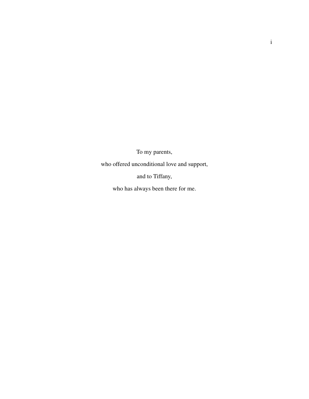To my parents,

who offered unconditional love and support,

and to Tiffany,

who has always been there for me.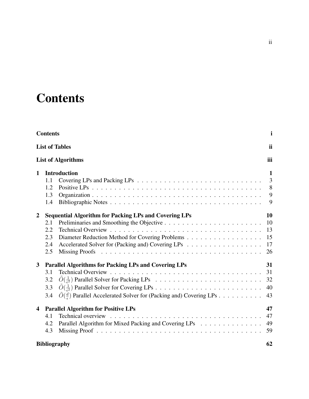# **Contents**

| <b>Contents</b>         |                                                                                     | i       |
|-------------------------|-------------------------------------------------------------------------------------|---------|
|                         | <b>List of Tables</b>                                                               | ii      |
|                         | <b>List of Algorithms</b>                                                           | iii     |
| $\mathbf{1}$            | <b>Introduction</b>                                                                 | 1       |
| 1.1                     |                                                                                     | 3       |
| 1.2                     |                                                                                     | $\,8\,$ |
| 1.3                     |                                                                                     | 9       |
| 1.4                     |                                                                                     | 9       |
| $\overline{2}$          | <b>Sequential Algorithm for Packing LPs and Covering LPs</b>                        | 10      |
| 2.1                     |                                                                                     | 10      |
| 2.2                     |                                                                                     | 13      |
| 2.3                     | Diameter Reduction Method for Covering Problems                                     | 15      |
| 2.4                     | Accelerated Solver for (Packing and) Covering LPs                                   | 17      |
| 2.5                     |                                                                                     | 26      |
| $\mathbf{3}$            | <b>Parallel Algorithms for Packing LPs and Covering LPs</b>                         | 31      |
| 3.1                     |                                                                                     | 31      |
| 3.2                     |                                                                                     | 32      |
| 3.3                     |                                                                                     | 40      |
| 3.4                     | $\tilde{O}(\frac{d}{e})$ Parallel Accelerated Solver for (Packing and) Covering LPs | 43      |
| $\overline{\mathbf{4}}$ | <b>Parallel Algorithm for Positive LPs</b>                                          | 47      |
| 4.1                     |                                                                                     | 47      |
| 4.2                     | Parallel Algorithm for Mixed Packing and Covering LPs                               | 49      |
| 4.3                     |                                                                                     | 59      |
|                         | <b>Bibliography</b>                                                                 | 62      |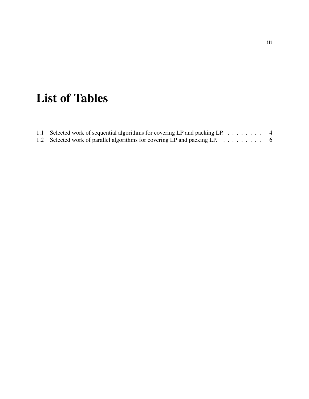# List of Tables

| 1.1 Selected work of sequential algorithms for covering LP and packing LP. $\dots \dots$ |  |
|------------------------------------------------------------------------------------------|--|
| 1.2 Selected work of parallel algorithms for covering LP and packing LP. 6               |  |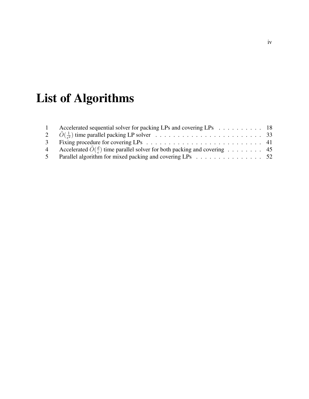# List of Algorithms

|                | Accelerated sequential solver for packing LPs and covering LPs 18                                 |  |
|----------------|---------------------------------------------------------------------------------------------------|--|
|                |                                                                                                   |  |
|                |                                                                                                   |  |
| $\overline{4}$ | Accelerated $\tilde{O}(\frac{d}{\epsilon})$ time parallel solver for both packing and covering 45 |  |
|                | Parallel algorithm for mixed packing and covering LPs 52                                          |  |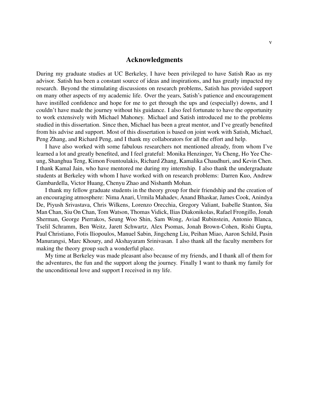### Acknowledgments

During my graduate studies at UC Berkeley, I have been privileged to have Satish Rao as my advisor. Satish has been a constant source of ideas and inspirations, and has greatly impacted my research. Beyond the stimulating discussions on research problems, Satish has provided support on many other aspects of my academic life. Over the years, Satish's patience and encouragement have instilled confidence and hope for me to get through the ups and (especially) downs, and I couldn't have made the journey without his guidance. I also feel fortunate to have the opportunity to work extensively with Michael Mahoney. Michael and Satish introduced me to the problems studied in this dissertation. Since then, Michael has been a great mentor, and I've greatly benefited from his advise and support. Most of this dissertation is based on joint work with Satish, Michael, Peng Zhang, and Richard Peng, and I thank my collaborators for all the effort and help.

I have also worked with some fabulous researchers not mentioned already, from whom I've learned a lot and greatly benefited, and I feel grateful: Monika Henzinger, Yu Cheng, Ho Yee Cheung, Shanghua Teng, Kimon Fountoulakis, Richard Zhang, Kamalika Chaudhuri, and Kevin Chen. I thank Kamal Jain, who have mentored me during my internship. I also thank the undergraduate students at Berkeley with whom I have worked with on research problems: Darren Kuo, Andrew Gambardella, Victor Huang, Chenyu Zhao and Nishanth Mohan.

I thank my fellow graduate students in the theory group for their friendship and the creation of an encouraging atmosphere: Nima Anari, Urmila Mahadev, Anand Bhaskar, James Cook, Anindya De, Piyush Srivastava, Chris Wilkens, Lorenzo Orecchia, Gregory Valiant, Isabelle Stanton, Siu Man Chan, Siu On Chan, Tom Watson, Thomas Vidick, Ilias Diakonikolas, Rafael Frongillo, Jonah Sherman, George Pierrakos, Seung Woo Shin, Sam Wong, Aviad Rubinstein, Antonio Blanca, Tselil Schramm, Ben Weitz, Jarett Schwartz, Alex Psomas, Jonah Brown-Cohen, Rishi Gupta, Paul Christiano, Fotis Iliopoulos, Manuel Sabin, Jingcheng Liu, Peihan Miao, Aaron Schild, Pasin Manurangsi, Marc Khoury, and Akshayaram Srinivasan. I also thank all the faculty members for making the theory group such a wonderful place.

My time at Berkeley was made pleasant also because of my friends, and I thank all of them for the adventures, the fun and the support along the journey. Finally I want to thank my family for the unconditional love and support I received in my life.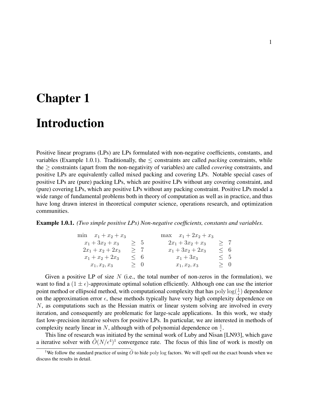# Chapter 1

# Introduction

Positive linear programs (LPs) are LPs formulated with non-negative coefficients, constants, and variables (Example 1.0.1). Traditionally, the ≤ constraints are called *packing* constraints, while the ≥ constraints (apart from the non-negativity of variables) are called *covering* constraints, and positive LPs are equivalently called mixed packing and covering LPs. Notable special cases of positive LPs are (pure) packing LPs, which are positive LPs without any covering constraint, and (pure) covering LPs, which are positive LPs without any packing constraint. Positive LPs model a wide range of fundamental problems both in theory of computation as well as in practice, and thus have long drawn interest in theoretical computer science, operations research, and optimization communities.

#### Example 1.0.1. *(Two simple positive LPs) Non-negative coefficients, constants and variables.*

| min $x_1 + x_2 + x_3$ |          | $\max \quad x_1 + 2x_2 + x_3$ |          |  |
|-----------------------|----------|-------------------------------|----------|--|
| $x_1 + 3x_2 + x_3$    | > 5      | $2x_1 + 3x_2 + x_3$           | >7       |  |
| $2x_1 + x_2 + 2x_3$   | >7       | $x_1 + 3x_2 + 2x_3$           | $\leq$ 6 |  |
| $x_1 + x_2 + 2x_3$    | $\leq 6$ | $x_1 + 3x_3$                  | $\leq 5$ |  |
| $x_1, x_2, x_3$       | > 0      | $x_1, x_2, x_3$               | > 0      |  |

Given a positive LP of size  $N$  (i.e., the total number of non-zeros in the formulation), we want to find a  $(1 \pm \epsilon)$ -approximate optimal solution efficiently. Although one can use the interior point method or ellipsoid method, with computational complexity that has  $\text{poly}\log(\frac{1}{\epsilon})$  dependence on the approximation error  $\epsilon$ , these methods typically have very high complexity dependence on  $N$ , as computations such as the Hessian matrix or linear system solving are involved in every iteration, and consequently are problematic for large-scale applications. In this work, we study fast low-precision iterative solvers for positive LPs. In particular, we are interested in methods of complexity nearly linear in N, although with of polynomial dependence on  $\frac{1}{\epsilon}$ .

This line of research was initiated by the seminal work of Luby and Nisan [LN93], which gave a iterative solver with  $\tilde{O}(N/\epsilon^4)^1$  convergence rate. The focus of this line of work is mostly on

<sup>&</sup>lt;sup>1</sup>We follow the standard practice of using  $\tilde{O}$  to hide poly log factors. We will spell out the exact bounds when we discuss the results in detail.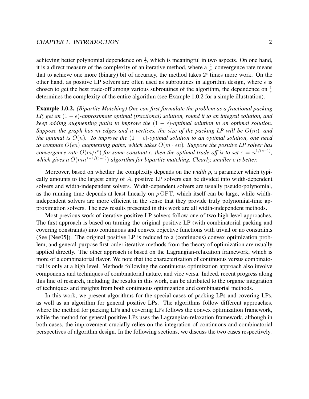achieving better polynomial dependence on  $\frac{1}{\epsilon}$ , which is meaningful in two aspects. On one hand, it is a direct measure of the complexity of an iterative method, where a  $\frac{1}{e^c}$  convergence rate means that to achieve one more (binary) bit of accuracy, the method takes  $2<sup>c</sup>$  times more work. On the other hand, as positive LP solvers are often used as subroutines in algorithm design, where  $\epsilon$  is chosen to get the best trade-off among various subroutines of the algorithm, the dependence on  $\frac{1}{\epsilon}$ determines the complexity of the entire algorithm (see Example 1.0.2 for a simple illustration).

Example 1.0.2. *(Bipartite Matching) One can first formulate the problem as a fractional packing LP, get an*  $(1 - \epsilon)$ -approximate optimal (fractional) solution, round it to an integral solution, and *keep adding augmenting paths to improve the*  $(1 - \epsilon)$ -optimal solution to an optimal solution. *Suppose the graph has* m *edges and* n *vertices, the size of the packing LP will be* O(m)*, and the optimal is*  $O(n)$ *. To improve the*  $(1 - \epsilon)$ -optimal solution to an optimal solution, one need *to compute*  $O(\epsilon n)$  *augmenting paths, which takes*  $O(m \cdot \epsilon n)$ *. Suppose the positive LP solver has convergence rate*  $\tilde{O}(m/\epsilon^c)$  *for some constant c, then the optimal trade-off is to set*  $\epsilon = n^{1/(c+1)}$ *, which gives a*  $\tilde{O}(mn^{1-1/(c+1)})$  *algorithm for bipartite matching. Clearly, smaller* c *is better.* 

Moreover, based on whether the complexity depends on the *width*  $\rho$ , a parameter which typically amounts to the largest entry of A, positive LP solvers can be divided into width-dependent solvers and width-independent solvers. Width-dependent solvers are usually pseudo-polynomial, as the running time depends at least linearly on  $\rho$  OPT, which itself can be large, while widthindependent solvers are more efficient in the sense that they provide truly polynomial-time approximation solvers. The new results presented in this work are all width-independent methods.

Most previous work of iterative positive LP solvers follow one of two high-level approaches. The first approach is based on turning the original positive LP (with combinatorial packing and covering constraints) into continuous and convex objective functions with trivial or no constraints (See [Nes05]). The original positive LP is reduced to a (continuous) convex optimization problem, and general-purpose first-order iterative methods from the theory of optimization are usually applied directly. The other approach is based on the Lagrangian-relaxation framework, which is more of a combinatorial flavor. We note that the characterization of continuous versus combinatorial is only at a high level. Methods following the continuous optimization approach also involve components and techniques of combinatorial nature, and vice versa. Indeed, recent progress along this line of research, including the results in this work, can be attributed to the organic integration of techniques and insights from both continuous optimization and combinatorial methods.

In this work, we present algorithms for the special cases of packing LPs and covering LPs, as well as an algorithm for general positive LPs. The algorithms follow different approaches, where the method for packing LPs and covering LPs follows the convex optimization framework, while the method for general positive LPs uses the Lagrangian-relaxation framework, although in both cases, the improvement crucially relies on the integration of continuous and combinatorial perspectives of algorithm design. In the following sections, we discuss the two cases respectively.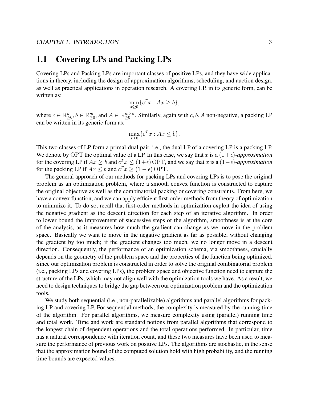# 1.1 Covering LPs and Packing LPs

Covering LPs and Packing LPs are important classes of positive LPs, and they have wide applications in theory, including the design of approximation algorithms, scheduling, and auction design, as well as practical applications in operation research. A covering LP, in its generic form, can be written as:

$$
\min_{x\geq 0} \{c^T x : Ax \geq b\},\
$$

where  $c \in \mathbb{R}_{\geq 0}^n$ ,  $b \in \mathbb{R}_{\geq 0}^m$ , and  $A \in \mathbb{R}_{\geq 0}^{m \times n}$  $_{\geq 0}^{m \times n}$ . Similarly, again with c, b, A non-negative, a packing LP can be written in its generic form as:

$$
\max_{x\geq 0} \{c^T x : Ax \leq b\}.
$$

This two classes of LP form a primal-dual pair, i.e., the dual LP of a covering LP is a packing LP. We denote by OPT the optimal value of a LP. In this case, we say that x is a  $(1+\epsilon)$ -approximation for the covering LP if  $Ax \geq b$  and  $c^T x \leq (1+\epsilon)$  OPT, and we say that x is a  $(1-\epsilon)$ -approximation for the packing LP if  $Ax \leq b$  and  $c^T x \geq (1 - \epsilon)$  OPT.

The general approach of our methods for packing LPs and covering LPs is to pose the original problem as an optimization problem, where a smooth convex function is constructed to capture the original objective as well as the combinatorial packing or covering constraints. From here, we have a convex function, and we can apply efficient first-order methods from theory of optimization to minimize it. To do so, recall that first-order methods in optimization exploit the idea of using the negative gradient as the descent direction for each step of an iterative algorithm. In order to lower bound the improvement of successive steps of the algorithm, smoothness is at the core of the analysis, as it measures how much the gradient can change as we move in the problem space. Basically we want to move in the negative gradient as far as possible, without changing the gradient by too much; if the gradient changes too much, we no longer move in a descent direction. Consequently, the performance of an optimization schema, via smoothness, crucially depends on the geometry of the problem space and the properties of the function being optimized. Since our optimization problem is constructed in order to solve the original combinatorial problem (i.e., packing LPs and covering LPs), the problem space and objective function need to capture the structure of the LPs, which may not align well with the optimization tools we have. As a result, we need to design techniques to bridge the gap between our optimization problem and the optimization tools.

We study both sequential (i.e., non-parallelizable) algorithms and parallel algorithms for packing LP and covering LP. For sequential methods, the complexity is measured by the running time of the algorithm. For parallel algorithms, we measure complexity using (parallel) running time and total work. Time and work are standard notions from parallel algorithms that correspond to the longest chain of dependent operations and the total operations performed. In particular, time has a natural correspondence with iteration count, and these two measures have been used to measure the performance of previous work on positive LPs. The algorithms are stochastic, in the sense that the approximation bound of the computed solution hold with high probability, and the running time bounds are expected values.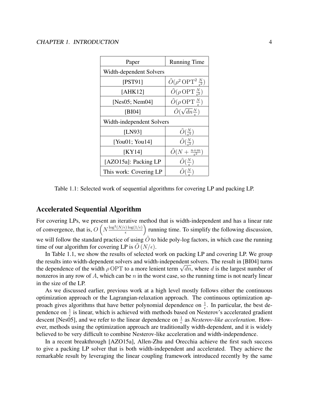| Paper                     | <b>Running Time</b>                                     |  |
|---------------------------|---------------------------------------------------------|--|
| Width-dependent Solvers   |                                                         |  |
| [PST91]                   | $\tilde{O}(\rho^2 \text{OPT}^2 \frac{N}{\epsilon^2})$   |  |
| [AHK12]                   | $\tilde{O}(\rho \, \text{OPT} \, \frac{N}{\epsilon^2})$ |  |
| [ $Nes05$ ; $Nem04$ ]     | $\tilde{O}(\rho \, \text{OPT} \, \frac{N}{\epsilon})$   |  |
| [BI04]                    | $\tilde{O}(\sqrt{dn} \frac{N}{\epsilon})$               |  |
| Width-independent Solvers |                                                         |  |
| [LN93]                    | $\tilde{O}(\frac{N}{\epsilon^4})$                       |  |
| [You01; You14]            | $\tilde{O}(\frac{N}{\epsilon^2})$                       |  |
| KY14                      | $\tilde{O}(N+\frac{n+m}{\epsilon^2})$                   |  |
| [AZO15a]: Packing LP      | $\tilde{O}(\frac{N}{\epsilon})$                         |  |
| This work: Covering LP    | $O(\frac{N}{2})$                                        |  |

Table 1.1: Selected work of sequential algorithms for covering LP and packing LP.

### Accelerated Sequential Algorithm

For covering LPs, we present an iterative method that is width-independent and has a linear rate of convergence, that is,  $O\left(N\frac{\log^2(N/\epsilon)\log(1/\epsilon)}{\epsilon}\right)$  $\left(\frac{\varepsilon}{\varepsilon}\right)^{\frac{1}{\log(1/\varepsilon)}}$  running time. To simplify the following discussion, we will follow the standard practice of using  $\tilde{O}$  to hide poly-log factors, in which case the running time of our algorithm for covering LP is  $O(N/\epsilon)$ .

In Table 1.1, we show the results of selected work on packing LP and covering LP. We group the results into width-dependent solvers and width-independent solvers. The result in [BI04] turns the results into width-dependent solvers and width-independent solvers. The result in [BI04] turns the dependence of the width  $\rho$  OPT to a more lenient term  $\sqrt{dn}$ , where d is the largest number of nonzeros in any row of A, which can be  $n$  in the worst case, so the running time is not nearly linear in the size of the LP.

As we discussed earlier, previous work at a high level mostly follows either the continuous optimization approach or the Lagrangian-relaxation approach. The continuous optimization approach gives algorithms that have better polynomial dependence on  $\frac{1}{\epsilon}$ . In particular, the best dependence on  $\frac{1}{\epsilon}$  is linear, which is achieved with methods based on Nesterov's accelerated gradient descent [Nes05], and we refer to the linear dependence on  $\frac{1}{\epsilon}$  as *Nesterov-like acceleration*. However, methods using the optimization approach are traditionally width-dependent, and it is widely believed to be very difficult to combine Nesterov-like acceleration and width-independence.

In a recent breakthrough [AZO15a], Allen-Zhu and Orecchia achieve the first such success to give a packing LP solver that is both width-independent and accelerated. They achieve the remarkable result by leveraging the linear coupling framework introduced recently by the same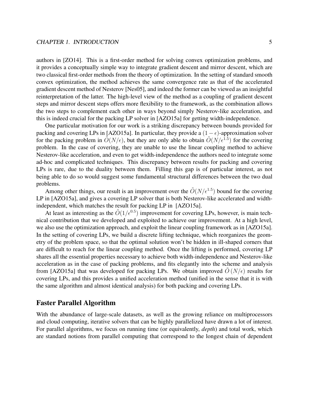authors in [ZO14]. This is a first-order method for solving convex optimization problems, and it provides a conceptually simple way to integrate gradient descent and mirror descent, which are two classical first-order methods from the theory of optimization. In the setting of standard smooth convex optimization, the method achieves the same convergence rate as that of the accelerated gradient descent method of Nesterov [Nes05], and indeed the former can be viewed as an insightful reinterpretation of the latter. The high-level view of the method as a coupling of gradient descent steps and mirror descent steps offers more flexibility to the framework, as the combination allows the two steps to complement each other in ways beyond simply Nesterov-like acceleration, and this is indeed crucial for the packing LP solver in [AZO15a] for getting width-independence.

One particular motivation for our work is a striking discrepancy between bounds provided for packing and covering LPs in [AZO15a]. In particular, they provide a  $(1 - \epsilon)$ -approximation solver for the packing problem in  $\tilde{O}(N/\epsilon)$ , but they are only able to obtain  $\tilde{O}(N/\epsilon^{1.5})$  for the covering problem. In the case of covering, they are unable to use the linear coupling method to achieve Nesterov-like acceleration, and even to get width-independence the authors need to integrate some ad-hoc and complicated techniques. This discrepancy between results for packing and covering LPs is rare, due to the duality between them. Filling this gap is of particular interest, as not being able to do so would suggest some fundamental structural differences between the two dual problems.

Among other things, our result is an improvement over the  $\tilde{O}(N/\epsilon^{1.5})$  bound for the covering LP in [AZO15a], and gives a covering LP solver that is both Nesterov-like accelerated and widthindependent, which matches the result for packing LP in [AZO15a].

At least as interesting as the  $\tilde{O}(1/\epsilon^{0.5})$  improvement for covering LPs, however, is main technical contribution that we developed and exploited to achieve our improvement. At a high level, we also use the optimization approach, and exploit the linear coupling framework as in [AZO15a]. In the setting of covering LPs, we build a discrete lifting technique, which reorganizes the geometry of the problem space, so that the optimal solution won't be hidden in ill-shaped corners that are difficult to reach for the linear coupling method. Once the lifting is performed, covering LP shares all the essential properties necessary to achieve both width-independence and Nesterov-like acceleration as in the case of packing problems, and fits elegantly into the scheme and analysis from [AZO15a] that was developed for packing LPs. We obtain improved  $O(N/\epsilon)$  results for covering LPs, and this provides a unified acceleration method (unified in the sense that it is with the same algorithm and almost identical analysis) for both packing and covering LPs.

## Faster Parallel Algorithm

With the abundance of large-scale datasets, as well as the growing reliance on multiprocessors and cloud computing, iterative solvers that can be highly parallelized have drawn a lot of interest. For parallel algorithms, we focus on running time (or equivalently, *depth*) and total work, which are standard notions from parallel computing that correspond to the longest chain of dependent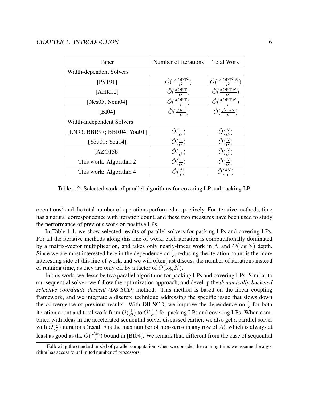| Paper                       | Number of Iterations                                 | <b>Total Work</b>                                       |
|-----------------------------|------------------------------------------------------|---------------------------------------------------------|
| Width-dependent Solvers     |                                                      |                                                         |
| [PST91]                     | $\tilde{O}(\frac{\rho^2 \text{ OPT}^2}{\epsilon^2})$ | $\left(\frac{\rho^2 \text{ OPT}^2 N}{c^2}\right)$       |
| [AHK12]                     | $\tilde{O}(\frac{\rho \, \text{OPT}}{\epsilon^2})$   | $\tilde{O}(\frac{\rho \, \text{OPT} \, N}{\epsilon^2})$ |
| [ $Nes05$ ; $Nem04$ ]       | $\tilde{O}(\frac{\rho \, \text{OPT}}{\sigma})$       | $\left(\frac{\rho$ OPT N                                |
| [BIO4]                      | $\tilde{O}(\frac{\sqrt{Kn}}{n})$                     | $\tilde{O}(\frac{\sqrt{KnN}}{2})$                       |
| Width-independent Solvers   |                                                      |                                                         |
| [LN93; BBR97; BBR04; You01] | $\tilde{O}(\frac{1}{\epsilon^4})$                    | $\tilde{O}(\frac{N}{\epsilon^4})$                       |
| [You01; You14]              | $\tilde{O}(\frac{1}{\epsilon^4})$                    | $\tilde{O}(\frac{N}{\epsilon^2})$                       |
| [AZO15b]                    | $\tilde{O}(\frac{1}{\epsilon^3})$                    | $\tilde{O}(\frac{N}{\epsilon^3})$                       |
| This work: Algorithm 2      | $\tilde{O}(\frac{1}{\epsilon^2})$                    | $\frac{N}{\epsilon_{\frac{2}{n}}}$                      |
| This work: Algorithm 4      | $\left(\frac{d}{ } \right)$                          | $\frac{dN}{2}$                                          |

Table 1.2: Selected work of parallel algorithms for covering LP and packing LP.

operations<sup>2</sup> and the total number of operations performed respectively. For iterative methods, time has a natural correspondence with iteration count, and these two measures have been used to study the performance of previous work on positive LPs.

In Table 1.1, we show selected results of parallel solvers for packing LPs and covering LPs. For all the iterative methods along this line of work, each iteration is computationally dominated by a matrix-vector multiplication, and takes only nearly-linear work in N and  $O(\log N)$  depth. Since we are most interested here in the dependence on  $\frac{1}{\epsilon}$ , reducing the iteration count is the more interesting side of this line of work, and we will often just discuss the number of iterations instead of running time, as they are only off by a factor of  $O(\log N)$ .

In this work, we describe two parallel algorithms for packing LPs and covering LPs. Similar to our sequential solver, we follow the optimization approach, and develop the *dynamically-bucketed selective coordinate descent (DB-SCD)* method. This method is based on the linear coupling framework, and we integrate a discrete technique addressing the specific issue that slows down the convergence of previous results. With DB-SCD, we improve the dependence on  $\frac{1}{\epsilon}$  for both iteration count and total work from  $\tilde{O}(\frac{1}{\epsilon^3})$  $\frac{1}{\epsilon^3}$ ) to  $\tilde{O}(\frac{1}{\epsilon^2}$  $\frac{1}{\epsilon^2}$ ) for packing LPs and covering LPs. When combined with ideas in the accelerated sequential solver discussed earlier, we also get a parallel solver with  $\tilde{O}(\frac{d}{\epsilon})$  $\frac{d}{\epsilon}$ ) iterations (recall d is the max number of non-zeros in any row of A), which is always at least as good as the  $\tilde{O}(\frac{\sqrt{dn}}{\epsilon})$  $\frac{dn}{\epsilon}$ ) bound in [BI04]. We remark that, different from the case of sequential

<sup>&</sup>lt;sup>2</sup>Following the standard model of parallel computation, when we consider the running time, we assume the algorithm has access to unlimited number of processors.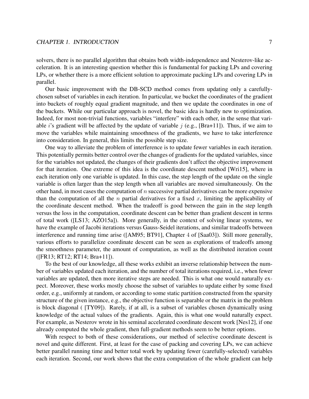#### CHAPTER 1. INTRODUCTION 7

solvers, there is no parallel algorithm that obtains both width-independence and Nesterov-like acceleration. It is an interesting question whether this is fundamental for packing LPs and covering LPs, or whether there is a more efficient solution to approximate packing LPs and covering LPs in parallel.

Our basic improvement with the DB-SCD method comes from updating only a carefullychosen subset of variables in each iteration. In particular, we bucket the coordinates of the gradient into buckets of roughly equal gradient magnitude, and then we update the coordinates in one of the buckets. While our particular approach is novel, the basic idea is hardly new to optimization. Indeed, for most non-trivial functions, variables "interfere" with each other, in the sense that variable *i*'s gradient will be affected by the update of variable  $j$  (e.g., [Bra+11]). Thus, if we aim to move the variables while maintaining smoothness of the gradients, we have to take interference into consideration. In general, this limits the possible step size.

One way to alleviate the problem of interference is to update fewer variables in each iteration. This potentially permits better control over the changes of gradients for the updated variables, since for the variables not updated, the changes of their gradients don't affect the objective improvement for that iteration. One extreme of this idea is the coordinate descent method [Wri15], where in each iteration only one variable is updated. In this case, the step length of the update on the single variable is often larger than the step length when all variables are moved simultaneously. On the other hand, in most cases the computation of  $n$  successive partial derivatives can be more expensive than the computation of all the *n* partial derivatives for a fixed  $x$ , limiting the applicability of the coordinate descent method. When the tradeoff is good between the gain in the step length versus the loss in the computation, coordinate descent can be better than gradient descent in terms of total work ([LS13; AZO15a]). More generally, in the context of solving linear systems, we have the example of Jacobi iterations versus Gauss-Seidel iterations, and similar tradeoffs between interference and running time arise ([AM95; BT91], Chapter 4 of [Saa03]). Still more generally, various efforts to parallelize coordinate descent can be seen as explorations of tradeoffs among the smoothness parameter, the amount of computation, as well as the distributed iteration count ([FR13; RT12; RT14; Bra+11]).

To the best of our knowledge, all these works exhibit an inverse relationship between the number of variables updated each iteration, and the number of total iterations required, i.e., when fewer variables are updated, then more iterative steps are needed. This is what one would naturally expect. Moreover, these works mostly choose the subset of variables to update either by some fixed order, e.g., uniformly at random, or according to some static partition constructed from the sparsity structure of the given instance, e.g., the objective function is separable or the matrix in the problem is block diagonal ( [TY09]). Rarely, if at all, is a subset of variables chosen dynamically using knowledge of the actual values of the gradients. Again, this is what one would naturally expect. For example, as Nesterov wrote in his seminal accelerated coordinate descent work [Nes12], if one already computed the whole gradient, then full-gradient methods seem to be better options.

With respect to both of these considerations, our method of selective coordinate descent is novel and quite different. First, at least for the case of packing and covering LPs, we can achieve better parallel running time and better total work by updating fewer (carefully-selected) variables each iteration. Second, our work shows that the extra computation of the whole gradient can help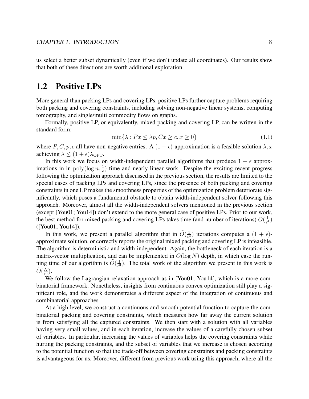us select a better subset dynamically (even if we don't update all coordinates). Our results show that both of these directions are worth additional exploration.

## 1.2 Positive LPs

More general than packing LPs and covering LPs, positive LPs further capture problems requiring both packing and covering constraints, including solving non-negative linear systems, computing tomography, and single/multi commodity flows on graphs.

Formally, positive LP, or equivalently, mixed packing and covering LP, can be written in the standard form:

$$
\min\{\lambda : Px \le \lambda p, Cx \ge c, x \ge 0\}\tag{1.1}
$$

where P, C, p, c all have non-negative entries. A  $(1 + \epsilon)$ -approximation is a feasible solution  $\lambda$ , x achieving  $\lambda \leq (1 + \epsilon) \lambda_{\text{OPT}}$ .

In this work we focus on width-independent parallel algorithms that produce  $1 + \epsilon$  approximations in in  $poly(log n, \frac{1}{\epsilon})$  time and nearly-linear work. Despite the exciting recent progress following the optimization approach discussed in the previous section, the results are limited to the special cases of packing LPs and covering LPs, since the presence of both packing and covering constraints in one LP makes the smoothness properties of the optimization problem deteriorate significantly, which poses a fundamental obstacle to obtain width-independent solver following this approach. Moreover, almost all the width-independent solvers mentioned in the previous section (except [You01; You14]) don't extend to the more general case of positive LPs. Prior to our work, the best method for mixed packing and covering LPs takes time (and number of iterations)  $\tilde{O}(\frac{1}{\epsilon^4})$  $\frac{1}{\epsilon^4}$ ([You01; You14]).

In this work, we present a parallel algorithm that in  $\tilde{O}(\frac{1}{\epsilon^3})$  $\frac{1}{\epsilon^3}$ ) iterations computes a  $(1 + \epsilon)$ approximate solution, or correctly reports the original mixed packing and covering LP is infeasible. The algorithm is deterministic and width-independent. Again, the bottleneck of each iteration is a matrix-vector multiplication, and can be implemented in  $O(\log N)$  depth, in which case the running time of our algorithm is  $\tilde{O}(\frac{1}{\epsilon^3})$  $\frac{1}{\epsilon^3}$ ). The total work of the algorithm we present in this work is  $\tilde{O}(\frac{N}{\epsilon^3})$  $\frac{N}{\epsilon^3}$ ).

We follow the Lagrangian-relaxation approach as in [You01; You14], which is a more combinatorial framework. Nonetheless, insights from continuous convex optimization still play a significant role, and the work demonstrates a different aspect of the integration of continuous and combinatorial approaches.

At a high level, we construct a continuous and smooth potential function to capture the combinatorial packing and covering constraints, which measures how far away the current solution is from satisfying all the captured constraints. We then start with a solution with all variables having very small values, and in each iteration, increase the values of a carefully chosen subset of variables. In particular, increasing the values of variables helps the covering constraints while hurting the packing constraints, and the subset of variables that we increase is chosen according to the potential function so that the trade-off between covering constraints and packing constraints is advantageous for us. Moreover, different from previous work using this approach, where all the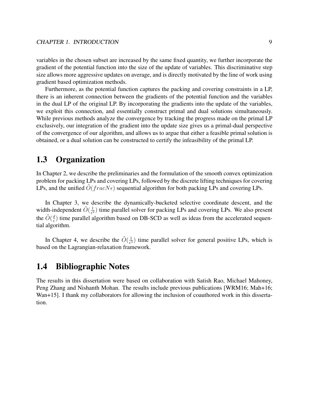variables in the chosen subset are increased by the same fixed quantity, we further incorporate the gradient of the potential function into the size of the update of variables. This discriminative step size allows more aggressive updates on average, and is directly motivated by the line of work using gradient based optimization methods.

Furthermore, as the potential function captures the packing and covering constraints in a LP, there is an inherent connection between the gradients of the potential function and the variables in the dual LP of the original LP. By incorporating the gradients into the update of the variables, we exploit this connection, and essentially construct primal and dual solutions simultaneously. While previous methods analyze the convergence by tracking the progress made on the primal LP exclusively, our integration of the gradient into the update size gives us a primal-dual perspective of the convergence of our algorithm, and allows us to argue that either a feasible primal solution is obtained, or a dual solution can be constructed to certify the infeasibility of the primal LP.

# 1.3 Organization

In Chapter 2, we describe the preliminaries and the formulation of the smooth convex optimization problem for packing LPs and covering LPs, followed by the discrete lifting techniques for covering LPs, and the unified  $O(fracN\epsilon)$  sequential algorithm for both packing LPs and covering LPs.

In Chapter 3, we describe the dynamically-bucketed selective coordinate descent, and the width-independent  $\tilde{O}(\frac{1}{\epsilon^2})$  $\frac{1}{\epsilon^2}$ ) time parallel solver for packing LPs and covering LPs. We also present the  $\tilde{O}(\frac{d}{\epsilon})$  $\frac{d}{\epsilon}$ ) time parallel algorithm based on DB-SCD as well as ideas from the accelerated sequential algorithm.

In Chapter 4, we describe the  $\tilde{O}(\frac{1}{\epsilon^3})$  $\frac{1}{\epsilon^3}$ ) time parallel solver for general positive LPs, which is based on the Lagrangian-relaxation framework.

## 1.4 Bibliographic Notes

The results in this dissertation were based on collaboration with Satish Rao, Michael Mahoney, Peng Zhang and Nishanth Mohan. The results include previous publications [WRM16; Mah+16; Wan+15]. I thank my collaborators for allowing the inclusion of coauthored work in this dissertation.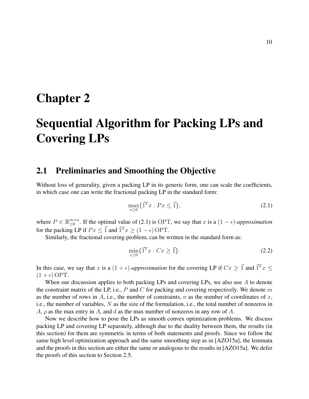# Chapter 2

# Sequential Algorithm for Packing LPs and Covering LPs

## 2.1 Preliminaries and Smoothing the Objective

Without loss of generality, given a packing LP in its generic form, one can scale the coefficients, in which case one can write the fractional packing LP in the standard form:

$$
\max_{x\geq 0} \{\vec{1}^T x : Px \leq \vec{1}\},\tag{2.1}
$$

where  $P \in \mathbb{R}_{\geq 0}^{m \times n}$  $_{\geq 0}^{m \times n}$ . If the optimal value of (2.1) is OPT, we say that x is a  $(1 - \epsilon)$ -approximation for the packing LP if  $Px \leq \vec{1}$  and  $\vec{1}^T x \geq (1 - \epsilon)$  OPT.

Similarly, the fractional covering problem, can be written in the standard form as:

$$
\min_{x \ge 0} \{\vec{1}^T x : Cx \ge \vec{1}\}.
$$
\n(2.2)

In this case, we say that x is a  $(1 + \epsilon)$ -approximation for the covering LP if  $Cx \geq \vec{1}$  and  $\vec{1}^T x \leq$  $(1 + \epsilon)$  OPT.

When our discussion applies to both packing LPs and covering LPs, we also use  $A$  to denote the constraint matrix of the LP, i.e.,  $P$  and  $C$  for packing and covering respectively. We denote  $m$ as the number of rows in A, i.e., the number of constraints, n as the number of coordinates of x, i.e., the number of variables, N as the size of the formulation, i.e., the total number of nonzeros in A,  $\rho$  as the max entry in A, and d as the max number of nonzeros in any row of A.

Now we describe how to pose the LPs as smooth convex optimization problems. We discuss packing LP and covering LP separately, although due to the duality between them, the results (in this section) for them are symmetric in terms of both statements and proofs. Since we follow the same high level optimization approach and the same smoothing step as in [AZO15a], the lemmata and the proofs in this section are either the same or analogous to the results in [AZO15a]. We defer the proofs of this section to Section 2.5.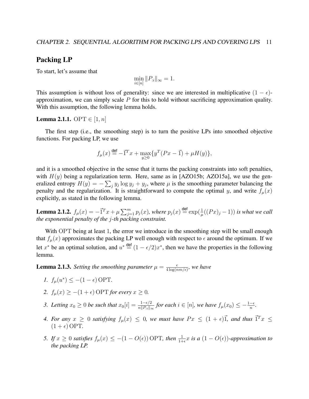## Packing LP

To start, let's assume that

$$
\min_{i \in [n]} \|P_{:i}\|_{\infty} = 1.
$$

This assumption is without loss of generality: since we are interested in multiplicative  $(1 - \epsilon)$ approximation, we can simply scale  $P$  for this to hold without sacrificing approximation quality. With this assumption, the following lemma holds.

#### **Lemma 2.1.1.** OPT  $\in [1, n]$

The first step (i.e., the smoothing step) is to turn the positive LPs into smoothed objective functions. For packing LP, we use

$$
f_{\mu}(x) \stackrel{\text{def}}{=} -\vec{1}^T x + \max_{y \ge 0} \{ y^T (Px - \vec{1}) + \mu H(y) \},
$$

and it is a smoothed objective in the sense that it turns the packing constraints into soft penalties, with  $H(y)$  being a regularization term. Here, same as in [AZO15b; AZO15a], we use the generalized entropy  $H(y) = -\sum_j y_j \log y_j + y_j$ , where  $\mu$  is the smoothing parameter balancing the penalty and the regularization. It is straightforward to compute the optimal y, and write  $f_u(x)$ explicitly, as stated in the following lemma.

**Lemma 2.1.2.**  $f_{\mu}(x) = -\vec{1}^T x + \mu \sum_{j=1}^m p_j(x)$ , where  $p_j(x) \stackrel{\text{def}}{=} \exp(\frac{1}{\mu}((Px)_j - 1))$  is what we call *the exponential penalty of the* j*-th packing constraint.*

With OPT being at least 1, the error we introduce in the smoothing step will be small enough that  $f_u(x)$  approximates the packing LP well enough with respect to  $\epsilon$  around the optimum. If we let x<sup>\*</sup> be an optimal solution, and  $u^* \stackrel{\text{def}}{=} (1 - \epsilon/2)x^*$ , then we have the properties in the following lemma.

**Lemma 2.1.3.** *Setting the smoothing parameter*  $\mu = \frac{\epsilon}{4 \log(r)}$  $\frac{\epsilon}{4 \log(nm/\epsilon)}$ , we have

- *1.*  $f_{\mu}(u^*) \leq -(1 \epsilon) \text{OPT}$ .
- 2.  $f_u(x) \ge -(1+\epsilon)$  OPT *for every*  $x \ge 0$ *.*
- *3. Letting*  $x_0 \geq 0$  *be such that*  $x_0[i] = \frac{1-\epsilon/2}{n||P_{ii}||_{\infty}}$  *for each*  $i \in [n]$ *, we have*  $f_\mu(x_0) \leq -\frac{1-\epsilon}{n}$ *.*
- 4. For any  $x \ge 0$  satisfying  $f_{\mu}(x) \le 0$ , we must have  $Px \le (1 + \epsilon) \vec{1}$ , and thus  $\vec{1}^T x \le$  $(1 + \epsilon)$  OPT.
- *5. If*  $x \ge 0$  *satisfies*  $f_{\mu}(x) \le -(1 O(\epsilon))$  OPT, then  $\frac{1}{1+\epsilon}x$  is a  $(1 O(\epsilon))$ -approximation to *the packing LP.*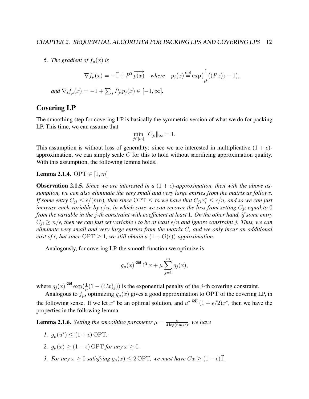6. *The gradient of*  $f_{\mu}(x)$  *is* 

$$
\nabla f_{\mu}(x) = -\vec{1} + P^T \overrightarrow{p(x)} \quad \text{where} \quad p_j(x) \stackrel{\text{def}}{=} \exp(\frac{1}{\mu}((Px)_j - 1),
$$
  
and 
$$
\nabla_i f_{\mu}(x) = -1 + \sum_j P_{ji} p_j(x) \in [-1, \infty].
$$

### Covering LP

The smoothing step for covering LP is basically the symmetric version of what we do for packing LP. This time, we can assume that

$$
\min_{j \in [m]} \|C_{j:}\|_{\infty} = 1.
$$

This assumption is without loss of generality: since we are interested in multiplicative  $(1 + \epsilon)$ approximation, we can simply scale  $C$  for this to hold without sacrificing approximation quality. With this assumption, the following lemma holds.

**Lemma 2.1.4.** OPT  $\in [1, m]$ 

**Observation 2.1.5.** Since we are interested in a  $(1 + \epsilon)$ -approximation, then with the above as*sumption, we can also eliminate the very small and very large entries from the matrix as follows.* If some entry  $C_{ji} \leq \epsilon/(mn)$ , then since  $\text{OPT} \leq m$  we have that  $C_{ji}x_i^* \leq \epsilon/n$ , and so we can just *increase each variable by*  $\epsilon/n$ *, in which case we can recover the loss from setting*  $C_{ji}$  *equal to* 0 *from the variable in the* j*-th constraint with coefficient at least* 1*. On the other hand, if some entry*  $C_{ii} \ge n/\epsilon$ , then we can just set variable *i* to be at least  $\epsilon/n$  and ignore constraint *j*. Thus, we can *eliminate very small and very large entries from the matrix* C*, and we only incur an additional cost of*  $\epsilon$ , but since  $\text{OPT} \geq 1$ , we still obtain a  $(1 + O(\epsilon))$ -approximation.

Analogously, for covering LP, the smooth function we optimize is

$$
g_{\mu}(x) \stackrel{\text{def}}{=} \vec{1}^T x + \mu \sum_{j=1}^m q_j(x),
$$

where  $q_j(x) \stackrel{\text{def}}{=} \exp(\frac{1}{\mu}(1 - (Cx)_j))$  is the exponential penalty of the *j*-th covering constraint.

Analogous to  $f_{\mu}$ , optimizing  $g_{\mu}(x)$  gives a good approximation to OPT of the covering LP, in the following sense. If we let  $x^*$  be an optimal solution, and  $u^* \stackrel{\text{def}}{=} (1 + \epsilon/2)x^*$ , then we have the properties in the following lemma.

**Lemma 2.1.6.** *Setting the smoothing parameter*  $\mu = \frac{\epsilon}{4 \log(r)}$  $\frac{\epsilon}{4 \log(nm/\epsilon)}$ , we have

- *1.*  $g_{\mu}(u^*) \leq (1 + \epsilon) \text{OPT}$ .
- 2.  $g_u(x) \geq (1 \epsilon) \text{ OPT for any } x \geq 0.$
- *3. For any*  $x \geq 0$  *satisfying*  $g_{\mu}(x) \leq 2$  OPT, we must have  $Cx \geq (1 \epsilon)\vec{1}$ .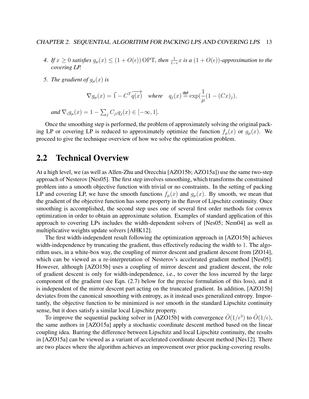- *4. If*  $x \ge 0$  *satisfies*  $g_{\mu}(x) \le (1 + O(\epsilon))$  OPT, then  $\frac{1}{1-\epsilon}x$  is a  $(1 + O(\epsilon))$ -approximation to the *covering LP.*
- *5. The gradient of*  $g_{\mu}(x)$  *is*

$$
\nabla g_{\mu}(x) = \vec{1} - C^{T} \overrightarrow{q(x)} \quad \text{where} \quad q_{j}(x) \stackrel{\text{def}}{=} \exp(\frac{1}{\mu}(1 - (Cx)_{j}),
$$

and  $\nabla_i g_\mu(x) = 1 - \sum_j C_{ji} q_j(x) \in [-\infty, 1]$ *.* 

Once the smoothing step is performed, the problem of approximately solving the original packing LP or covering LP is reduced to approximately optimize the function  $f_{\mu}(x)$  or  $g_{\mu}(x)$ . We proceed to give the technique overview of how we solve the optimization problem.

# 2.2 Technical Overview

At a high level, we (as well as Allen-Zhu and Orecchia [AZO15b; AZO15a]) use the same two-step approach of Nesterov [Nes05]. The first step involves smoothing, which transforms the constrained problem into a smooth objective function with trivial or no constraints. In the setting of packing LP and covering LP, we have the smooth functions  $f_{\mu}(x)$  and  $g_{\mu}(x)$ . By smooth, we mean that the gradient of the objective function has some property in the flavor of Lipschitz continuity. Once smoothing is accomplished, the second step uses one of several first order methods for convex optimization in order to obtain an approximate solution. Examples of standard application of this approach to covering LPs includes the width-dependent solvers of [Nes05; Nem04] as well as multiplicative weights update solvers [AHK12].

The first width-independent result following the optimization approach in [AZO15b] achieves width-independence by truncating the gradient, thus effectively reducing the width to 1. The algorithm uses, in a white-box way, the coupling of mirror descent and gradient descent from [ZO14], which can be viewed as a re-interpretation of Nesterov's accelerated gradient method [Nes05]. However, although [AZO15b] uses a coupling of mirror descent and gradient descent, the role of gradient descent is only for width-independence, i.e., to cover the loss incurred by the large component of the gradient (see Eqn. (2.7) below for the precise formulation of this loss), and it is independent of the mirror descent part acting on the truncated gradient. In addition, [AZO15b] deviates from the canonical smoothing with entropy, as it instead uses generalized entropy. Importantly, the objective function to be minimized is *not* smooth in the standard Lipschitz continuity sense, but it does satisfy a similar local Lipschitz property.

To improve the sequential packing solver in [AZO15b] with convergence  $\tilde{O}(1/\epsilon^3)$  to  $\tilde{O}(1/\epsilon)$ , the same authors in [AZO15a] apply a stochastic coordinate descent method based on the linear coupling idea. Barring the difference between Lipschitz and local Lipschitz continuity, the results in [AZO15a] can be viewed as a variant of accelerated coordinate descent method [Nes12]. There are two places where the algorithm achieves an improvement over prior packing-covering results.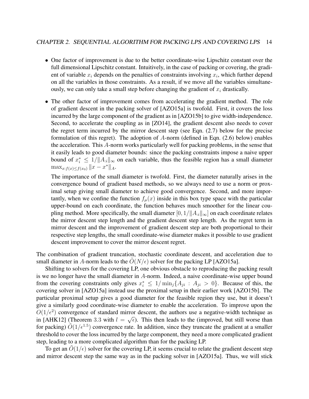- One factor of improvement is due to the better coordinate-wise Lipschitz constant over the full dimensional Lipschitz constant. Intuitively, in the case of packing or covering, the gradient of variable  $x_i$  depends on the penalties of constraints involving  $x_i$ , which further depend on all the variables in those constraints. As a result, if we move all the variables simultaneously, we can only take a small step before changing the gradient of  $x_i$  drastically.
- The other factor of improvement comes from accelerating the gradient method. The role of gradient descent in the packing solver of [AZO15a] is twofold. First, it covers the loss incurred by the large component of the gradient as in [AZO15b] to give width-independence. Second, to accelerate the coupling as in [ZO14], the gradient descent also needs to cover the regret term incurred by the mirror descent step (see Eqn. (2.7) below for the precise formulation of this regret). The adoption of A-norm (defined in Eqn. (2.6) below) enables the acceleration. This A-norm works particularly well for packing problems, in the sense that it easily leads to good diameter bounds: since the packing constraints impose a naive upper bound of  $x_i^* \leq 1/||A_{:i}||_{\infty}$  on each variable, thus the feasible region has a small diameter  $\max_{x:f(x)\leq f(x_0)} ||x - x^*||_A.$

The importance of the small diameter is twofold. First, the diameter naturally arises in the convergence bound of gradient based methods, so we always need to use a norm or proximal setup giving small diameter to achieve good convergence. Second, and more importantly, when we confine the function  $f_u(x)$  inside in this box type space with the particular upper-bound on each coordinate, the function behaves much smoother for the linear coupling method. More specifically, the small diameter  $[0, 1/\Vert A_{:i}\Vert_{\infty}]$  on each coordinate relates the mirror descent step length and the gradient descent step length. As the regret term in mirror descent and the improvement of gradient descent step are both proportional to their respective step lengths, the small coordinate-wise diameter makes it possible to use gradient descent improvement to cover the mirror descent regret.

The combination of gradient truncation, stochastic coordinate descent, and acceleration due to small diameter in A-norm leads to the  $\tilde{O}(N/\epsilon)$  solver for the packing LP [AZO15a].

Shifting to solvers for the covering LP, one obvious obstacle to reproducing the packing result is we no longer have the small diameter in A-norm. Indeed, a naive coordinate-wise upper bound from the covering constraints only gives  $x_i^* \leq 1/\min_j\{A_{ji} : A_{ji} > 0\}$ . Because of this, the covering solver in [AZO15a] instead use the proximal setup in their earlier work [AZO15b]. The particular proximal setup gives a good diameter for the feasible region they use, but it doesn't give a similarly good coordinate-wise diameter to enable the acceleration. To improve upon the  $O(1/\epsilon^2)$  convergence of standard mirror descent, the authors use a negative-width technique as in [AHK12] (Theorem 3.3 with  $l = \sqrt{\epsilon}$ ). This then leads to the (improved, but still worse than for packing)  $\tilde{O}(1/\epsilon^{1.5})$  convergence rate. In addition, since they truncate the gradient at a smaller threshold to cover the loss incurred by the large component, they need a more complicated gradient step, leading to a more complicated algorithm than for the packing LP.

To get an  $\tilde{O}(1/\epsilon)$  solver for the covering LP, it seems crucial to relate the gradient descent step and mirror descent step the same way as in the packing solver in [AZO15a]. Thus, we will stick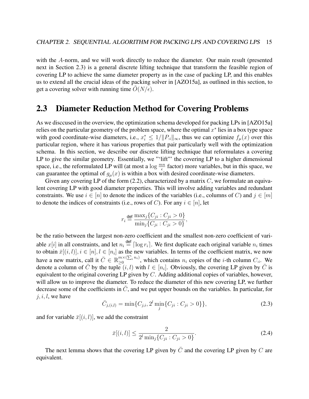with the A-norm, and we will work directly to reduce the diameter. Our main result (presented next in Section 2.3) is a general discrete lifting technique that transform the feasible region of covering LP to achieve the same diameter property as in the case of packing LP, and this enables us to extend all the crucial ideas of the packing solver in [AZO15a], as outlined in this section, to get a covering solver with running time  $\tilde{O}(N/\epsilon)$ .

# 2.3 Diameter Reduction Method for Covering Problems

As we disccused in the overview, the optimization schema developed for packing LPs in [AZO15a] relies on the particular geometry of the problem space, where the optimal  $x^*$  lies in a box type space with good coordinate-wise diameters, i.e.,  $x_i^* \leq 1/||P_{\cdot i}||_{\infty}$ , thus we can optimize  $f_{\mu}(x)$  over this particular region, where it has various properties that pair particularly well with the optimization schema. In this section, we describe our discrete lifting technique that reformulates a covering LP to give the similar geometry. Essentially, we "'lift" the covering LP to a higher dimensional space, i.e., the reformulated LP will (at most a  $\log \frac{mn}{\epsilon}$  factor) more variables, but in this space, we can guarantee the optimal of  $g_{\mu}(x)$  is within a box with desired coordinate-wise diameters.

Given any covering LP of the form  $(2.2)$ , characterized by a matrix C, we formulate an equivalent covering LP with good diameter properties. This will involve adding variables and redundant constraints. We use  $i \in [n]$  to denote the indices of the variables (i.e., columns of C) and  $j \in [m]$ to denote the indices of constraints (i.e., rows of C). For any  $i \in [n]$ , let

$$
r_i \stackrel{\text{def}}{=} \frac{\max_j \{C_{ji} : C_{ji} > 0\}}{\min_j \{C_{ji} : C_{ji} > 0\}},
$$

be the ratio between the largest non-zero coefficient and the smallest non-zero coefficient of variable  $x[i]$  in all constraints, and let  $n_i \stackrel{\text{def}}{=} \lceil \log r_i \rceil$ . We first duplicate each original variable  $n_i$  times to obtain  $\bar{x}[(i, l)], i \in [n], l \in [n_i]$  as the new variables. In terms of the coefficient matrix, we now have a new matrix, call it  $\bar{C} \in \mathbb{R}_{\geq 0}^{m \times (\sum_i n_i)}$ , which contains  $n_i$  copies of the *i*-th column  $C_{:i}$ . We denote a column of  $\overline{C}$  by the tuple  $(i, l)$  with  $l \in [n_i]$ . Obviously, the covering LP given by  $\overline{C}$  is equivalent to the original covering LP given by  $C$ . Adding additional copies of variables, however, will allow us to improve the diameter. To reduce the diameter of this new covering LP, we further decrease some of the coefficients in  $\overline{C}$ , and we put upper bounds on the variables. In particular, for  $j, i, l$ , we have

$$
\bar{C}_{j,(i,l)} = \min\{C_{j,i}, 2^l \min_j\{C_{ji} : C_{ji} > 0\}\},\tag{2.3}
$$

and for variable  $\bar{x}[(i, l)]$ , we add the constraint

$$
\bar{x}[(i,l)] \le \frac{2}{2^l \min_j \{ C_{ji} : C_{ji} > 0 \}}.
$$
\n(2.4)

The next lemma shows that the covering LP given by  $\overline{C}$  and the covering LP given by  $C$  are equivalent.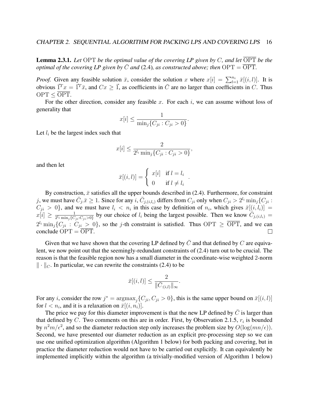Lemma 2.3.1. *Let* OPT *be the optimal value of the covering LP given by* C*, and let* OPT *be the optimal of the covering LP given by*  $\overline{C}$  *and* (2.4)*, as constructed above; then*  $\overline{OPT} = \overline{OPT}$ .

*Proof.* Given any feasible solution  $\bar{x}$ , consider the solution x where  $x[i] = \sum_{l=1}^{n_i} \bar{x}[(i, l)]$ . It is obvious  $\vec{1}^T x = \vec{1}^T \bar{x}$ , and  $Cx \geq \vec{1}$ , as coefficients in  $\vec{C}$  are no larger than coefficients in C. Thus  $OPT < \overline{OPT}$ .

For the other direction, consider any feasible  $x$ . For each  $i$ , we can assume without loss of generality that

$$
x[i] \le \frac{1}{\min_j \{C_{ji}: C_{ji} > 0\}}.
$$

Let  $l_i$  be the largest index such that

$$
x[i] \le \frac{2}{2^{l_i} \min_j \{C_{ji} : C_{ji} > 0\}},
$$

and then let

$$
\bar{x}[(i,l)] = \begin{cases} x[i] & \text{if } l = l_i \\ 0 & \text{if } l \neq l_i \end{cases}.
$$

By construction,  $\bar{x}$  satisfies all the upper bounds described in (2.4). Furthermore, for constraint j, we must have  $\bar{C}_{j} \bar{x} \ge 1$ . Since for any  $i, \bar{C}_{j_i(i,l_i)}$  differs from  $C_{ji}$  only when  $C_{ji} > 2^{l_i} \min_j \{C_{ji} : j \in J_i\}$  $C_{ji} > 0$ , and we must have  $l_i < n_i$  in this case by definition of  $n_i$ , which gives  $\bar{x}[(i, l_i)] =$  $\frac{1}{2^{l_i}\min_j\{C_{ji}:C_{ji}>0\}}$  by our choice of  $l_i$  being the largest possible. Then we know  $\overrightarrow{C}_{j,(i,l_i)}$  =  $x[i] \geq \frac{1}{2^{l_i} \min_i \Omega_i}$  $2^{l_i}$  min<sub>j</sub> $\{C_{ji}: C_{ji} > 0\}$ , so the j-th constraint is satisfied. Thus OPT  $\geq \overline{OPT}$ , and we can conclude  $\text{OPT} = \overline{\text{OPT}}$ .  $\Box$ 

Given that we have shown that the covering LP defined by  $\overline{C}$  and that defined by C are equivalent, we now point out that the seemingly-redundant constraints of (2.4) turn out to be crucial. The reason is that the feasible region now has a small diameter in the coordinate-wise weighted 2-norm  $\|\cdot\|_C$ . In particular, we can rewrite the constraints (2.4) to be

$$
\bar{x}[(i,l)] \le \frac{2}{\|\bar{C}_{:(i,l)}\|_{\infty}}.
$$

For any *i*, consider the row  $j^* = \text{argmax}_j \{C_{ji}, C_{ji} > 0\}$ , this is the same upper bound on  $\bar{x}[(i, l)]$ for  $l < n_i$ , and it is a relaxation on  $\bar{x}[(i, n_i)]$ .

The price we pay for this diameter improvement is that the new LP defined by  $\overline{C}$  is larger than that defined by C. Two comments on this are in order. First, by Observation 2.1.5,  $r_i$  is bounded by  $n^2m/\epsilon^2$ , and so the diameter reduction step only increases the problem size by  $O(log(mn/\epsilon))$ . Second, we have presented our diameter reduction as an explicit pre-processing step so we can use one unified optimization algorithm (Algorithm 1 below) for both packing and covering, but in practice the diameter reduction would not have to be carried out explicitly. It can equivalently be implemented implicitly within the algorithm (a trivially-modified version of Algorithm 1 below)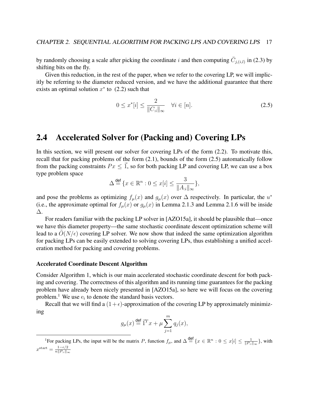by randomly choosing a scale after picking the coordinate i and then computing  $\bar{C}_{j,(i,l)}$  in (2.3) by shifting bits on the fly.

Given this reduction, in the rest of the paper, when we refer to the covering LP, we will implicitly be referring to the diameter reduced version, and we have the additional guarantee that there exists an optimal solution  $x^*$  to  $(2.2)$  such that

$$
0 \le x^*[i] \le \frac{2}{\|C_{:i}\|_{\infty}} \quad \forall i \in [n]. \tag{2.5}
$$

## 2.4 Accelerated Solver for (Packing and) Covering LPs

In this section, we will present our solver for covering LPs of the form (2.2). To motivate this, recall that for packing problems of the form (2.1), bounds of the form (2.5) automatically follow from the packing constraints  $Px \leq \vec{1}$ , so for both packing LP and covering LP, we can use a box type problem space

$$
\Delta \stackrel{\text{def}}{=} \{ x \in \mathbb{R}^n : 0 \le x[i] \le \frac{3}{\|A_{:i}\|_{\infty}} \},
$$

and pose the problems as optimizing  $f_{\mu}(x)$  and  $g_{\mu}(x)$  over  $\Delta$  respectively. In particular, the  $u^*$ (i.e., the approximate optimal for  $f_{\mu}(x)$  or  $g_{\mu}(x)$  in Lemma 2.1.3 and Lemma 2.1.6 will be inside ∆.

For readers familiar with the packing LP solver in [AZO15a], it should be plausible that—once we have this diameter property—the same stochastic coordinate descent optimization scheme will lead to a  $O(N/\epsilon)$  covering LP solver. We now show that indeed the same optimization algorithm for packing LPs can be easily extended to solving covering LPs, thus establishing a unified acceleration method for packing and covering problems.

#### Accelerated Coordinate Descent Algorithm

Consider Algorithm 1, which is our main accelerated stochastic coordinate descent for both packing and covering. The correctness of this algorithm and its running time guarantees for the packing problem have already been nicely presented in [AZO15a], so here we will focus on the covering problem.<sup>1</sup> We use  $e_i$  to denote the standard basis vectors.

Recall that we will find a  $(1+\epsilon)$ -approximation of the covering LP by approximately minimizing

$$
g_{\mu}(x) \stackrel{\text{def}}{=} \vec{1}^T x + \mu \sum_{j=1}^m q_j(x),
$$

<sup>&</sup>lt;sup>1</sup>For packing LPs, the input will be the matrix P, function  $f_{\mu}$ , and  $\Delta \stackrel{\text{def}}{=} \{x \in \mathbb{R}^n : 0 \leq x[i] \leq \frac{1}{\|P_{ii}\|_{\infty}}\}$ , with  $x^{\text{start}} = \frac{1 - \epsilon/2}{n \| P \|}$  $n\|P_{:i}\|_\infty$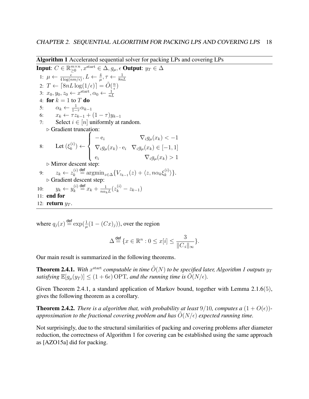Algorithm 1 Accelerated sequential solver for packing LPs and covering LPs

**Input:**  $C \in \mathbb{R}_{\geq 0}^{m \times n}$  $_{\geq0}^{m\times n},x^{\mathrm{start}}\in\Delta,g_{\mu},\epsilon$  Output:  $y_T\in\Delta$ 1:  $\mu \leftarrow \frac{\epsilon}{4 \log(n m / \epsilon)}, L \leftarrow \frac{4}{\mu}, \tau \leftarrow \frac{1}{8 n L}$ 2:  $T \leftarrow \lceil 8nL \log(1/\epsilon) \rceil = \tilde{O}(\frac{n}{\epsilon})$  $\frac{n}{\epsilon})$ 3:  $x_0, y_0, z_0 \leftarrow x^{\text{start}}, \alpha_0 \leftarrow \frac{1}{nL}$ 4: for  $k = 1$  to T do 5:  $\alpha_k \leftarrow \frac{1}{1-\tau} \alpha_{k-1}$ 6:  $x_k \leftarrow \tau z_{k-1} + (1 - \tau) y_{k-1}$ 7: Select  $i \in [n]$  uniformly at random.  $\triangleright$  Gradient truncation: 8: Let  $(\xi_k^{(i)})$  $\binom{n}{k} \leftarrow$  $\sqrt{ }$  $\int$  $\overline{\mathcal{L}}$  $-e_i$   $\nabla_i g_\mu(x_k) < -1$  $\nabla_i g_\mu(x_k) \cdot \mathbf{e}_i \quad \nabla_i g_\mu(x_k) \in [-1, 1]$ e<sub>i</sub>  $\nabla_i g_\mu(x_k) > 1$  $\triangleright$  Mirror descent step: 9:  $z_k \leftarrow z_k^{(i)}$  $\lambda_k^{(i)} \stackrel{\text{def}}{=} \operatorname{argmin}_{z \in \Delta} \{ V_{z_{k-1}}(z) + \langle z, n \alpha_k \xi_k^{(i)} \rangle \}$  $_{k}^{(\imath )}\rangle \}.$ . Gradient descent step: 10:  $y_k \leftarrow y_k^{(i)}$  $\frac{d}{k}^{(i)} \stackrel{\text{def}}{=} x_k + \frac{1}{n\alpha_k}$  $\frac{1}{n\alpha_{k}L}(z_{k}^{(i)}-z_{k-1})$ 11: end for 12: return  $y_T$ .

where  $q_j(x) \stackrel{\text{def}}{=} \exp(\frac{1}{\mu}(1 - (Cx)_j))$ , over the region

$$
\Delta \stackrel{\text{def}}{=} \{ x \in \mathbb{R}^n : 0 \le x[i] \le \frac{3}{\|C_{\cdot i}\|_{\infty}} \}.
$$

Our main result is summarized in the following theorems.

**Theorem 2.4.1.** With  $x^{\text{start}}$  computable in time  $\tilde{O}(N)$  to be specified later, Algorithm 1 outputs  $y_T$ *satisfying*  $\mathbb{E}[g_{\mu}(y_T)] \leq (1 + 6\epsilon) \text{ OPT}$ *, and the running time is*  $O(N/\epsilon)$ *.* 

Given Theorem 2.4.1, a standard application of Markov bound, together with Lemma 2.1.6(5), gives the following theorem as a corollary.

**Theorem 2.4.2.** *There is a algorithm that, with probability at least* 9/10*, computes a*  $(1 + O(\epsilon))$ *approximation to the fractional covering problem and has*  $\tilde{O}(N/\epsilon)$  *expected running time.* 

Not surprisingly, due to the structural similarities of packing and covering problems after diameter reduction, the correctness of Algorithm 1 for covering can be established using the same approach as [AZO15a] did for packing.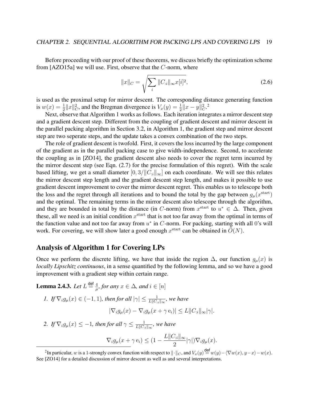Before proceeding with our proof of these theorems, we discuss briefly the optimization scheme from [AZO15a] we will use. First, observe that the C-norm, where

$$
||x||_C = \sqrt{\sum_{i} ||C_{:i}||_{\infty} x[i]^2},
$$
\n(2.6)

is used as the proximal setup for mirror descent. The corresponding distance generating function is  $w(x) = \frac{1}{2} ||x||_C^2$ , and the Bregman divergence is  $V_x(y) = \frac{1}{2} ||x - y||_C^2$ .

Next, observe that Algorithm 1 works as follows. Each iteration integrates a mirror descent step and a gradient descent step. Different from the coupling of gradient descent and mirror descent in the parallel packing algorithm in Section 3.2, in Algorithm 1, the gradient step and mirror descent step are two seperate steps, and the update takes a convex combination of the two steps.

The role of gradient descent is twofold. First, it covers the loss incurred by the large component of the gradient as in the parallel packing case to give width-independence. Second, to accelerate the coupling as in [ZO14], the gradient descent also needs to cover the regret term incurred by the mirror descent step (see Eqn. (2.7) for the precise formulation of this regret). With the scale based lifting, we get a small diameter  $[0, 3/\Vert C_{i} \Vert_{\infty}]$  on each coordinate. We will see this relates the mirror descent step length and the gradient descent step length, and makes it possible to use gradient descent improvement to cover the mirror descent regret. This enables us to telescope both the loss and the regret through all iterations and to bound the total by the gap between  $g_{\mu}(x^{\text{start}})$ and the optimal. The remaining terms in the mirror descent also telescope through the algorithm, and they are bounded in total by the distance (in C-norm) from  $x^{\text{start}}$  to  $u^* \in \Delta$ . Then, given these, all we need is an initial condition  $x^{\text{start}}$  that is not too far away from the optimal in terms of the function value and not too far away from  $u^*$  in  $C$ -norm. For packing, starting with all 0's will work. For covering, we will show later a good enough  $x^{\text{start}}$  can be obtained in  $\tilde{O}(N)$ .

### Analysis of Algorithm 1 for Covering LPs

Once we perform the discrete lifting, we have that inside the region  $\Delta$ , our function  $g_{\mu}(x)$  is *locally Lipschitz continuous*, in a sense quantified by the following lemma, and so we have a good improvement with a gradient step within certain range.

**Lemma 2.4.3.** *Let*  $L \stackrel{\text{def}}{=} \frac{4}{n}$  $\frac{4}{\mu}$ , for any  $x \in \Delta$ , and  $i \in [n]$ 

- *1. If*  $\nabla_i g_\mu(x) \in (-1, 1)$ *, then for all*  $|\gamma| \leq \frac{1}{L||C_i||_{\infty}}$ *, we have*  $|\nabla_i g_u(x) - \nabla_i g_u(x + \gamma e_i)| \leq L ||C_{ii}||_{\infty} |\gamma|.$
- 2. If  $\nabla_i g_\mu(x) \leq -1$ , then for all  $\gamma \leq \frac{1}{L \parallel C}$  $\frac{1}{L\Vert C_{:i} \Vert _{\infty}},$  we have  $\nabla_i g_\mu(x + \gamma e_i) \leq (1 L\|C_{:i}\|_\infty$  $\frac{\partial g_{ii|1}}{\partial} |\gamma|$ ) $\nabla_i g_\mu(x)$ .

<sup>&</sup>lt;sup>2</sup>In particular, w is a 1-strongly convex function with respect to  $\|\cdot\|_C$ , and  $V_x(y) \stackrel{\text{def}}{=} w(y)-\langle \nabla w(x), y-x\rangle -w(x).$ See [ZO14] for a detailed discussion of mirror descent as well as and several interpretations.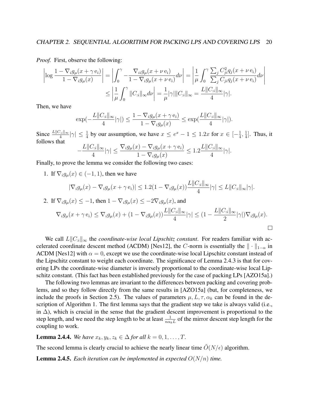*Proof.* First, observe the following:

$$
\left|\log\frac{1-\nabla_i g_\mu(x+\gamma\,\mathbf{e}_i)}{1-\nabla_i g_\mu(x)}\right| = \left|\int_0^\gamma -\frac{\nabla_{ii} g_\mu(x+\nu\,\mathbf{e}_i)}{1-\nabla_i g_\mu(x+\nu\,\mathbf{e}_i)}d\nu\right| = \left|\frac{1}{\mu}\int_0^\gamma \frac{\sum_j C_{ji}^2 q_j(x+\nu\,\mathbf{e}_i)}{\sum_j C_{ji} q_j(x+\nu\,\mathbf{e}_i)}d\nu\right|
$$

$$
\leq \left|\frac{1}{\mu}\int_0^\gamma \|C_{:i}\|_\infty d\nu\right| = \frac{1}{\mu}|\gamma|\|C_{:i}\|_\infty = \frac{L\|C_{:i}\|_\infty}{4}|\gamma|.
$$

Then, we have

$$
\exp(-\frac{L||C_{:i}||_{\infty}}{4}|\gamma|) \le \frac{1-\nabla_{i}g_{\mu}(x+\gamma e_{i})}{1-\nabla_{i}g_{\mu}(x)} \le \exp(\frac{L||C_{:i}||_{\infty}}{4}|\gamma|).
$$

Since  $\frac{L\|C_{i}\|_{\infty}}{4}|\gamma| \leq \frac{1}{4}$  by our assumption, we have  $x \leq e^{x} - 1 \leq 1.2x$  for  $x \in \left[-\frac{1}{4}\right]$  $\frac{1}{4}, \frac{1}{4}$  $\frac{1}{4}$ . Thus, it follows that

$$
-\frac{L||C_{:i}||_{\infty}}{4}|\gamma| \le \frac{\nabla_{i}g_{\mu}(x) - \nabla_{i}g_{\mu}(x+\gamma e_{i})}{1 - \nabla_{i}g_{\mu}(x)} \le 1.2\frac{L||C_{:i}||_{\infty}}{4}|\gamma|.
$$

Finally, to prove the lemma we consider the following two cases:

1. If  $\nabla_i g_\mu(x) \in (-1, 1)$ , then we have

$$
|\nabla_i g_\mu(x) - \nabla_i g_\mu(x + \gamma \mathbf{e}_i)| \leq 1.2(1 - \nabla_i g_\mu(x)) \frac{L||C_{\cdot i}||_{\infty}}{4} |\gamma| \leq L||C_{\cdot i}||_{\infty} |\gamma|.
$$

2. If 
$$
\nabla_i g_\mu(x) \le -1
$$
, then  $1 - \nabla_i g_\mu(x) \le -2\nabla_i g_\mu(x)$ , and  
\n
$$
\nabla_i g_\mu(x + \gamma e_i) \le \nabla_i g_\mu(x) + (1 - \nabla_i g_\mu(x)) \frac{L||C_{\cdot i}||_{\infty}}{4} |\gamma| \le (1 - \frac{L||C_{\cdot i}||_{\infty}}{2} |\gamma|) \nabla_i g_\mu(x).
$$

We call  $L||C_{ii}||_{\infty}$  the *coordinate-wise local Lipschitz constant*. For readers familiar with accelerated coordinate descent method (ACDM) [Nes12], the C-norm is essentially the  $\|\cdot\|_{1-\alpha}$  in ACDM [Nes12] with  $\alpha = 0$ , except we use the coordinate-wise local Lipschitz constant instead of the Lipschitz constant to weight each coordinate. The significance of Lemma 2.4.3 is that for covering LPs the coordinate-wise diameter is inversely proportional to the coordinate-wise local Lipschitz constant. (This fact has been established previously for the case of packing LPs [AZO15a].)

The following two lemmas are invariant to the differences between packing and covering problems, and so they follow directly from the same results in [AZO15a] (but, for completeness, we include the proofs in Section 2.5). The values of parameters  $\mu$ ,  $L$ ,  $\tau$ ,  $\alpha_k$  can be found in the description of Algorithm 1. The first lemma says that the gradient step we take is always valid (i.e., in  $\Delta$ ), which is crucial in the sense that the gradient descent improvement is proportional to the step length, and we need the step length to be at least  $\frac{1}{n\alpha_k L}$  of the mirror descent step length for the coupling to work.

**Lemma 2.4.4.** *We have*  $x_k, y_k, z_k \in \Delta$  *for all*  $k = 0, 1, ..., T$ .

The second lemma is clearly crucial to achieve the nearly linear time  $O(N/\epsilon)$  algorithm.

**Lemma 2.4.5.** *Each iteration can be implemented in expected*  $O(N/n)$  *time.*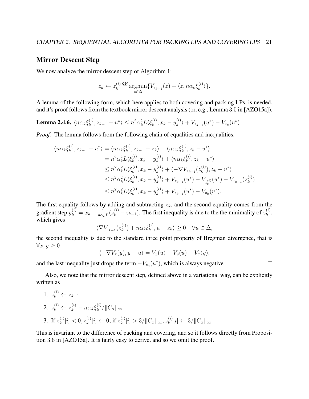## Mirror Descent Step

We now analyze the mirror descent step of Algorithm 1:

$$
z_k \leftarrow z_k^{(i)} \stackrel{\text{def}}{=} \underset{z \in \Delta}{\operatorname{argmin}} \{ V_{z_{k-1}}(z) + \langle z, n \alpha_k \xi_k^{(i)} \rangle \}.
$$

A lemma of the following form, which here applies to both covering and packing LPs, is needed, and it's proof follows from the textbook mirror descent analysis (or, e.g., Lemma 3.5 in [AZO15a]).

Lemma 2.4.6.  $\langle n \alpha_k \xi_k^{(i)} \rangle$  $\langle k^{(i)}, z_{k-1} - u^* \rangle \leq n^2 \alpha_k^2 L \langle \xi_k^{(i)} \rangle$  $x_k^{(i)}$ ,  $x_k - y_k^{(i)}$  $\ket{k}^{(i)} + V_{z_{k-1}}(u^*) - V_{z_k}(u^*)$ 

*Proof.* The lemma follows from the following chain of equalities and inequalities.

$$
\langle n\alpha_{k}\xi_{k}^{(i)}, z_{k-1} - u^{*} \rangle = \langle n\alpha_{k}\xi_{k}^{(i)}, z_{k-1} - z_{k} \rangle + \langle n\alpha_{k}\xi_{k}^{(i)}, z_{k} - u^{*} \rangle
$$
  
\n
$$
= n^{2}\alpha_{k}^{2}L\langle\xi_{k}^{(i)}, x_{k} - y_{k}^{(i)} \rangle + \langle n\alpha_{k}\xi_{k}^{(i)}, z_{k} - u^{*} \rangle
$$
  
\n
$$
\leq n^{2}\alpha_{k}^{2}L\langle\xi_{k}^{(i)}, x_{k} - y_{k}^{(i)} \rangle + \langle -\nabla V_{z_{k-1}}(z_{k}^{(i)}), z_{k} - u^{*} \rangle
$$
  
\n
$$
\leq n^{2}\alpha_{k}^{2}L\langle\xi_{k}^{(i)}, x_{k} - y_{k}^{(i)} \rangle + V_{z_{k-1}}(u^{*}) - V_{z_{k}^{(i)}}(u^{*}) - V_{z_{k-1}}(z_{k}^{(i)})
$$
  
\n
$$
\leq n^{2}\alpha_{k}^{2}L\langle\xi_{k}^{(i)}, x_{k} - y_{k}^{(i)} \rangle + V_{z_{k-1}}(u^{*}) - V_{z_{k}}(u^{*}).
$$

The first equality follows by adding and subtracting  $z<sub>k</sub>$ , and the second equality comes from the gradient step  $y_k^{(i)} = x_k + \frac{1}{n\alpha_k}$  $\frac{1}{n\alpha_k L}(z_k^{(i)} - z_{k-1})$ . The first inequality is due to the the minimality of  $z_k^{(i)}$  $_{k}^{\left( i\right) },$ which gives

$$
\langle \nabla V_{z_{k-1}}(z_k^{(i)}) + n\alpha_k \xi_k^{(i)}, u - z_k \rangle \ge 0 \quad \forall u \in \Delta,
$$

the second inequality is due to the standard three point property of Bregman divergence, that is  $\forall x, y \geq 0$ 

$$
\langle -\nabla V_x(y), y - u \rangle = V_x(u) - V_y(u) - V_x(y),
$$

 $\Box$ 

and the last inequality just drops the term  $-V_{z_k}(u^*)$ , which is always negative.

Also, we note that the mirror descent step, defined above in a variational way, can be explicitly written as

1. 
$$
z_k^{(i)} \leftarrow z_{k-1}
$$
  
\n2.  $z_k^{(i)} \leftarrow z_k^{(i)} - n\alpha_k \xi_k^{(i)}/||C_{:i}||_{\infty}$   
\n3. If  $z_k^{(i)}[i] < 0, z_k^{(i)}[i] \leftarrow 0$ ; if  $z_k^{(i)}[i] > 3/||C_{:i}||_{\infty}, z_k^{(i)}[i] \leftarrow 3/||C_{:i}||_{\infty}$ .

This is invariant to the difference of packing and covering, and so it follows directly from Proposition 3.6 in [AZO15a]. It is fairly easy to derive, and so we omit the proof.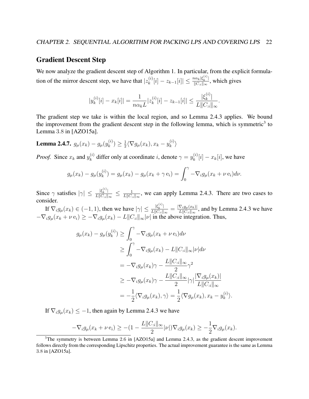### Gradient Descent Step

We now analyze the gradient descent step of Algorithm 1. In particular, from the explicit formulation of the mirror descent step, we have that  $|z_k^{(i)}\rangle$  $\binom{i}{k}[i] - z_{k-1}[i] \leq \frac{n \alpha_k |\xi_k^{(i)}|}{||C_{ii}||_{\infty}}$  $\frac{\log k|\mathcal{S}_k|}{||C_{:i}||_{\infty}},$  which gives

$$
|y_k^{(i)}[i] - x_k[i]| = \frac{1}{n\alpha_k L} |z_k^{(i)}[i] - z_{k-1}[i]| \le \frac{|\xi_k^{(i)}|}{L||C_{:i}||_{\infty}}.
$$

The gradient step we take is within the local region, and so Lemma 2.4.3 applies. We bound the improvement from the gradient descent step in the following lemma, which is symmetric<sup>3</sup> to Lemma 3.8 in [AZO15a].

Lemma 2.4.7.  $g_{\mu}(x_k) - g_{\mu}(y_k^{(i)})$  $\binom{i}{k} \geq \frac{1}{2}$  $\frac{1}{2} \langle \nabla g_\mu(x_k), x_k - y_k^{(i)} \rangle$  $\genfrac{\langle}{\rangle}{0pt}{}{i}{k}$ 

*Proof.* Since  $x_k$  and  $y_k^{(i)}$  $\lambda_k^{(i)}$  differ only at coordinate *i*, denote  $\gamma = y_k^{(i)}$  $\binom{[i]}{k}[i] - x_k[i]$ , we have

$$
g_{\mu}(x_k) - g_{\mu}(y_k^{(i)}) = g_{\mu}(x_k) - g_{\mu}(x_k + \gamma e_i) = \int_0^{\gamma} -\nabla_i g_{\mu}(x_k + \nu e_i) d\nu.
$$

Since  $\gamma$  satisfies  $|\gamma| \leq \frac{|\xi_k^{(i)}|}{L\|C\|}$  $\frac{|\xi_k^{(k)}|}{L||C_{:i}||_{\infty}} \leq \frac{1}{L||C_{:i}||_{\infty}}$  $\frac{1}{L||C_{i}||_{\infty}}$ , we can apply Lemma 2.4.3. There are two cases to consider.

If  $\nabla_i g_\mu(x_k) \in (-1, 1)$ , then we have  $|\gamma| \leq \frac{|\xi_k^{(i)}|}{L || C_{i,i} ||}$  $\frac{|\xi_k^{\scriptscriptstyle{(c)}}|}{L\|C_{:i}\|_{\infty}} = \frac{|\nabla_i g_\mu(x_k)|}{L\|C_{:i}\|_{\infty}}$  $\frac{\sum_{i}^{\ell} g_{\mu}(x_{k})}{L\|C_{i}\|_{\infty}}$ , and by Lemma 2.4.3 we have  $-\nabla_i g_\mu(x_k + \nu \, \mathbf{e}_i) \geq -\nabla_i g_\mu(x_k) - L ||C_{i}||_{\infty} |\nu|$  in the above integration. Thus,

$$
g_{\mu}(x_k) - g_{\mu}(y_k^{(i)}) \ge \int_0^{\gamma} -\nabla_i g_{\mu}(x_k + \nu \mathbf{e}_i) d\nu
$$
  
\n
$$
\ge \int_0^{\gamma} -\nabla_i g_{\mu}(x_k) - L ||C_{:i}||_{\infty} |\nu| d\nu
$$
  
\n
$$
= -\nabla_i g_{\mu}(x_k)\gamma - \frac{L ||C_{:i}||_{\infty}}{2}\gamma^2
$$
  
\n
$$
\ge -\nabla_i g_{\mu}(x_k)\gamma - \frac{L ||C_{:i}||_{\infty}}{2} |\gamma| \frac{|\nabla_i g_{\mu}(x_k)|}{L ||C_{:i}||_{\infty}}
$$
  
\n
$$
= -\frac{1}{2} \langle \nabla_i g_{\mu}(x_k), \gamma \rangle = \frac{1}{2} \langle \nabla g_{\mu}(x_k), x_k - y_k^{(i)} \rangle.
$$

If  $\nabla_i g_\mu(x_k) \leq -1$ , then again by Lemma 2.4.3 we have

$$
-\nabla_i g_\mu(x_k + \nu \, \mathbf{e}_i) \ge -(1 - \frac{L ||C_{:i}||_{\infty}}{2} |\nu|) \nabla_i g_\mu(x_k) \ge -\frac{1}{2} \nabla_i g_\mu(x_k).
$$

 $3$ The symmetry is between Lemma 2.6 in [AZO15a] and Lemma 2.4.3, as the gradient descent improvement follows directly from the corresponding Lipschitz properties. The actual improvement guarantee is the same as Lemma 3.8 in [AZO15a].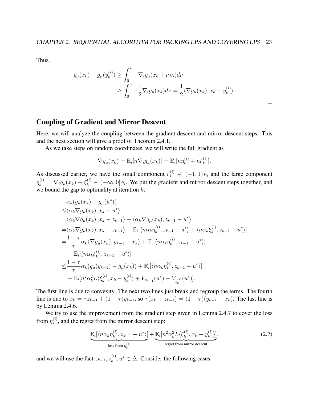Thus,

$$
g_{\mu}(x_k) - g_{\mu}(y_k^{(i)}) \ge \int_0^{\gamma} -\nabla_i g_{\mu}(x_k + \nu \, \mathbf{e}_i) d\nu
$$
  
 
$$
\ge \int_0^{\gamma} -\frac{1}{2} \nabla_i g_{\mu}(x_k) d\nu = \frac{1}{2} \langle \nabla g_{\mu}(x_k), x_k - y_k^{(i)} \rangle.
$$

 $\Box$ 

### Coupling of Gradient and Mirror Descent

Here, we will analyze the coupling between the gradient descent and mirror descent steps. This and the next section will give a proof of Theorem 2.4.1.

As we take steps on random coordinates, we will write the full gradient as

$$
\nabla g_{\mu}(x_k) = \mathbb{E}_i[n \nabla_i g_{\mu}(x_k)] = \mathbb{E}_i[n \eta_k^{(i)} + n \xi_k^{(i)}].
$$

As discussed earlier, we have the small component  $\xi_k^{(i)} \in (-1,1)$   $e_i$  and the large component  $\eta_k^{(i)} = \nabla_i g_\mu(x_k) - \xi_k^{(i)} \in (-\infty, 0]$  e<sub>i</sub>. We put the gradient and mirror descent steps together, and we bound the gap to optimality at iteration  $k$ :

$$
\alpha_{k}(g_{\mu}(x_{k}) - g_{\mu}(u^{*}))
$$
\n
$$
\leq \langle \alpha_{k} \nabla g_{\mu}(x_{k}), x_{k} - u^{*} \rangle
$$
\n
$$
= \langle \alpha_{k} \nabla g_{\mu}(x_{k}), x_{k} - z_{k-1} \rangle + \langle \alpha_{k} \nabla g_{\mu}(x_{k}), z_{k-1} - u^{*} \rangle
$$
\n
$$
= \langle \alpha_{k} \nabla g_{\mu}(x_{k}), x_{k} - z_{k-1} \rangle + \mathbb{E}_{i} [\langle n \alpha_{k} \eta_{k}^{(i)}, z_{k-1} - u^{*} \rangle + \langle n \alpha_{k} \xi_{k}^{(i)}, z_{k-1} - u^{*} \rangle]
$$
\n
$$
= \frac{1 - \tau}{\tau} \alpha_{k} \langle \nabla g_{\mu}(x_{k}), y_{k-1} - x_{k} \rangle + \mathbb{E}_{i} [\langle n \alpha_{k} \eta_{k}^{(i)}, z_{k-1} - u^{*} \rangle]
$$
\n
$$
+ \mathbb{E}_{i} [\langle n \alpha_{k} \xi_{k}^{(i)}, z_{k-1} - u^{*} \rangle]
$$
\n
$$
\leq \frac{1 - \tau}{\tau} \alpha_{k}(g_{\mu}(y_{k-1}) - g_{\mu}(x_{k})) + \mathbb{E}_{i} [\langle n \alpha_{k} \eta_{k}^{(i)}, z_{k-1} - u^{*} \rangle]
$$
\n
$$
+ \mathbb{E}_{i} [n^{2} \alpha_{k}^{2} L \langle \xi_{k}^{(i)}, x_{k} - y_{k}^{(i)} \rangle + V_{z_{k-1}} (u^{*}) - V_{z_{k}^{(i)}} (u^{*})].
$$

The first line is due to convexity. The next two lines just break and regroup the terms. The fourth line is due to  $x_k = \tau z_{k-1} + (1 - \tau) y_{k-1}$ , so  $\tau (x_k - z_{k-1}) = (1 - \tau) (y_{k-1} - x_k)$ . The last line is by Lemma 2.4.6.

We try to use the improvement from the gradient step given in Lemma 2.4.7 to cover the loss from  $\eta_k^{(i)}$  $k<sup>(t)</sup>$ , and the regret from the mirror descent step:

$$
\underbrace{\mathbb{E}_i[\langle n\alpha_k \eta_k^{(i)}, z_{k-1} - u^* \rangle]}_{\text{loss from } \eta_k^{(i)}} + \underbrace{\mathbb{E}_i[n^2\alpha_k^2 L \langle \xi_k^{(i)}, x_k - y_k^{(i)} \rangle]}_{\text{regret from mirror descent}},
$$
(2.7)

and we will use the fact  $z_{k-1}, z_k^{(i)}$  $k^{(i)}$ ,  $u^* \in \Delta$ . Consider the following cases.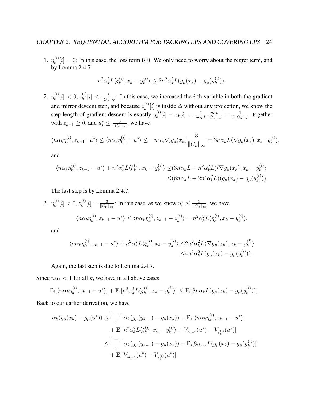1.  $\eta_k^{(i)}$  $k_{k}^{(i)}[i] = 0$ : In this case, the loss term is 0. We only need to worry about the regret term, and by Lemma 2.4.7

$$
n^2 \alpha_k^2 L \langle \xi_k^{(i)}, x_k - y_k^{(i)} \rangle \le 2n^2 \alpha_k^2 L(g_\mu(x_k) - g_\mu(y_k^{(i)})).
$$

2.  $\eta_k^{(i)}$  $\binom{(i)}{k}[i] < 0, z_k^{(i)}$  $\binom{i}{k}[i] < \frac{3}{\|C_{\cdot i}\|}$  $\frac{3}{\|C_{i\cdot\hat{i}}\|_{\infty}}$ : In this case, we increased the *i*-th variable in both the gradient and mirror descent step, and because  $z_k^{(i)}$  $\binom{[i]}{k}[i]$  is inside  $\Delta$  without any projection, we know the step length of gradient descent is exactly  $y_k^{(i)}$  $\binom{(i)}{k}[i] - x_k[i] = \frac{1}{n\alpha_k L}$  $n\alpha_k$  $\frac{n\alpha_k}{\|C_{:i}\|_{\infty}} = \frac{1}{L\|C_{:i}}$  $\frac{1}{L\|C_{:i}\|_{\infty}},$  together with  $z_{k-1} \geq 0$ , and  $u_i^* \leq \frac{3}{\|C_{i,i}\|}$  $\frac{3}{\|C_{:i}\|_{\infty}},$  we have

$$
\langle n\alpha_k \eta_k^{(i)}, z_{k-1} - u^* \rangle \le \langle n\alpha_k \eta_k^{(i)}, -u^* \rangle \le -n\alpha_k \nabla_i g_\mu(x_k) \frac{3}{\|C_{:i}\|_\infty} = 3n\alpha_k L \langle \nabla g_\mu(x_k), x_k - y_k^{(i)} \rangle,
$$

and

$$
\langle n\alpha_k \eta_k^{(i)}, z_{k-1} - u^* \rangle + n^2 \alpha_k^2 L \langle \xi_k^{(i)}, x_k - y_k^{(i)} \rangle \leq (3n\alpha_k L + n^2 \alpha_k^2 L) \langle \nabla g_\mu(x_k), x_k - y_k^{(i)} \rangle
$$
  

$$
\leq (6n\alpha_k L + 2n^2 \alpha_k^2 L) (g_\mu(x_k) - g_\mu(y_k^{(i)})).
$$

The last step is by Lemma 2.4.7.

3. 
$$
\eta_k^{(i)}[i] < 0, z_k^{(i)}[i] = \frac{3}{\|C_{:i}\|_{\infty}}
$$
: In this case, as we know  $u_i^* \leq \frac{3}{\|C_{:i}\|_{\infty}}$ , we have  $\langle n\alpha_k \eta_k^{(i)}, z_{k-1} - u^* \rangle \leq \langle n\alpha_k \eta_k^{(i)}, z_{k-1} - z_k^{(i)} \rangle = n^2 \alpha_k^2 L \langle \eta_k^{(i)}, x_k - y_k^{(i)} \rangle$ ,

and

$$
\langle n\alpha_k \eta_k^{(i)}, z_{k-1} - u^* \rangle + n^2 \alpha_k^2 L \langle \xi_k^{(i)}, x_k - y_k^{(i)} \rangle \leq 2n^2 \alpha_k^2 L \langle \nabla g_\mu(x_k), x_k - y_k^{(i)} \rangle
$$
  

$$
\leq 4n^2 \alpha_k^2 L(g_\mu(x_k) - g_\mu(y_k^{(i)})).
$$

Again, the last step is due to Lemma 2.4.7.

Since  $n\alpha_k < 1$  for all k, we have in all above cases,

$$
\mathbb{E}_{i}[\langle n\alpha_{k}\eta_{k}^{(i)}, z_{k-1} - u^{*} \rangle] + \mathbb{E}_{i}[n^{2}\alpha_{k}^{2}L\langle \xi_{k}^{(i)}, x_{k} - y_{k}^{(i)} \rangle] \leq \mathbb{E}_{i}[8n\alpha_{k}L(g_{\mu}(x_{k}) - g_{\mu}(y_{k}^{(i)}))].
$$

Back to our earlier derivation, we have

$$
\alpha_k(g_\mu(x_k) - g_\mu(u^*)) \leq \frac{1 - \tau}{\tau} \alpha_k(g_\mu(y_{k-1}) - g_\mu(x_k)) + \mathbb{E}_i[\langle n\alpha_k \eta_k^{(i)}, z_{k-1} - u^* \rangle] + \mathbb{E}_i[n^2 \alpha_k^2 L \langle \xi_k^{(i)}, x_k - y_k^{(i)} \rangle + V_{z_{k-1}}(u^*) - V_{z_k^{(i)}}(u^*)] \leq \frac{1 - \tau}{\tau} \alpha_k(g_\mu(y_{k-1}) - g_\mu(x_k)) + \mathbb{E}_i[8n \alpha_k L(g_\mu(x_k) - g_\mu(y_k^{(i)})] + \mathbb{E}_i[V_{z_{k-1}}(u^*) - V_{z_k^{(i)}}(u^*)].
$$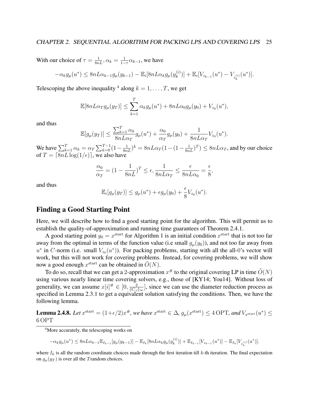With our choice of  $\tau = \frac{1}{8nL}$ ,  $\alpha_k = \frac{1}{1-k}$  $\frac{1}{1-\tau}\alpha_{k-1}$ , we have

$$
-\alpha_k g_\mu(u^*) \leq 8nL\alpha_{k-1}g_\mu(y_{k-1}) - \mathbb{E}_i[8nL\alpha_k g_\mu(y_k^{(i)})] + \mathbb{E}_i[V_{z_{k-1}}(u^*) - V_{z_k^{(i)}}(u^*)].
$$

Telescoping the above inequality <sup>4</sup> along  $k = 1, \dots, T$ , we get

$$
\mathbb{E}[8nL\alpha_T g_\mu(y_T)] \le \sum_{k=1}^T \alpha_k g_\mu(u^*) + 8nL\alpha_0 g_\mu(y_0) + V_{z_0}(u^*),
$$

and thus

$$
\mathbb{E}[g_{\mu}(y_T)] \le \frac{\sum_{k=1}^T \alpha_k}{8nL\alpha_T} g_{\mu}(u^*) + \frac{\alpha_0}{\alpha_T} g_{\mu}(y_0) + \frac{1}{8nL\alpha_T} V_{z_0}(u^*).
$$

We have  $\sum_{k=1}^T \alpha_k = \alpha_T \sum_{k=0}^{T-1} (1 - \frac{1}{8nL})^k = 8nL\alpha_T (1 - (1 - \frac{1}{8nL})^T) \le 8nL\alpha_T$ , and by our choice of  $T = \lfloor 8nL \log(1/\epsilon) \rfloor$ , we also have

$$
\frac{\alpha_0}{\alpha_T} = (1 - \frac{1}{8nL})^T \le \epsilon, \frac{1}{8nL\alpha_T} \le \frac{\epsilon}{8nL\alpha_0} = \frac{\epsilon}{8},
$$

and thus

$$
\mathbb{E}_i[g_\mu(y_T)] \le g_\mu(u^*) + \epsilon g_\mu(y_0) + \frac{\epsilon}{8} V_{z_0}(u^*).
$$

### Finding a Good Starting Point

Here, we will describe how to find a good starting point for the algorithm. This will permit us to establish the quality-of-approximation and running time guarantees of Theorem 2.4.1.

A good starting point  $y_0 = x^{\text{start}}$  for Algorithm 1 is an initial condition  $x^{\text{start}}$  that is not too far away from the optimal in terms of the function value (i.e small  $g_{\mu}(y_0)$ ), and not too far away from  $u^*$  in C-norm (i.e. small  $V_{z_0}(u^*)$ ). For packing problems, starting with all the all-0's vector will work, but this will not work for covering problems. Instead, for covering problems, we will show now a good enough  $x^{\text{start}}$  can be obtained in  $\tilde{O}(N)$ .

To do so, recall that we can get a 2-approximation  $x^{\#}$  to the original covering LP in time  $\tilde{O}(N)$ using various nearly linear time covering solvers, e.g., those of [KY14; You14]. Without loss of generality, we can assume  $x[i]^\# \in [0, \frac{2}{\sqrt{|\mathcal{C}|}}]$  $\frac{2}{\|C_{i\cdot}\|_{\infty}}$ , since we can use the diameter reduction process as specified in Lemma 2.3.1 to get a equivalent solution satisfying the conditions. Then, we have the following lemma.

Lemma 2.4.8. Let  $x^{\text{start}} = (1+\epsilon/2)x^{\#}$ , we have  $x^{\text{start}} \in \Delta$ ,  $g_{\mu}(x^{\text{start}}) \leq 4$  OPT, and  $V_{x^{\text{start}}}(u^*) \leq 4$ 6 OPT

 $-\alpha_k g_\mu(u^*) \leq 8nL\alpha_{k-1} \mathbb{E}_{I_{k-1}}[g_\mu(y_{k-1})] - \mathbb{E}_{I_k}[8nL\alpha_k g_\mu(y_k^{(i)})]$  $\mathbb{E}_{I_{k-1}}[V_{z_{k-1}}(u^{*})] - \mathbb{E}_{I_{k}}[V_{z_{k}^{(i)}}(u^{*})].$ k

<sup>&</sup>lt;sup>4</sup>More accurately, the telescoping works on

where  $I_k$  is all the random coordinate choices made through the first iteration till k-th iteration. The final expectation on  $g_{\mu}(y_T)$  is over all the Trandom choices.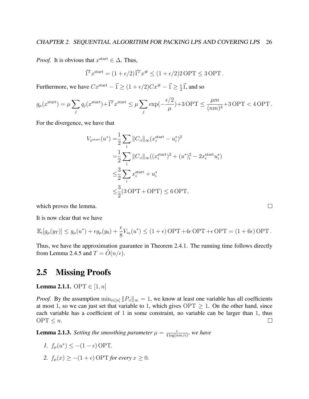*Proof.* It is obvious that  $x^{\text{start}} \in \Delta$ . Thus,

$$
\vec{1}^T x^{\text{start}} = (1 + \epsilon/2) \vec{1}^T x^{\#} \le (1 + \epsilon/2) 2 \text{ OPT} \le 3 \text{ OPT}.
$$

Furthermore, we have  $Cx^{\text{start}} - \vec{1} \ge (1 + \epsilon/2)Cx^{\#} - \vec{1} \ge \frac{\epsilon}{2}$  $\frac{\epsilon}{2}$  $\vec{1}$ , and so

$$
g_{\mu}(x^{\text{start}}) = \mu \sum_{j} q_j(x^{\text{start}}) + \vec{1}^T x^{\text{start}} \le \mu \sum_{j} \exp\left(-\frac{\epsilon/2}{\mu}\right) + 3 \text{ OPT} \le \frac{\mu m}{(nm)^2} + 3 \text{ OPT} < 4 \text{ OPT}.
$$

For the divergence, we have that

$$
V_{x^{\text{start}}}(u^*) = \frac{1}{2} \sum_{i} ||C_{:i}||_{\infty} (x_i^{\text{start}} - u_i^*)^2
$$
  
= 
$$
\frac{1}{2} \sum_{i} ||C_{:i}||_{\infty} ((x_i^{\text{start}})^2 + (u^*)_i^2 - 2x_i^{\text{start}} u_i^*)
$$
  

$$
\leq \frac{3}{2} \sum_{i} x_i^{\text{start}} + u_i^*
$$
  

$$
\leq \frac{3}{2} (3 \text{OPT} + \text{OPT}) \leq 6 \text{OPT},
$$

which proves the lemma.

It is now clear that we have

$$
\mathbb{E}_i[g_\mu(y_T)] \le g_\mu(u^*) + \epsilon g_\mu(y_0) + \frac{\epsilon}{8}V_{z_0}(u^*) \le (1+\epsilon) \text{ OPT} + 4\epsilon \text{ OPT} + \epsilon \text{ OPT} = (1+6\epsilon) \text{ OPT}.
$$

 $\Box$ 

Thus, we have the approximation guarantee in Theorem 2.4.1. The running time follows directly from Lemma 2.4.5 and  $T = \tilde{O}(n/\epsilon)$ .

# 2.5 Missing Proofs

**Lemma 2.1.1.** OPT  $\in [1, n]$ 

*Proof.* By the assumption  $\min_{i \in [n]} ||P_{i}||_{\infty} = 1$ , we know at least one variable has all coefficients at most 1, so we can just set that variable to 1, which gives  $\text{OPT} \geq 1$ . On the other hand, since each variable has a coefficient of 1 in some constraint, no variable can be larger than 1, thus  $OPT \leq n$ .  $\Box$ 

**Lemma 2.1.3.** *Setting the smoothing parameter*  $\mu = \frac{\epsilon}{4 \log(r)}$  $\frac{\epsilon}{4 \log(nm/\epsilon)}$ , we have

- *1.*  $f_{\mu}(u^*) \leq -(1 \epsilon) \text{OPT}$ .
- 2.  $f_u(x) \ge -(1+\epsilon)$  OPT *for every*  $x \ge 0$ *.*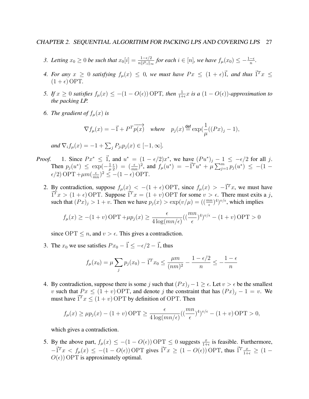- 3. Letting  $x_0 \geq 0$  be such that  $x_0[i] = \frac{1-\epsilon/2}{n||P_{ii}||_{\infty}}$  for each  $i \in [n]$ , we have  $f_{\mu}(x_0) \leq -\frac{1-\epsilon}{n}$ .
- 4. For any  $x \ge 0$  satisfying  $f_{\mu}(x) \le 0$ , we must have  $Px \le (1 + \epsilon) \vec{1}$ , and thus  $\vec{1}^T x \le$  $(1 + \epsilon)$  OPT.
- *5. If*  $x \ge 0$  *satisfies*  $f_{\mu}(x) \le -(1 O(\epsilon))$  OPT, then  $\frac{1}{1+\epsilon}x$  is a  $(1 O(\epsilon))$ -approximation to *the packing LP.*
- 6. *The gradient of*  $f_{\mu}(x)$  *is*

$$
\nabla f_\mu(x) = -\vec{1} + P^T \overrightarrow{p(x)} \quad \textit{where} \quad p_j(x) \stackrel{\text{def}}{=} \exp(\frac{1}{\mu}((Px)_j - 1),
$$

*and*  $\nabla_i f_\mu(x) = -1 + \sum_j P_{ji} p_j(x) \in [-1, \infty]$ *.* 

- *Proof.* 1. Since  $Px^* \leq \vec{1}$ , and  $u^* = (1 \epsilon/2)x^*$ , we have  $(Pu^*)_j 1 \leq -\epsilon/2$  for all j. Then  $p_j(u^*) \leq \exp(-\frac{1}{u})$  $\mu$  $\epsilon$  $\frac{1}{2}$  =  $(\frac{\epsilon}{mn})^2$ , and  $f_{\mu}(u^*) = -\vec{1}^T u^* + \mu \sum_{j=1}^m p_j(u^*) \leq -(1-\epsilon)$  $\epsilon/2$ ) OPT + $\mu m(\frac{\epsilon}{m})$  $\frac{\epsilon}{mn}$ )<sup>2</sup>  $\leq$  -(1 –  $\epsilon$ ) OPT.
	- 2. By contradiction, suppose  $f_{\mu}(x) < -(1 + \epsilon)$  OPT, since  $f_{\mu}(x) > -\vec{1}^{T}x$ , we must have  $\vec{T}^T x > (1 + \epsilon)$  OPT. Suppose  $\vec{T}^T x = (1 + v)$  OPT for some  $v > \epsilon$ . There must exits a j, such that  $(Px)_j > 1 + v$ . Then we have  $p_j(x) > \exp(v/\mu) = \left(\frac{(mn}{\epsilon})^4\right)^{v/\epsilon}$ , which implies

$$
f_{\mu}(x) \ge -(1+v)\text{OPT} + \mu p_j(x) \ge \frac{\epsilon}{4\log(mn/\epsilon)} \left(\left(\frac{mn}{\epsilon}\right)^4\right)^{v/\epsilon} - \left(1+v\right)\text{OPT} > 0
$$

since OPT  $\leq n$ , and  $v > \epsilon$ . This gives a contradiction.

3. The  $x_0$  we use satisfies  $Px_0 - \vec{1} \le -\epsilon/2 - \vec{1}$ , thus

$$
f_{\mu}(x_0) = \mu \sum_j p_j(x_0) - \vec{1}^T x_0 \le \frac{\mu m}{(nm)^2} - \frac{1 - \epsilon/2}{n} \le -\frac{1 - \epsilon}{n}
$$

4. By contradiction, suppose there is some j such that  $(Px)_j - 1 \ge \epsilon$ . Let  $v > \epsilon$  be the smallest v such that  $Px \leq (1 + v)$  OPT, and denote j the constraint that has  $(Px)_i - 1 = v$ . We must have  $\vec{1}^T x \le (1 + v)$  OPT by definition of OPT. Then

$$
f_{\mu}(x) \ge \mu p_j(x) - (1+v) \text{ OPT} \ge \frac{\epsilon}{4 \log(mn/\epsilon)} \left( \left( \frac{mn}{\epsilon} \right)^4 \right)^{v/\epsilon} - (1+v) \text{ OPT} > 0,
$$

which gives a contradiction.

5. By the above part,  $f_{\mu}(x) \leq -(1 - O(\epsilon))$  OPT  $\leq 0$  suggests  $\frac{x}{1+\epsilon}$  is feasible. Furthermore,  $-\vec{1}^T x < f_\mu(x) \leq -(1 - O(\epsilon))$  OPT gives  $\vec{1}^T x \geq (1 - O(\epsilon))$  OPT, thus  $\vec{1}^T \frac{x}{1+\epsilon} \geq (1 - O(\epsilon))$  $O(\epsilon)$ ) OPT is approximately optimal.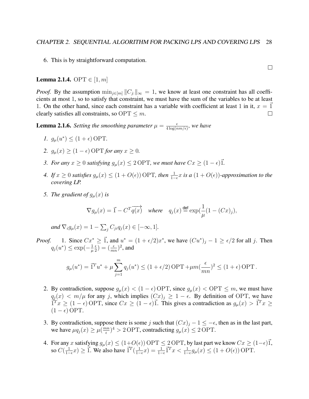6. This is by straightforward computation.

#### **Lemma 2.1.4.** OPT  $\in [1, m]$

*Proof.* By the assumption  $\min_{i \in [m]} ||C_i||_{\infty} = 1$ , we know at least one constraint has all coefficients at most 1, so to satisfy that constraint, we must have the sum of the variables to be at least 1. On the other hand, since each constraint has a variable with coefficient at least 1 in it,  $x = 1$ clearly satisfies all constraints, so  $\text{OPT} \leq m$ .  $\Box$ 

**Lemma 2.1.6.** *Setting the smoothing parameter*  $\mu = \frac{\epsilon}{4 \log(r)}$  $\frac{\epsilon}{4 \log(nm/\epsilon)}$ , we have

- *1.*  $g_{\mu}(u^*) \leq (1 + \epsilon) \text{OPT}$ .
- 2.  $g_u(x) \geq (1 \epsilon) \text{OPT}$  *for any*  $x \geq 0$ *.*
- *3. For any*  $x \geq 0$  *satisfying*  $g_{\mu}(x) \leq 2$  OPT, we must have  $Cx \geq (1 \epsilon)\overrightarrow{1}$ .
- *4. If*  $x \ge 0$  *satisfies*  $g_{\mu}(x) \le (1 + O(\epsilon))$  OPT, then  $\frac{1}{1-\epsilon}x$  is a  $(1 + O(\epsilon))$ -approximation to the *covering LP.*
- *5. The gradient of*  $g_u(x)$  *is*

$$
\nabla g_\mu(x) = \vec{1} - C^T \overrightarrow{q(x)} \quad \textit{where} \quad q_j(x) \stackrel{\text{def}}{=} \exp(\frac{1}{\mu}(1 - (Cx)_j),
$$

and  $\nabla_i g_\mu(x) = 1 - \sum_j C_{ji} q_j(x) \in [-\infty, 1]$ *.* 

*Proof.* 1. Since  $Cx^* \geq \vec{1}$ , and  $u^* = (1 + \epsilon/2)x^*$ , we have  $(Cu^*)_j - 1 \geq \epsilon/2$  for all j. Then  $q_j(u^*) \leq \exp(-\frac{1}{u})$  $\mu$  $\epsilon$  $(\frac{\epsilon}{2})=(\frac{\epsilon}{mn})^2$ , and

$$
g_{\mu}(u^*) = \vec{1}^T u^* + \mu \sum_{j=1}^m q_j(u^*) \le (1 + \epsilon/2) \text{ OPT} + \mu m \left(\frac{\epsilon}{mn}\right)^2 \le (1 + \epsilon) \text{ OPT}.
$$

- 2. By contradiction, suppose  $g_{\mu}(x) < (1 \epsilon)$  OPT, since  $g_{\mu}(x) <$  OPT  $\leq m$ , we must have  $q_j(x) < m/\mu$  for any j, which implies  $(Cx)_j \geq 1 - \epsilon$ . By definition of OPT, we have  $\vec{T}^T x \ge (1 - \epsilon)$  OPT, since  $Cx \ge (1 - \epsilon) \vec{1}$ . This gives a contradiction as  $g_{\mu}(x) > \vec{T}^T x \ge$  $(1 - \epsilon)$  OPT.
- 3. By contradiction, suppose there is some j such that  $(Cx)_j 1 \le -\epsilon$ , then as in the last part, we have  $\mu q_j(x) \geq \mu(\frac{mn}{e})$  $\frac{dm}{\epsilon}$ )<sup>4</sup> > 2 OPT, contradicting  $g_{\mu}(x) \le 2$  OPT.
- 4. For any x satisfying  $g_{\mu}(x) \le (1+O(\epsilon))$  OPT  $\le 2$  OPT, by last part we know  $Cx \ge (1-\epsilon)\vec{1}$ , so  $C(\frac{1}{1-})$  $\frac{1}{1-\epsilon}x$ ) ≥ 1<sup>7</sup>. We also have  $\vec{1}^T(\frac{1}{1-\epsilon})$  $\frac{1}{1-\epsilon}x$ ) =  $\frac{1}{1-\epsilon}\vec{\Gamma}^T x < \frac{1}{1-\epsilon}g_\mu(x) \leq (1+O(\epsilon))$  OPT.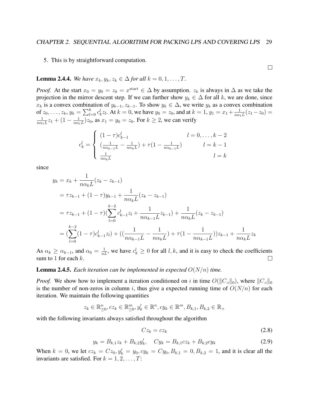#### 5. This is by straightforward computation.

**Lemma 2.4.4.** *We have*  $x_k, y_k, z_k \in \Delta$  *for all*  $k = 0, 1, ..., T$ .

*Proof.* At the start  $x_0 = y_0 = z_0 = x^{\text{start}} \in \Delta$  by assumption.  $z_k$  is always in  $\Delta$  as we take the projection in the mirror descent step. If we can further show  $y_k \in \Delta$  for all k, we are done, since  $x_k$  is a convex combination of  $y_{k-1}, z_{k-1}$ . To show  $y_k \in \Delta$ , we write  $y_k$  as a convex combination of  $z_0, \ldots, z_k, y_k = \sum_{l=0}^k c_k^l z_l$ . At  $k = 0$ , we have  $y_0 = z_0$ , and at  $k = 1, y_1 = x_1 + \frac{1}{n\alpha}$ .  $\frac{1}{n\alpha_1 L}(z_1 - z_0) =$ 1  $\frac{1}{n\alpha_1L}z_1+(1-\frac{1}{n\alpha_1}z_2)$  $\frac{1}{n\alpha_1 L}$ ) $z_0$ , as  $x_1 = y_0 = z_0$ . For  $k \ge 2$ , we can verify

$$
c_k^l = \begin{cases} (1 - \tau)c_{k-1}^l & l = 0, ..., k-2\\ \left(\frac{1}{n\alpha_{k-1}L} - \frac{1}{n\alpha_kL}\right) + \tau(1 - \frac{1}{n\alpha_{k-1}L}) & l = k-1\\ \frac{1}{n\alpha_kL} & l = k \end{cases}
$$

since

$$
y_k = x_k + \frac{1}{n\alpha_k L} (z_k - z_{k-1})
$$
  
=  $\tau z_{k-1} + (1 - \tau) y_{k-1} + \frac{1}{n\alpha_k L} (z_k - z_{k-1})$   
=  $\tau z_{k-1} + (1 - \tau) (\sum_{l=0}^{k-2} c_{k-1}^l z_l + \frac{1}{n\alpha_{k-1} L} z_{k-1}) + \frac{1}{n\alpha_k L} (z_k - z_{k-1})$   
=  $(\sum_{l=0}^{k-2} (1 - \tau) c_{k-1}^l z_l) + ((\frac{1}{n\alpha_{k-1} L} - \frac{1}{n\alpha_k L}) + \tau (1 - \frac{1}{n\alpha_{k-1} L}) ) z_{k-1} + \frac{1}{n\alpha_k L} z_k$ 

As  $\alpha_k \ge \alpha_{k-1}$ , and  $\alpha_0 = \frac{1}{nL}$ , we have  $c_k^l \ge 0$  for all l, k, and it is easy to check the coefficients sum to 1 for each  $k$ .  $\Box$ 

#### **Lemma 2.4.5.** *Each iteration can be implemented in expected*  $O(N/n)$  *time.*

*Proof.* We show how to implement a iteration conditioned on i in time  $O(||C_{i}|_{0})$ , where  $||C_{i}||_{0}$ is the number of non-zeros in column i, thus give a expected running time of  $O(N/n)$  for each iteration. We maintain the following quantities

$$
z_k \in \mathbb{R}_{\geq 0}^n, cz_k \in \mathbb{R}_{\geq 0}^m, y'_k \in \mathbb{R}^n, cy_k \in \mathbb{R}^m, B_{k,1}, B_{k,2} \in \mathbb{R}_+
$$

with the following invariants always satisfied throughout the algorithm

$$
Cz_k = cz_k \tag{2.8}
$$

$$
y_k = B_{k,1}z_k + B_{k,2}y'_k, \quad Cy_k = B_{k,1}cz_k + B_{k,2}cy_k
$$
\n(2.9)

When  $k = 0$ , we let  $cz_k = Cz_0$ ,  $y'_k = y_0$ ,  $cy_k = Cy_0$ ,  $B_{k,1} = 0$ ,  $B_{k,2} = 1$ , and it is clear all the invariants are satisfied. For  $k = 1, 2, \ldots, T$ :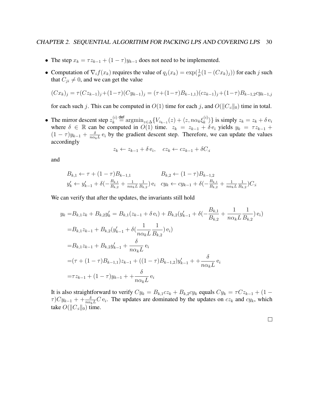- The step  $x_k = \tau z_{k-1} + (1 \tau) y_{k-1}$  does not need to be implemented.
- Computation of  $\nabla_i f(x_k)$  requires the value of  $q_j(x_k) = \exp(\frac{1}{\mu}(1 (Cx_k)_j))$  for each j such that  $C_{ji} \neq 0$ , and we can get the value

$$
(Cx_k)_j = \tau(Cz_{k-1})_j + (1-\tau)(Cy_{k-1})_j = (\tau + (1-\tau)B_{k-1,1})(cz_{k-1})_j + (1-\tau)B_{k-1,2}cy_{k-1,j}
$$

for each such j. This can be computed in  $O(1)$  time for each j, and  $O(||C_{i}||_{0})$  time in total.

• The mirror descent step  $z_k^{(i)}$  $\lambda_k^{(i)} \stackrel{\text{def}}{=} \operatorname{argmin}_{z \in \Delta} \{ V_{z_{k-1}}(z) + \langle z, n \alpha_k \xi_k^{(i)} \rangle \}$  $\{e_k^{(i)}\}$  is simply  $z_k = z_k + \delta e_i$ where  $\delta \in \mathbb{R}$  can be computed in  $O(1)$  time.  $z_k = z_{k-1} + \delta e_i$  yields  $y_k = \tau z_{k-1} + \delta e_i$  $(1-\tau)y_{k-1}+\frac{\delta}{n\alpha}$  $\frac{\partial}{\partial n \alpha_k L}$  e<sub>i</sub> by the gradient descent step. Therefore, we can update the values accordingly

$$
z_k \leftarrow z_{k-1} + \delta \mathbf{e}_i, \quad cz_k \leftarrow cz_{k-1} + \delta C_{i}
$$

and

$$
B_{k,1} \leftarrow \tau + (1 - \tau)B_{k-1,1} \qquad B_{k,2} \leftarrow (1 - \tau)B_{k-1,2}
$$
  

$$
y'_{k} \leftarrow y'_{k-1} + \delta\left(-\frac{B_{k,1}}{B_{k,2}} + \frac{1}{n\alpha_k L} \frac{1}{B_{k,2}}\right) e_i \quad cy_k \leftarrow cy_{k-1} + \delta\left(-\frac{B_{k,1}}{B_{k,2}} + \frac{1}{n\alpha_k L} \frac{1}{B_{k,2}}\right) C_{:i}
$$

We can verify that after the updates, the invariants still hold

$$
y_k = B_{k,1}z_k + B_{k,2}y'_k = B_{k,1}(z_{k-1} + \delta e_i) + B_{k,2}(y'_{k-1} + \delta(-\frac{B_{k,1}}{B_{k,2}} + \frac{1}{n\alpha_k L}\frac{1}{B_{k,2}})e_i)
$$
  
\n
$$
= B_{k,1}z_{k-1} + B_{k,2}(y'_{k-1} + \delta(\frac{1}{n\alpha_k L}\frac{1}{B_{k,2}})e_i)
$$
  
\n
$$
= B_{k,1}z_{k-1} + B_{k,2}y'_{k-1} + \frac{\delta}{n\alpha_k L}e_i
$$
  
\n
$$
= (\tau + (1-\tau)B_{k-1,1})z_{k-1} + ((1-\tau)B_{k-1,2})y'_{k-1} + \frac{\delta}{n\alpha_k L}e_i
$$
  
\n
$$
= \tau z_{k-1} + (1-\tau)y_{k-1} + \frac{\delta}{n\alpha_k L}e_i
$$

It is also straightforward to verify  $Cy_k = B_{k,1}cz_k + B_{k,2}cy_k$  equals  $Cy_k = \tau Cz_{k-1} + (1 - \tau)Z_k$  $\tau$ ) $Cy_{k-1} + \frac{\delta}{n\alpha_k L}C e_i$ . The updates are dominated by the updates on  $cz_k$  and  $cy_k$ , which take  $O(||C_{:i}||_0)$  time.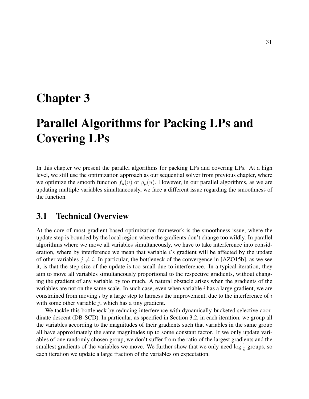# Chapter 3

# Parallel Algorithms for Packing LPs and Covering LPs

In this chapter we present the parallel algorithms for packing LPs and covering LPs. At a high level, we still use the optimization approach as our sequential solver from previous chapter, where we optimize the smooth function  $f_{\mu}(u)$  or  $g_{\mu}(u)$ . However, in our parallel algorithms, as we are updating multiple variables simultaneously, we face a different issue regarding the smoothness of the function.

## 3.1 Technical Overview

At the core of most gradient based optimization framework is the smoothness issue, where the update step is bounded by the local region where the gradients don't change too wildly. In parallel algorithms where we move all variables simultaneously, we have to take interference into consideration, where by interference we mean that variable *i*'s gradient will be affected by the update of other variables  $j \neq i$ . In particular, the bottleneck of the convergence in [AZO15b], as we see it, is that the step size of the update is too small due to interference. In a typical iteration, they aim to move all variables simultaneously proportional to the respective gradients, without changing the gradient of any variable by too much. A natural obstacle arises when the gradients of the variables are not on the same scale. In such case, even when variable  $i$  has a large gradient, we are constrained from moving  $i$  by a large step to harness the improvement, due to the interference of  $i$ with some other variable  $j$ , which has a tiny gradient.

We tackle this bottleneck by reducing interference with dynamically-bucketed selective coordinate descent (DB-SCD). In particular, as specified in Section 3.2, in each iteration, we group all the variables according to the magnitudes of their gradients such that variables in the same group all have approximately the same magnitudes up to some constant factor. If we only update variables of one randomly chosen group, we don't suffer from the ratio of the largest gradients and the smallest gradients of the variables we move. We further show that we only need  $\log \frac{1}{\epsilon}$  groups, so each iteration we update a large fraction of the variables on expectation.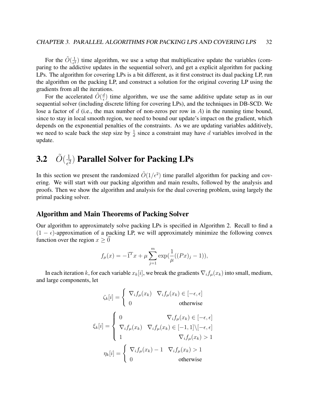For the  $\tilde{O}(\frac{1}{\epsilon^2})$  $\frac{1}{e^2}$ ) time algorithm, we use a setup that multiplicative update the variables (comparing to the addictive updates in the sequential solver), and get a explicit algorithm for packing LPs. The algorithm for covering LPs is a bit different, as it first construct its dual packing LP, run the algorithm on the packing LP, and construct a solution for the original covering LP using the gradients from all the iterations.

For the accelerated  $\tilde{O}(\frac{d}{\epsilon})$  $\frac{d}{\epsilon}$ ) time algorithm, we use the same additive update setup as in our sequential solver (including discrete lifting for covering LPs), and the techniques in DB-SCD. We lose a factor of d (i.e., the max number of non-zeros per row in A) in the running time bound, since to stay in local smooth region, we need to bound our update's impact on the gradient, which depends on the exponential penalties of the constraints. As we are updating variables additively, we need to scale back the step size by  $\frac{1}{d}$  since a constraint may have d variables involved in the update.

### **3.2**  $\tilde{O}(\frac{1}{\epsilon^2})$  $\frac{1}{\epsilon^2}$ ) Parallel Solver for Packing LPs

In this section we present the randomized  $\tilde{O}(1/\epsilon^2)$  time parallel algorithm for packing and covering. We will start with our packing algorithm and main results, followed by the analysis and proofs. Then we show the algorithm and analysis for the dual covering problem, using largely the primal packing solver.

### Algorithm and Main Theorems of Packing Solver

Our algorithm to approximately solve packing LPs is specified in Algorithm 2. Recall to find a  $(1 - \epsilon)$ -approximation of a packing LP, we will approximately minimize the following convex function over the region  $x \geq 0$ 

$$
f_{\mu}(x) = -\vec{1}^{T}x + \mu \sum_{j=1}^{m} \exp(\frac{1}{\mu}((Px)_{j} - 1)),
$$

In each iteration k, for each variable  $x_k[i]$ , we break the gradients  $\nabla_i f_\mu(x_k)$  into small, medium, and large components, let

$$
\zeta_k[i] = \begin{cases}\n\nabla_i f_\mu(x_k) & \nabla_i f_\mu(x_k) \in [-\epsilon, \epsilon] \\
0 & \text{otherwise}\n\end{cases}
$$
\n
$$
\xi_k[i] = \begin{cases}\n0 & \nabla_i f_\mu(x_k) \in [-\epsilon, \epsilon] \\
\nabla_i f_\mu(x_k) & \nabla_i f_\mu(x_k) \in [-1, 1] \setminus [-\epsilon, \epsilon] \\
1 & \nabla_i f_\mu(x_k) > 1 \\
0 & \text{otherwise}\n\end{cases}
$$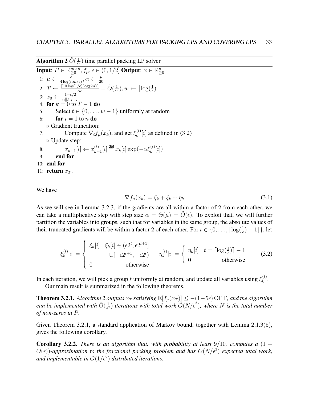Algorithm 2  $\tilde{O}(\frac{1}{\epsilon^2})$  $\frac{1}{\epsilon^2}$ ) time parallel packing LP solver

**Input:**  $P \in \mathbb{R}_{\geq 0}^{m \times n}$  $\sum_{i=0}^{m \times n} f(x_i, \epsilon) \in (0, 1/2]$  Output:  $x \in \mathbb{R}_{\geq 0}^n$ 1:  $\mu \leftarrow \frac{\epsilon}{4 \log(n m / \epsilon)}, \alpha \leftarrow \frac{\mu}{20}$ 2:  $T \leftarrow \frac{\lceil 10 \log(1/\epsilon) \log(2n) \rceil}{\alpha \epsilon} = \tilde{O}(\frac{1}{\epsilon^2})$  $(\frac{1}{\epsilon^2}), w \leftarrow \lceil \log(\frac{1}{\epsilon}) \rceil$ 3:  $x_0 \leftarrow \frac{1-\epsilon/2}{n||P_{\cdot i}||_{\infty}}$ <br>4: **for**  $k = 0$  to  $T - 1$  **do** 5: Select  $t \in \{0, \ldots, w-1\}$  uniformly at random 6: **for**  $i = 1$  to n **do**  $\triangleright$  Gradient truncation: 7: Compute  $\nabla_i f_\mu(x_k)$ , and get  $\xi_k^{(t)}$  $\binom{t}{k}[i]$  as defined in (3.2)  $\triangleright$  Update step: 8:  $x_{k+1}[i] \leftarrow x_{k+1}^{(t)}[i] \stackrel{\text{def}}{=} x_k[i] \exp(-\alpha \xi_k^{(t)}[i])$ 9: end for 10: end for 11: **return**  $x_T$ .

We have

$$
\nabla f_{\mu}(x_k) = \zeta_k + \xi_k + \eta_k \tag{3.1}
$$

As we will see in Lemma 3.2.3, if the gradients are all within a factor of 2 from each other, we can take a multiplicative step with step size  $\alpha = \Theta(\mu) = \tilde{O}(\epsilon)$ . To exploit that, we will further partition the variables into groups, such that for variables in the same group, the absolute values of their truncated gradients will be within a factor 2 of each other. For  $t \in \{0, \ldots, \lceil \log(\frac{1}{\epsilon}) - 1 \rceil\}$ , let

$$
\xi_k^{(t)}[i] = \begin{cases} \xi_k[i] & \xi_k[i] \in (\epsilon 2^t, \epsilon 2^{t+1}] \\ & \cup [-\epsilon 2^{t+1}, -\epsilon 2^t) \\ 0 & \text{otherwise} \end{cases} \quad \eta_k^{(t)}[i] = \begin{cases} \eta_k[i] & t = \lceil \log(\frac{1}{\epsilon}) \rceil - 1 \\ 0 & \text{otherwise} \end{cases} \tag{3.2}
$$

In each iteration, we will pick a group t uniformly at random, and update all variables using  $\xi_k^{(t)}$  $\frac{1}{k}$ .

Our main result is summarized in the following theorems.

**Theorem 3.2.1.** *Algorithm 2 outputs*  $x_T$  *satisfying*  $\mathbb{E}[f_\mu(x_T)] \le -(1-5\epsilon)$  OPT, and the algorithm *can be implemented with*  $\tilde{O}(\frac{1}{\epsilon^2})$  $\frac{1}{\epsilon^2}$ ) iterations with total work  $\tilde{O}(N/\epsilon^2)$ , where N is the total number *of non-zeros in* P*.*

Given Theorem 3.2.1, a standard application of Markov bound, together with Lemma 2.1.3(5), gives the following corollary.

**Corollary 3.2.2.** *There is an algorithm that, with probability at least*  $9/10$ *, computes a*  $(1 O(\epsilon)$ )-approximation to the fractional packing problem and has  $\tilde{O}(N/\epsilon^2)$  expected total work, and implementable in  $\tilde{O}(1/\epsilon^2)$  distributed iterations.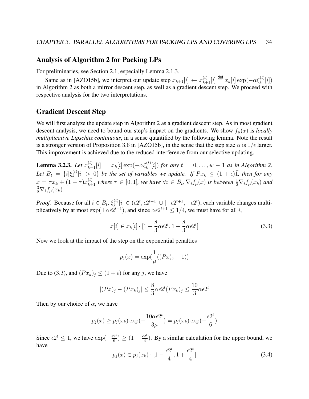## Analysis of Algorithm 2 for Packing LPs

For preliminaries, see Section 2.1, especially Lemma 2.1.3.

Same as in [AZO15b], we interpret our update step  $x_{k+1}[i] \leftarrow x_{k+1}^{(t)}[i] \stackrel{\text{def}}{=} x_k[i] \exp(-\alpha \xi_k^{(t)}[i])$ in Algorithm 2 as both a mirror descent step, as well as a gradient descent step. We proceed with respective analysis for the two interpretations.

## Gradient Descent Step

We will first analyze the update step in Algorithm 2 as a gradient descent step. As in most gradient descent analysis, we need to bound our step's impact on the gradients. We show  $f_u(x)$  is *locally multiplicative Lipschitz continuous*, in a sense quantified by the following lemma. Note the result is a stronger version of Proposition 3.6 in [AZO15b], in the sense that the step size  $\alpha$  is  $1/\epsilon$  larger. This improvement is achieved due to the reduced interference from our selective updating.

**Lemma 3.2.3.** *Let*  $x_{k+1}^{(t)}[i] = x_k[i] \exp(-\alpha \xi_k^{(t)}[i])$  *for any*  $t = 0, ..., w - 1$  *as in Algorithm 2. Let*  $B_t = \{i | \xi_k^{(t)}\}$  $\{f_k^{(t)}[i] > 0\}$  *be the set of variables we update. If*  $Px_k \leq (1 + \epsilon)\vec{1}$ *, then for any*  $x = \tau x_k + (1 - \tau) x_{k+1}^{(t)}$  where  $\tau \in [0, 1]$ , we have  $\forall i \in B_t$ ,  $\nabla_i f_\mu(x)$  is between  $\frac{1}{2} \nabla_i f_\mu(x_k)$  and  $\frac{3}{2}\nabla_i f_\mu(x_k)$ .

*Proof.* Because for all  $i \in B_t$ ,  $\xi_k^{(t)}$  $\mathbf{z}_{k}^{(t)}[i] \in (\epsilon 2^{t}, \epsilon 2^{t+1}] \cup [-\epsilon 2^{t+1}, -\epsilon 2^{t}),$  each variable changes multiplicatively by at most  $\exp(\pm \alpha \epsilon 2^{t+1})$ , and since  $\alpha \epsilon 2^{t+1} \le 1/4$ , we must have for all i,

$$
x[i] \in x_k[i] \cdot [1 - \frac{8}{3}\alpha \epsilon 2^t, 1 + \frac{8}{3}\alpha \epsilon 2^t]
$$
\n
$$
(3.3)
$$

Now we look at the impact of the step on the exponential penalties

$$
p_j(x) = \exp(\frac{1}{\mu}((Px)_j - 1))
$$

Due to (3.3), and  $(Px_k)_j \leq (1 + \epsilon)$  for any j, we have

$$
|(Px)_j - (Px_k)_j| \le \frac{8}{3}\alpha \epsilon 2^t (Px_k)_j \le \frac{10}{3}\alpha \epsilon 2^t
$$

Then by our choice of  $\alpha$ , we have

$$
p_j(x) \ge p_j(x_k) \exp(-\frac{10\alpha \epsilon 2^t}{3\mu}) = p_j(x_k) \exp(-\frac{\epsilon 2^t}{6})
$$

Since  $\epsilon 2^t \leq 1$ , we have  $\exp(-\frac{\epsilon 2^t}{6})$  $\frac{2^t}{6}) \geq (1 - \frac{\epsilon 2^t}{4})$  $\frac{2^2}{4}$ ). By a similar calculation for the upper bound, we have

$$
p_j(x) \in p_j(x_k) \cdot [1 - \frac{\epsilon 2^t}{4}, 1 + \frac{\epsilon 2^t}{4}]
$$
\n(3.4)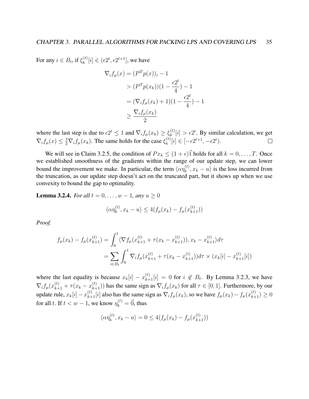For any  $i \in B_t$ , if  $\xi_k^{(t)}$  $\mathbf{z}_{k}^{(t)}[i] \in (e^{2t}, e^{2t+1}],$  we have

$$
\nabla_i f_\mu(x) = (P^T p(x))_i - 1
$$
  
> 
$$
(P^T p(x_k))(1 - \frac{\epsilon 2^t}{4}) - 1
$$
  
= 
$$
(\nabla_i f_\mu(x_k) + 1)(1 - \frac{\epsilon 2^t}{4}) - 1
$$
  

$$
\ge \frac{\nabla_i f_\mu(x_k)}{2}
$$

where the last step is due to  $\epsilon 2^t \leq 1$  and  $\nabla_i f_\mu(x_k) \geq \xi_k^{(t)}$  $\kappa_k^{(t)}[i] > \epsilon 2^t$ . By similar calculation, we get  $\nabla_i f_\mu(x) \leq \frac{3}{2} \nabla_i f_\mu(x_k)$ . The same holds for the case  $\xi_k^{(t)}$  $\mathbf{E}_{k}^{(t)}[i] \in [-\epsilon 2^{t+1}, -\epsilon 2^{t}).$ 

We will see in Claim 3.2.5, the condition of  $Px_k \leq (1 + \epsilon) \vec{1}$  holds for all  $k = 0, ..., T$ . Once we established smoothness of the gradients within the range of our update step, we can lower bound the improvement we make. In particular, the term  $\langle \alpha \eta_k^{(t)} \rangle$  $\binom{k}{k}$ ,  $x_k - u$  is the loss incurred from the truncation, as our update step doesn't act on the truncated part, but it shows up when we use convexity to bound the gap to optimality.

**Lemma 3.2.4.** *For all*  $t = 0, ..., w - 1$ *, any*  $u \ge 0$ 

$$
\langle \alpha \eta_k^{(t)}, x_k - u \rangle \le 4(f_\mu(x_k) - f_\mu(x_{k+1}^{(t)}))
$$

*Proof.*

$$
f_{\mu}(x_k) - f_{\mu}(x_{k+1}^{(t)}) = \int_0^1 \langle \nabla f_{\mu}(x_{k+1}^{(t)} + \tau(x_k - x_{k+1}^{(t)})), x_k - x_{k+1}^{(t)} \rangle d\tau
$$
  
= 
$$
\sum_{i \in B_t} \int_0^1 \nabla_i f_{\mu}(x_{k+1}^{(t)} + \tau(x_k - x_{k+1}^{(t)})) d\tau \times (x_k[i] - x_{k+1}^{(t)}[i])
$$

where the last equality is because  $x_k[i] - x_{k+1}^{(t)}[i] = 0$  for  $i \notin B_t$ . By Lemma 3.2.3, we have  $\nabla_i f_\mu(x_{k+1}^{(t)} + \tau(x_k - x_{k+1}^{(t)}))$  has the same sign as  $\nabla_i f_\mu(x_k)$  for all  $\tau \in [0, 1]$ . Furthermore, by our update rule,  $x_k[i] - x_{k+1}^{(t)}[i]$  also has the same sign as  $\nabla_i f_\mu(x_k)$ , so we have  $f_\mu(x_k) - f_\mu(x_{k+1}^{(t)}) \ge 0$ for all t. If  $t < w - 1$ , we know  $\eta_k^{(t)} = \vec{0}$ , thus

$$
\langle \alpha \eta_k^{(t)}, x_k - u \rangle = 0 \le 4(f_\mu(x_k) - f_\mu(x_{k+1}^{(t)}))
$$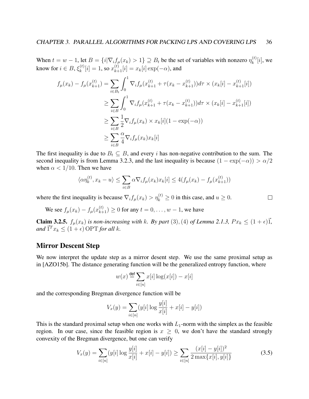When  $t = w - 1$ , let  $B = \{i | \nabla_i f_\mu(x_k) > 1\} \supseteq B_t$  be the set of variables with nonzero  $\eta_k^{(t)}$  $k^{(t)}[i]$ , we know for  $i \in B, \xi_k^{(t)}$  $\kappa_k^{(t)}[i] = 1$ , so  $x_{k+1}^{(t)}[i] = x_k[i] \exp(-\alpha)$ , and

$$
f_{\mu}(x_k) - f_{\mu}(x_{k+1}^{(t)}) = \sum_{i \in B_t} \int_0^1 \nabla_i f_{\mu}(x_{k+1}^{(t)} + \tau(x_k - x_{k+1}^{(t)})) d\tau \times (x_k[i] - x_{k+1}^{(t)}[i])
$$
  
\n
$$
\geq \sum_{i \in B} \int_0^1 \nabla_i f_{\mu}(x_{k+1}^{(t)} + \tau(x_k - x_{k+1}^{(t)})) d\tau \times (x_k[i] - x_{k+1}^{(t)}[i])
$$
  
\n
$$
\geq \sum_{i \in B} \frac{1}{2} \nabla_i f_{\mu}(x_k) \times x_k[i](1 - \exp(-\alpha))
$$
  
\n
$$
\geq \sum_{i \in B} \frac{\alpha}{4} \nabla_i f_{\mu}(x_k) x_k[i]
$$

The first inequality is due to  $B_t \subseteq B$ , and every i has non-negative contribution to the sum. The second inequality is from Lemma 3.2.3, and the last inequality is because  $(1 - \exp(-\alpha)) > \alpha/2$ when  $\alpha$  < 1/10. Then we have

$$
\langle \alpha \eta_k^{(t)}, x_k - u \rangle \le \sum_{i \in B} \alpha \nabla_i f_\mu(x_k) x_k[i] \le 4(f_\mu(x_k) - f_\mu(x_{k+1}^{(t)}))
$$

 $\Box$ 

where the first inequality is because  $\nabla_i f_\mu(x_k) > \eta_k^{(t)} \ge 0$  in this case, and  $u \ge 0$ .

We see 
$$
f_{\mu}(x_k) - f_{\mu}(x_{k+1}^{(t)}) \ge 0
$$
 for any  $t = 0, ..., w - 1$ , we have

**Claim 3.2.5.**  $f_\mu(x_k)$  *is non-increasing with k. By part* (3), (4) *of Lemma 2.1.3,*  $Px_k \leq (1+\epsilon)\vec{1}$ ,  $and \vec{T}^T x_k \leq (1+\epsilon) \text{ OPT}$  *for all k.* 

## Mirror Descent Step

We now interpret the update step as a mirror desent step. We use the same proximal setup as in [AZO15b]. The distance generating function will be the generalized entropy function, where

$$
w(x) \stackrel{\text{def}}{=} \sum_{i \in [n]} x[i] \log(x[i]) - x[i]
$$

and the corresponding Bregman divergence function will be

$$
V_x(y) = \sum_{i \in [n]} (y[i] \log \frac{y[i]}{x[i]} + x[i] - y[i])
$$

This is the standard proximal setup when one works with  $L_1$ -norm with the simplex as the feasible region. In our case, since the feasible region is  $x \geq 0$ , we don't have the standard strongly convexity of the Bregman divergence, but one can verify

$$
V_x(y) = \sum_{i \in [n]} (y[i] \log \frac{y[i]}{x[i]} + x[i] - y[i]) \ge \sum_{i \in [n]} \frac{(x[i] - y[i])^2}{2 \max\{x[i], y[i]\}}
$$
(3.5)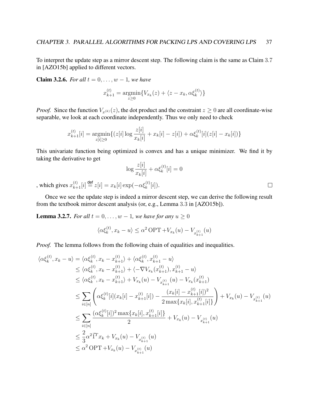To interpret the update step as a mirror descent step. The following claim is the same as Claim 3.7 in [AZO15b] applied to different vectors.

**Claim 3.2.6.** *For all*  $t = 0, ..., w - 1$ *, we have* 

$$
x_{k+1}^{(t)} = \underset{z \ge 0}{\text{argmin}} \{ V_{x_k}(z) + \langle z - x_k, \alpha \xi_k^{(t)} \rangle \}
$$

*Proof.* Since the function  $V_{x^{(k)}}(z)$ , the dot product and the constraint  $z \ge 0$  are all coordinate-wise separable, we look at each coordinate independently. Thus we only need to check

$$
x_{k+1}^{(t)}[i] = \underset{z[i] \ge 0}{\text{argmin}} \{ (z[i] \log \frac{z[i]}{x_k[i]} + x_k[i] - z[i]) + \alpha \xi_k^{(t)}[i](z[i] - x_k[i]) \}
$$

This univariate function being optimized is convex and has a unique minimizer. We find it by taking the derivative to get

$$
\log \frac{z[i]}{x_k[i]} + \alpha \xi_k^{(t)}[i] = 0
$$

, which gives  $x_{k+1}^{(t)}[i] \stackrel{\text{def}}{=} z[i] = x_k[i] \exp(-\alpha \xi_k^{(t)}[i]).$ 

Once we see the update step is indeed a mirror descent step, we can derive the following result from the textbook mirror descent analysis (or, e.g., Lemma 3.3 in [AZO15b]).

 $\Box$ 

**Lemma 3.2.7.** *For all*  $t = 0, \ldots, w - 1$ *, we have for any*  $u \ge 0$ 

$$
\langle \alpha \xi_k^{(t)}, x_k - u \rangle \leq \alpha^2 \text{OPT} + V_{x_k}(u) - V_{x_{k+1}^{(t)}}(u)
$$

*Proof.* The lemma follows from the following chain of equalities and inequalities.

$$
\langle \alpha \xi_k^{(t)}, x_k - u \rangle = \langle \alpha \xi_k^{(t)}, x_k - x_{k+1}^{(t)} \rangle + \langle \alpha \xi_k^{(t)}, x_{k+1}^{(t)} - u \rangle
$$
  
\n
$$
\leq \langle \alpha \xi_k^{(t)}, x_k - x_{k+1}^{(t)} \rangle + \langle -\nabla V_{x_k}(x_{k+1}^{(t)}), x_{k+1}^{(t)} - u \rangle
$$
  
\n
$$
\leq \langle \alpha \xi_k^{(t)}, x_k - x_{k+1}^{(t)} \rangle + V_{x_k}(u) - V_{x_{k+1}^{(t)}}(u) - V_{x_k}(x_{k+1}^{(t)})
$$
  
\n
$$
\leq \sum_{i \in [n]} \left( \alpha \xi_k^{(t)}[i](x_k[i] - x_{k+1}^{(t)}[i]) - \frac{(x_k[i] - x_{k+1}^{(t)}[i])^2}{2 \max\{x_k[i], x_{k+1}^{(t)}[i]\}} \right) + V_{x_k}(u) - V_{x_{k+1}^{(t)}}(u)
$$
  
\n
$$
\leq \sum_{i \in [n]} \frac{(\alpha \xi_k^{(t)}[i])^2 \max\{x_k[i], x_{k+1}^{(t)}[i]\}}{2} + V_{x_k}(u) - V_{x_{k+1}^{(t)}}(u)
$$
  
\n
$$
\leq \frac{2}{3} \alpha^2 \vec{1}^T x_k + V_{x_k}(u) - V_{x_{k+1}^{(t)}}(u)
$$
  
\n
$$
\leq \alpha^2 \text{OPT} + V_{x_k}(u) - V_{x_{k+1}^{(t)}}(u)
$$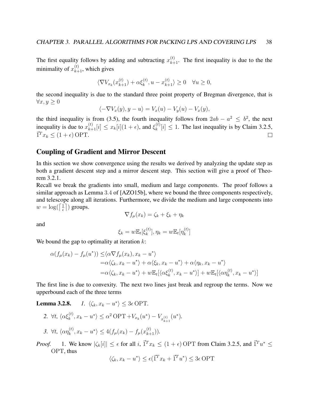The first equality follows by adding and subtracting  $x_{k+1}^{(t)}$ . The first inequality is due to the the minimality of  $x_{k+1}^{(t)}$ , which gives

$$
\langle \nabla V_{x_k}(x_{k+1}^{(t)}) + \alpha \xi_k^{(t)}, u - x_{k+1}^{(t)} \rangle \ge 0 \quad \forall u \ge 0,
$$

the second inequality is due to the standard three point property of Bregman divergence, that is  $\forall x, y \geq 0$ 

$$
\langle -\nabla V_x(y), y - u \rangle = V_x(u) - V_y(u) - V_x(y),
$$

the third inequality is from (3.5), the fourth inequality follows from  $2ab - a^2 \leq b^2$ , the next inequality is due to  $x_{k+1}^{(t)}[i] \leq x_k[i](1+\epsilon)$ , and  $\xi_k^{(t)}$  $\binom{[t]}{k}[i] \leq 1$ . The last inequality is by Claim 3.2.5,  $\vec{1}^T x_k \leq (1+\epsilon)$  OPT.  $\Box$ 

### Coupling of Gradient and Mirror Descent

In this section we show convergence using the results we derived by analyzing the update step as both a gradient descent step and a mirror descent step. This section will give a proof of Theorem 3.2.1.

Recall we break the gradients into small, medium and large components. The proof follows a similar approach as Lemma 3.4 of [AZO15b], where we bound the three components respectively, and telescope along all iterations. Furthermore, we divide the medium and large components into  $w = \log(\left[\frac{1}{\epsilon}\right])$  $\frac{1}{\epsilon}$ ]) groups.

$$
\nabla f_{\mu}(x_k) = \zeta_k + \xi_k + \eta_k
$$

and

$$
\xi_k = w \mathbb{E}_t[\xi_k^{(t)}], \eta_k = w \mathbb{E}_t[\eta_k^{(t)}]
$$

We bound the gap to optimality at iteration  $k$ :

$$
\alpha(f_{\mu}(x_k) - f_{\mu}(u^*)) \leq \langle \alpha \nabla f_{\mu}(x_k), x_k - u^* \rangle
$$
  
=  $\alpha \langle \zeta_k, x_k - u^* \rangle + \alpha \langle \xi_k, x_k - u^* \rangle + \alpha \langle \eta_k, x_k - u^* \rangle$   
=  $\alpha \langle \zeta_k, x_k - u^* \rangle + w \mathbb{E}_t[\langle \alpha \xi_k^{(t)}, x_k - u^* \rangle] + w \mathbb{E}_t[\langle \alpha \eta_k^{(t)}, x_k - u^* \rangle]$ 

The first line is due to convexity. The next two lines just break and regroup the terms. Now we upperbound each of the three terms

**Lemma 3.2.8.** *1.*  $\langle \zeta_k, x_k - u^* \rangle \leq 3\epsilon$  OPT.

\n- 2. 
$$
\forall t, \langle \alpha \xi_k^{(t)}, x_k - u^* \rangle \leq \alpha^2 \text{OPT} + V_{x_k}(u^*) - V_{x_{k+1}^{(t)}}(u^*).
$$
\n- 3.  $\forall t, \langle \alpha \eta_k^{(t)}, x_k - u^* \rangle \leq 4(f_\mu(x_k) - f_\mu(x_{k+1}^{(t)})).$
\n

*Proof.* 1. We know  $|\zeta_k[i]| \leq \epsilon$  for all  $i, \vec{1}^T x_k \leq (1 + \epsilon)$  OPT from Claim 3.2.5, and  $\vec{1}^T u^* \leq$ OPT, thus

$$
\langle \zeta_k, x_k - u^* \rangle \le \epsilon (\vec{1}^T x_k + \vec{1}^T u^*) \le 3\epsilon \text{ OPT}
$$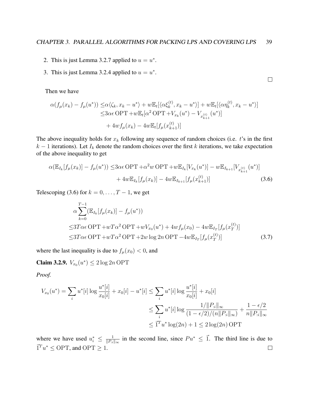$\Box$ 

- 2. This is just Lemma 3.2.7 applied to  $u = u^*$ .
- 3. This is just Lemma 3.2.4 applied to  $u = u^*$ .

Then we have

$$
\alpha(f_{\mu}(x_{k}) - f_{\mu}(u^{*})) \leq \alpha \langle \zeta_{k}, x_{k} - u^{*} \rangle + w \mathbb{E}_{t} [\langle \alpha \xi_{k}^{(t)}, x_{k} - u^{*} \rangle] + w \mathbb{E}_{t} [\langle \alpha \eta_{k}^{(t)}, x_{k} - u^{*} \rangle] \leq 3\alpha \epsilon \text{OPT} + w \mathbb{E}_{t} [\alpha^{2} \text{OPT} + V_{x_{k}}(u^{*}) - V_{x_{k+1}^{(t)}}(u^{*})] + 4wf_{\mu}(x_{k}) - 4w \mathbb{E}_{t} [f_{\mu}(x_{k+1}^{(t)})]
$$

The above inequality holds for  $x_k$  following any sequence of random choices (i.e. t's in the first  $k - 1$  iterations). Let  $I_k$  denote the random choices over the first k iterations, we take expectation of the above inequality to get

$$
\alpha(\mathbb{E}_{I_k}[f_{\mu}(x_k)] - f_{\mu}(u^*)) \leq 3\alpha\epsilon \text{OPT} + \alpha^2 w \text{ OPT} + w\mathbb{E}_{I_k}[V_{x_k}(u^*)] - w\mathbb{E}_{I_{k+1}}[V_{x_{k+1}}(u^*)] + 4w\mathbb{E}_{I_k}[f_{\mu}(x_k)] - 4w\mathbb{E}_{I_{k+1}}[f_{\mu}(x_{k+1}^{(t)})]
$$
(3.6)

Telescoping (3.6) for  $k = 0, \ldots, T - 1$ , we get

$$
\alpha \sum_{k=0}^{T-1} (\mathbb{E}_{I_k}[f_\mu(x_k)] - f_\mu(u^*))
$$
  
\n
$$
\leq 3T\alpha\epsilon \text{ OPT} + wT\alpha^2 \text{ OPT} + wV_{x_0}(u^*) + 4wf_\mu(x_0) - 4w\mathbb{E}_{I_T}[f_\mu(x_T^{(t)})]
$$
  
\n
$$
\leq 3T\alpha\epsilon \text{ OPT} + wT\alpha^2 \text{ OPT} + 2w\log 2n \text{ OPT} - 4w\mathbb{E}_{I_T}[f_\mu(x_T^{(t)})]
$$
\n(3.7)

where the last inequality is due to  $f_{\mu}(x_0) < 0$ , and

**Claim 3.2.9.**  $V_{x_0}(u^*) \leq 2 \log 2n$  OPT

*Proof.*

$$
V_{x_0}(u^*) = \sum_{i} u^*[i] \log \frac{u^*[i]}{x_0[i]} + x_0[i] - u^*[i] \le \sum_{i} u^*[i] \log \frac{u^*[i]}{x_0[i]} + x_0[i]
$$
  

$$
\le \sum_{i} u^*[i] \log \frac{1/||P_{:i}||_{\infty}}{(1 - \epsilon/2)/(n||P_{:i}||_{\infty})} + \frac{1 - \epsilon/2}{n||P_{:i}||_{\infty}}
$$
  

$$
\le \overline{1}^T u^* \log(2n) + 1 \le 2 \log(2n) \text{ OPT}
$$

 $\frac{1}{\|P_{i\cdot}\|_{\infty}}$  in the second line, since  $Pu^* \leq \vec{1}$ . The third line is due to where we have used  $u_i^* \leq \frac{1}{\|P_i\|}$  $\overline{1}^T u^* \leq \text{OPT}$ , and  $\text{OPT} \geq 1$ .  $\Box$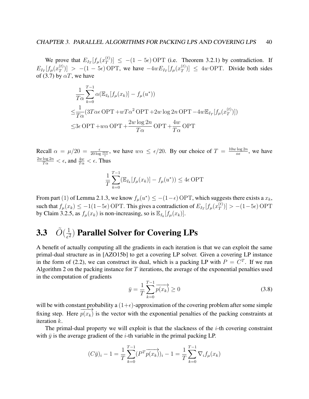We prove that  $E_{I_T}[f_\mu(x_T^{(t)})]$  $\begin{bmatrix} \sigma(t) \\ T \end{bmatrix}$   $\leq - (1 - 5\epsilon) \text{ OPT}$  (i.e. Theorem 3.2.1) by contradiction. If  $E_{I_T}[f_{\mu}(x_{T}^{(t)})]$  $\binom{f(t)}{T}$  > -(1 - 5 $\epsilon$ ) OPT, we have  $-4wE_{I_T}[f_\mu(x_T^{(t)})]$  $\left( \begin{array}{c} \n\text{(t)} \\ \n\text{(t)} \n\end{array} \right)$   $\leq 4w$  OPT. Divide both sides of (3.7) by  $\alpha T$ , we have

$$
\frac{1}{T\alpha} \sum_{k=0}^{T-1} \alpha (\mathbb{E}_{I_k}[f_{\mu}(x_k)] - f_{\mu}(u^*))
$$
\n
$$
\leq \frac{1}{T\alpha} (3T\alpha \epsilon \text{OPT} + wT\alpha^2 \text{OPT} + 2w \log 2n \text{OPT} - 4w \mathbb{E}_{I_T}[f_{\mu}(x_T^{(t)})])
$$
\n
$$
\leq 3\epsilon \text{OPT} + w\alpha \text{OPT} + \frac{2w \log 2n}{T\alpha} \text{OPT} + \frac{4w}{T\alpha} \text{OPT}
$$

Recall  $\alpha = \mu/20 = \frac{\epsilon}{20 \log \frac{m n}{\epsilon}}$ , we have  $w\alpha \leq \epsilon/20$ . By our choice of  $T = \frac{10w \log 2n}{\alpha \epsilon}$  $rac{\log 2n}{\alpha \epsilon}$ , we have  $\frac{2w\log 2n}{T\alpha}<\epsilon$ , and  $\frac{4w}{T\alpha}<\epsilon$ . Thus

$$
\frac{1}{T} \sum_{k=0}^{T-1} (\mathbb{E}_{I_k}[f_\mu(x_k)] - f_\mu(u^*)) \le 4\epsilon \text{ OPT}
$$

From part (1) of Lemma 2.1.3, we know  $f_{\mu}(u^*) \leq -(1-\epsilon)$  OPT, which suggests there exists a  $x_k$ , such that  $f_{\mu}(x_k) \le -1(1-5\epsilon)$  OPT. This gives a contradiction of  $E_{I_T}[f_{\mu}(x_T^{(t)})]$  $\binom{t}{T}$ ) > -(1-5 $\epsilon$ ) OPT by Claim 3.2.5, as  $f_{\mu}(x_k)$  is non-increasing, so is  $\mathbb{E}_{I_k}[f_{\mu}(x_k)]$ .

### **3.3**  $\tilde{O}(\frac{1}{\epsilon^2})$  $\frac{1}{\epsilon^2}$ ) Parallel Solver for Covering LPs

A benefit of actually computing all the gradients in each iteration is that we can exploit the same primal-dual structure as in [AZO15b] to get a covering LP solver. Given a covering LP instance in the form of (2.2), we can construct its dual, which is a packing LP with  $P = C<sup>T</sup>$ . If we run Algorithm 2 on the packing instance for T iterations, the average of the exponential penalties used in the computation of gradients

$$
\bar{y} = \frac{1}{T} \sum_{k=0}^{T-1} \overrightarrow{p(x_k)} \ge 0
$$
\n(3.8)

will be with constant probability a  $(1+\epsilon)$ -approximation of the covering problem after some simple fixing step. Here  $\frac{\mu}{\rightarrow}$  $p(x_k)$  is the vector with the exponential penalties of the packing constraints at iteration k.

The primal-dual property we will exploit is that the slackness of the  $i$ -th covering constraint with  $\bar{y}$  is the average gradient of the *i*-th variable in the primal packing LP.

$$
(C\bar{y})_i - 1 = \frac{1}{T} \sum_{k=0}^{T-1} (P^T \overrightarrow{p(x_k)})_i - 1 = \frac{1}{T} \sum_{k=0}^{T-1} \nabla_i f_\mu(x_k)
$$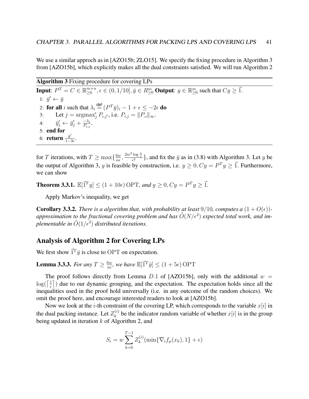We use a similar approch as in [AZO15b; ZLO15]. We specify the fixing procedure in Algorithm 3 from [AZO15b], which explicitly makes all the dual constraints satisfied. We will run Algorithm 2

Algorithm 3 Fixing procedure for covering LPs **Input:**  $P^T = C \in \mathbb{R}_{\geq 0}^{m \times n}$  $w_{\geq 0}^{m \times n}, \epsilon \in (0, 1/10], \bar{y} \in R_{\geq 0}^m$  **Output**:  $y \in \mathbb{R}_{\geq 0}^m$  such that  $Cy \geq \vec{1}$ . 1:  $\bar{y}' \leftarrow \bar{y}$ 2: for all i such that  $\lambda_i \stackrel{\text{def}}{=} (P^T \bar{y})_i - 1 + \epsilon \leq -2\epsilon$  do 3: Let  $j = \argmax_j P_{i,j'}$ , i.e.  $P_{i,j} = ||P_{ii}||_{\infty}$ . 4:  $\bar{y}'_j \leftarrow \bar{y}'_j + \frac{-\lambda_i}{P_{i,j}}$  $\frac{-\lambda_i}{P_{i,j}}.$ 5: end for 6: **return**  $\frac{\bar{y}'}{1-\bar{y}}$  $rac{y'}{1-3\epsilon}$ .

for T iterations, with  $T \ge \max\{\frac{6w}{\alpha^2}\}$  $\frac{6w}{\alpha \epsilon}, \frac{2w^2 \log \frac{n}{\epsilon}}{\epsilon^2}$ , and fix the  $\bar{y}$  as in (3.8) with Algorithm 3. Let y be the output of Algorithm 3, y is feasible by construction, i.e.  $y \ge 0$ ,  $Cy = P^{T}y \ge \vec{1}$ . Furthermore, we can show

**Theorem 3.3.1.**  $\mathbb{E}[{\vec{1}}^T y] \le (1 + 10\epsilon)$  OPT, and  $y \ge 0$ ,  $Cy = P^T y \ge \vec{1}$ .

Apply Markov's inequality, we get

**Corollary 3.3.2.** *There is a algorithm that, with probability at least* 9/10*, computes a*  $(1 + O(\epsilon))$ approximation to the fractional covering problem and has  $\tilde{O}(N/\epsilon^2)$  expected total work, and im*plementable in*  $\tilde{O}(1/\epsilon^2)$  *distributed iterations.* 

### Analysis of Algorithm 2 for Covering LPs

We first show  $\vec{1}^T \bar{y}$  is close to OPT on expectation.

**Lemma 3.3.3.** *For any*  $T \geq \frac{6w}{\alpha \epsilon}$  $\frac{6w}{\alpha \epsilon}$ , we have  $\mathbb{E}[\bar{1}^T \bar{y}] \leq (1+5\epsilon) \text{ OPT}$ 

The proof follows directly from Lemma D.1 of [AZO15b], only with the additional  $w =$  $\log(\lceil \frac{1}{\epsilon} \rceil)$  $\frac{1}{\epsilon}$ ) due to our dynamic grouping, and the expectation. The expectation holds since all the inequalities used in the proof hold universally (i.e. in any outcome of the random choices). We omit the proof here, and encourage interested readers to look at [AZO15b].

Now we look at the *i*-th constraint of the covering LP, which corresponds to the variable  $x[i]$  in the dual packing instance. Let  $Z_k^{(i)}$  $k<sup>(i)</sup>$  be the indicator random variable of whether  $x[i]$  is in the group being updated in iteration  $k$  of Algorithm 2, and

$$
S_i = w \sum_{k=0}^{T-1} Z_k^{(i)}(\min{\nabla_i f_\mu(x_k), 1} + \epsilon)
$$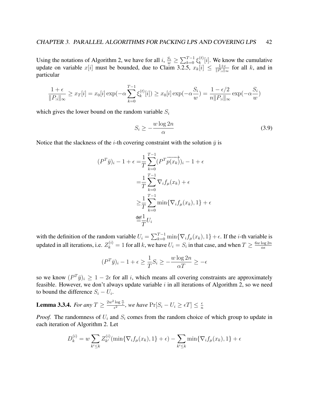Using the notations of Algorithm 2, we have for all  $i$ ,  $\frac{S_i}{w} \ge \sum_{k=0}^{T-1} \xi_k^{(t)}$  $\binom{[t]}{k}[i]$ . We know the cumulative update on variable  $x[i]$  must be bounded, due to Claim 3.2.5,  $x_k[i] \leq \frac{1+\epsilon}{||P_{k,i}||}$  $\frac{1+\epsilon}{\|P_{:i}\|_{\infty}}$  for all k, and in particular

$$
\frac{1+\epsilon}{\|P_{:i}\|_{\infty}} \ge x_T[i] = x_0[i] \exp(-\alpha \sum_{k=0}^{T-1} \xi_k^{(t)}[i]) \ge x_0[i] \exp(-\alpha \frac{S_i}{w}) = \frac{1-\epsilon/2}{n\|P_{:i}\|_{\infty}} \exp(-\alpha \frac{S_i}{w})
$$

which gives the lower bound on the random variable  $S_i$ 

$$
S_i \ge -\frac{w \log 2n}{\alpha} \tag{3.9}
$$

Notice that the slackness of the *i*-th covering constraint with the solution  $\bar{y}$  is

$$
(PT \bar{y})_i - 1 + \epsilon = \frac{1}{T} \sum_{k=0}^{T-1} (PT \bar{p}(x_k))_i - 1 + \epsilon
$$

$$
= \frac{1}{T} \sum_{k=0}^{T-1} \nabla_i f_\mu(x_k) + \epsilon
$$

$$
\geq \frac{1}{T} \sum_{k=0}^{T-1} \min \{ \nabla_i f_\mu(x_k), 1 \} + \epsilon
$$

$$
\stackrel{\text{def}}{=} \frac{1}{T} U_i
$$

with the definition of the random variable  $U_i = \sum_{k=0}^{T-1} \min\{\nabla_i f_\mu(x_k), 1\} + \epsilon$ . If the *i*-th variable is updated in all iterations, i.e.  $Z_k^{(i)} = 1$  for all k, we have  $U_i = S_i$  in that case, and when  $T \ge \frac{6w \log 2n}{\alpha \epsilon}$  $\alpha\epsilon$ 

$$
(P^T \bar{y})_i - 1 + \epsilon \ge \frac{1}{T} S_i \ge -\frac{w \log 2n}{\alpha T} \ge -\epsilon
$$

so we know  $(P^T \bar{y})_i \geq 1 - 2\epsilon$  for all i, which means all covering constraints are approximately feasible. However, we don't always update variable  $i$  in all iterations of Algorithm 2, so we need to bound the difference  $S_i - U_i$ .

**Lemma 3.3.4.** For any  $T \ge \frac{2w^2\log{\frac{n}{\epsilon}}}{\epsilon^2}$ , we have  $\Pr[S_i - U_i \ge \epsilon T] \le \frac{\epsilon}{n}$ n

*Proof.* The randomness of  $U_i$  and  $S_i$  comes from the random choice of which group to update in each iteration of Algorithm 2. Let

$$
D_k^{(i)} = w \sum_{k' \le k} Z_{k'}^{(i)}(\min\{\nabla_i f_\mu(x_k), 1\} + \epsilon) - \sum_{k' \le k} \min\{\nabla_i f_\mu(x_k), 1\} + \epsilon
$$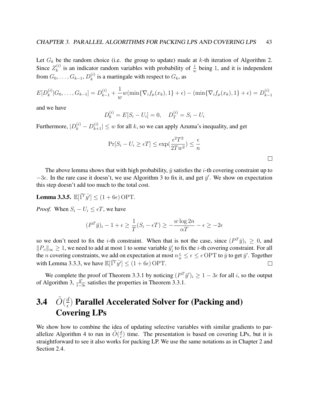Let  $G_k$  be the random choice (i.e. the group to update) made at k-th iteration of Algorithm 2. Since  $Z_k^{(i)}$  $\frac{f^{(i)}}{k}$  is an indicator random variables with probability of  $\frac{1}{w}$  being 1, and it is independent from  $G_0, \ldots, G_{k-1},$   $D_k^{(i)}$  $\binom{n}{k}$  is a martingale with respect to  $G_k$ , as

$$
E[D_k^{(i)}|G_0,\ldots,G_{k-1}] = D_{k-1}^{(i)} + \frac{1}{w}w(\min\{\nabla_i f_\mu(x_k),1\} + \epsilon) - (\min\{\nabla_i f_\mu(x_k),1\} + \epsilon) = D_{k-1}^{(i)}
$$

and we have

$$
D_0^{(i)} = E[S_i - U_i] = 0, \quad D_T^{(i)} = S_i - U_i
$$

Furthermore,  $|D_k^{(i)} - D_{k+1}^{(i)}| \leq w$  for all k, so we can apply Azuma's inequality, and get

$$
\Pr[S_i - U_i \ge \epsilon T] \le \exp(\frac{\epsilon^2 T^2}{2Tw^2}) \le \frac{\epsilon}{n}
$$

The above lemma shows that with high probability,  $\bar{y}$  satisfies the *i*-th covering constraint up to  $-3\epsilon$ . In the rare case it doesn't, we use Algorithm 3 to fix it, and get  $\bar{y}'$ . We show on expectation this step doesn't add too much to the total cost.

**Lemma 3.3.5.**  $\mathbb{E}[\vec{1}^T \bar{y'}] \leq (1 + 6\epsilon)$  OPT.

*Proof.* When  $S_i - U_i \leq \epsilon T$ , we have

$$
(P^T \bar{y})_i - 1 + \epsilon \ge \frac{1}{T}(S_i - \epsilon T) \ge -\frac{w \log 2n}{\alpha T} - \epsilon \ge -2\epsilon
$$

so we don't need to fix the *i*-th constraint. When that is not the case, since  $(P^T \bar{y})_i \geq 0$ , and  $||P_{i}||_{\infty} \geq 1$ , we need to add at most 1 to some variable  $\bar{y}'_j$  to fix the *i*-th covering constraint. For all the *n* covering constraints, we add on expectation at most  $n\frac{\epsilon}{n} \leq \epsilon \leq \epsilon$  OPT to  $\bar{y}$  to get  $\bar{y}'$ . Together with Lemma 3.3.3, we have  $\mathbb{E}[\vec{1}^T \vec{y}] \le (1 + 6\epsilon) \text{ OPT}$ .  $\Box$ 

We complete the proof of Theorem 3.3.1 by noticing  $(P^T \bar{y}')_i \geq 1 - 3\epsilon$  for all i, so the output of Algorithm 3,  $\frac{\bar{y}^{\prime}}{1-\bar{y}}$  $\frac{y}{1-3\epsilon}$  satisfies the properties in Theorem 3.3.1.

## 3.4  $\tilde{O}(\frac{d}{\epsilon})$  $\frac{d}{\epsilon}$ ) Parallel Accelerated Solver for (Packing and) Covering LPs

We show how to combine the idea of updating selective variables with similar gradients to parallelize Algorithm 4 to run in  $\tilde{O}(\frac{d}{\epsilon})$  $\frac{d}{\epsilon}$ ) time. The presentation is based on covering LPs, but it is straightforward to see it also works for packing LP. We use the same notations as in Chapter 2 and Section 2.4.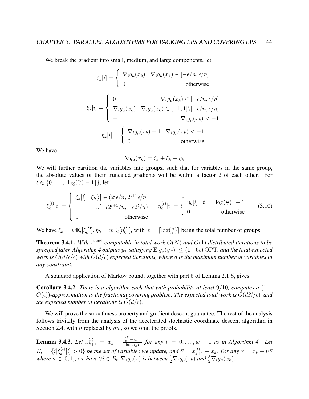We break the gradient into small, medium, and large components, let

$$
\zeta_k[i] = \begin{cases} \nabla_i g_\mu(x_k) & \nabla_i g_\mu(x_k) \in [-\epsilon/n, \epsilon/n] \\ 0 & \text{otherwise} \n\end{cases}
$$

$$
\xi_k[i] = \begin{cases}\n0 & \nabla_i g_\mu(x_k) \in [-\epsilon/n, \epsilon/n] \\
\nabla_i g_\mu(x_k) & \nabla_i g_\mu(x_k) \in [-1, 1] \setminus [-\epsilon/n, \epsilon/n] \\
-1 & \nabla_i g_\mu(x_k) < -1 \\
\eta_k[i] = \begin{cases}\n\nabla_i g_\mu(x_k) + 1 & \nabla_i g_\mu(x_k) < -1 \\
0 & \text{otherwise}\n\end{cases}\n\end{cases}
$$

We have

$$
\nabla g_{\mu}(x_k) = \zeta_k + \xi_k + \eta_k
$$

We will further partition the variables into groups, such that for variables in the same group, the absolute values of their truncated gradients will be within a factor 2 of each other. For  $t \in \{0, \ldots, \lceil \log(\frac{n}{\epsilon}) - 1 \rceil\},\text{let}$ 

$$
\xi_k^{(t)}[i] = \begin{cases}\n\xi_k[i] & \xi_k[i] \in (2^t \epsilon/n, 2^{t+1} \epsilon/n] \\
\cup [-\epsilon 2^{t+1}/n, -\epsilon 2^t/n) & \eta_k^{(t)}[i] = \begin{cases}\n\eta_k[i] & t = \lceil \log(\frac{n}{\epsilon}) \rceil - 1 \\
0 & \text{otherwise}\n\end{cases} (3.10)
$$

We have  $\xi_k = w \mathbb{E}_t[\xi_k^{(t)}]$  $\binom{t}{k}, \eta_k = w \mathbb{E}_t[\eta_k^{(t)}]$  ${k \choose k}$ , with  $w = \lceil \log(\frac{n}{\epsilon}) \rceil$  being the total number of groups.

**Theorem 3.4.1.** With  $x^{\text{start}}$  computable in total work  $\tilde{O}(N)$  and  $\tilde{O}(1)$  distributed iterations to be *specified later, Algorithm 4 outputs*  $y_T$  *satisfying*  $\mathbb{E}[g_\mu(y_T)] \leq (1+6\epsilon)$  OPT, and the total expected *work is*  $O(dN/\epsilon)$  *with*  $O(d/\epsilon)$  *expected iterations, where* d *is the maximum number of variables in any constraint.*

A standard application of Markov bound, together with part 5 of Lemma 2.1.6, gives

**Corollary 3.4.2.** *There is a algorithm such that with probability at least*  $9/10$ *, computes a*  $(1 +$  $O(\epsilon)$ *)*-approximation to the fractional covering problem. The expected total work is  $O(dN/\epsilon)$ , and *the expected number of iterations is*  $\hat{O}(d/\epsilon)$ *.* 

We will prove the smoothness property and gradient descent guarantee. The rest of the analysis follows trivially from the analysis of the accelerated stochastic coordinate descent algorithm in Section 2.4, with  $n$  replaced by  $dw$ , so we omit the proofs.

**Lemma 3.4.3.** *Let*  $x_{k+1}^{(t)} = x_k + \frac{z_k^{(t)} - z_{k-1}}{4dw\alpha_kL}$  $\frac{k^{2}-2k-1}{4dw\alpha_{k}L}$  for any  $t = 0, \ldots, w-1$  as in Algorithm 4. Let  $B_t = \{i | \xi_k^{(t)}\}$  $\kappa_k^{(t)}[i]>0\}$  be the set of variables we update, and  $\vec{\gamma}=x_{k+1}^{(t)}-x_k$ . For any  $x=x_k+\nu\vec{\gamma}$ where  $\nu \in [0,1]$ , we have  $\forall i \in B_t$ ,  $\nabla_i g_\mu(x)$  is between  $\frac{1}{2} \nabla_i g_\mu(x_k)$  and  $\frac{3}{2} \nabla_i g_\mu(x_k)$ .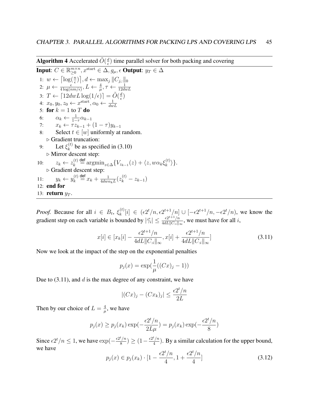**Algorithm 4** Accelerated  $\tilde{O}(\frac{d}{\epsilon})$  $\frac{d}{\epsilon}$ ) time parallel solver for both packing and covering

**Input:**  $C \in \mathbb{R}_{\geq 0}^{m \times n}$  $_{\geq0}^{m\times n},x^{\mathrm{start}}\in\Delta,g_{\mu},\epsilon$  Output:  $y_T\in\Delta$ 1:  $w \leftarrow \lceil \log(\frac{n}{\epsilon}) \rceil, d \leftarrow \max_j ||C_{j,:}||_0$ 2:  $\mu \leftarrow \frac{\epsilon}{4 \log (nm/\epsilon)}, L \leftarrow \frac{4}{\mu}, \tau \leftarrow \frac{1}{12dwL}$ 3:  $T \leftarrow \left[12dwL\log(1/\epsilon)\right] = \tilde{O}(\frac{d}{\epsilon})$  $\frac{d}{\epsilon}$ 4:  $x_0, y_0, z_0 \leftarrow x^{\text{start}}, \alpha_0 \leftarrow \frac{1}{dwL}$ 5: for  $k = 1$  to  $T$  do 6:  $\alpha_k \leftarrow \frac{1}{1-\tau} \alpha_{k-1}$ 7:  $x_k \leftarrow \tau z_{k-1} + (1 - \tau) y_{k-1}$ 8: Select  $t \in [w]$  uniformly at random. . Gradient truncation: 9: Let  $\xi_k^{(t)}$  $\binom{v}{k}$  be as specified in (3.10)  $\triangleright$  Mirror descent step: 10:  $z_k \leftarrow z_k^{(t)}$  $\lambda_k^{(t)} \stackrel{\text{def}}{=} \operatorname{argmin}_{z \in Δ} \{ V_{z_{k-1}}(z) + \langle z, w\alpha_k \xi_k^{(t)} \rangle \}$  $|k^{(U)}\rangle\}.$ . Gradient descent step: 11:  $y_k \leftarrow y_k^{(t)}$  $\frac{d}{dx}^{(t)} \stackrel{\text{def}}{=} x_k + \frac{1}{4dw\epsilon}$  $\frac{1}{4dw\alpha_kL}(z_k^{(t)}-z_{k-1})$ 12: end for 13: **return**  $y_T$ .

*Proof.* Because for all  $i \in B_t$ ,  $\xi_k^{(t)}$  $\kappa_k^{(t)}[i] \in (\epsilon 2^t/n, \epsilon 2^{t+1}/n] \cup [-\epsilon 2^{t+1}/n, -\epsilon 2^t/n)$ , we know the gradient step on each variable is bounded by  $|\vec{\gamma}_i| \leq \frac{\epsilon 2^{t+1}/n}{4dL ||C_t||}$  $\frac{e^{2e^{i}+1}/n}{4dL||C_{i}||_{\infty}}$ , we must have for all i,

$$
x[i] \in [x_k[i] - \frac{\epsilon 2^{t+1}/n}{4dL||C_{:i}||_{\infty}}, x[i] + \frac{\epsilon 2^{t+1}/n}{4dL||C_{:i}||_{\infty}}]
$$
\n(3.11)

Now we look at the impact of the step on the exponential penalties

$$
p_j(x) = \exp(\frac{1}{\mu}((Cx)_j - 1))
$$

Due to  $(3.11)$ , and d is the max degree of any constraint, we have

$$
|(Cx)_j - (Cx_k)_j| \le \frac{\epsilon 2^t/n}{2L}
$$

Then by our choice of  $L = \frac{4}{u}$  $\frac{4}{\mu}$ , we have

$$
p_j(x) \ge p_j(x_k) \exp(-\frac{\epsilon 2^t/n}{2L\mu}) = p_j(x_k) \exp(-\frac{\epsilon 2^t/n}{8})
$$

Since  $\epsilon 2^t/n \leq 1$ , we have  $\exp(-\frac{\epsilon 2^t/n}{8})$  $\frac{t/n}{8}$ )  $\geq (1 - \frac{\epsilon 2^t/n}{4})$  $\frac{\binom{1}{1}}{4}$ . By a similar calculation for the upper bound, we have

$$
p_j(x) \in p_j(x_k) \cdot [1 - \frac{\epsilon 2^t/n}{4}, 1 + \frac{\epsilon 2^t/n}{4}]
$$
\n(3.12)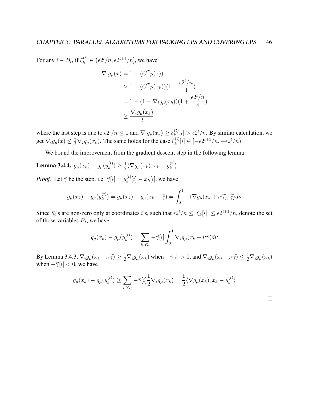For any  $i \in B_t$ , if  $\xi_k^{(t)} \in (\epsilon 2^t/n, \epsilon 2^{t+1}/n]$ , we have

$$
\nabla_i g_\mu(x) = 1 - (C^T p(x))_i
$$
  
> 1 - (C^T p(x\_k))(1 + \frac{\epsilon 2^t/n}{4})  
= 1 - (1 - \nabla\_i g\_\mu(x\_k))(1 + \frac{\epsilon 2^t/n}{4})  
\ge \frac{\nabla\_i g\_\mu(x\_k)}{2}

where the last step is due to  $\epsilon 2^t/n \leq 1$  and  $\nabla_i g_\mu(x_k) \geq \xi_k^{(t)}$  $\kappa_k^{(t)}[i] > \epsilon 2^t/n$ . By similar calculation, we get  $\nabla_i g_\mu(x) \leq \frac{3}{2} \nabla_i g_\mu(x_k)$ . The same holds for the case  $\xi_k^{(t)}$  $k^{(t)}[i] \in [-\epsilon 2^{t+1}/n, -\epsilon 2^t/n].$ 

We bound the improvement from the gradient descent step in the following lemma

Lemma 3.4.4.  $g_{\mu}(x_k) - g_{\mu}(y_k^{(t)})$  $\binom{t}{k} \geq \frac{1}{2}$  $\frac{1}{2} \langle \nabla g_\mu(x_k), x_k - y_k^{(t)} \rangle$  $\binom{[t]}{k}$ 

*Proof.* Let  $\vec{\gamma}$  be the step, i.e.  $\vec{\gamma}[i] = y_k^{(t)}$  $\binom{k}{k}[i] - x_k[i]$ , we have

$$
g_{\mu}(x_k) - g_{\mu}(y_k^{(t)}) = g_{\mu}(x_k) - g_{\mu}(x_k + \vec{\gamma}) = \int_0^1 -\langle \nabla g_{\mu}(x_k + \nu \vec{\gamma}), \vec{\gamma} \rangle d\nu
$$

Since  $\vec{\gamma}_i$ 's are non-zero only at coordinates i's, such that  $\epsilon 2^t/n \leq |\xi_k[i]| \leq \epsilon 2^{t+1}/n$ , denote the set of those variables  $B_t$ , we have

$$
g_{\mu}(x_k) - g_{\mu}(y_k^{(t)}) = \sum_{i \in G_t} -\vec{\gamma}[i] \int_0^1 \nabla_i g_{\mu}(x_k + \nu \vec{\gamma}) d\nu
$$

By Lemma 3.4.3,  $\nabla_i g_\mu(x_k + \nu \vec{\gamma}) \ge \frac{1}{2} \nabla_i g_\mu(x_k)$  when  $-\vec{\gamma}[i] > 0$ , and  $\nabla_i g_\mu(x_k + \nu \vec{\gamma}) \le \frac{1}{2} \nabla_i g_\mu(x_k)$ when  $-\vec{\gamma}[i] < 0$ , we have

$$
g_{\mu}(x_k) - g_{\mu}(y_k^{(t)}) \ge \sum_{i \in G_t} -\vec{\gamma}[i] \frac{1}{2} \nabla_i g_{\mu}(x_k) = \frac{1}{2} \langle \nabla g_{\mu}(x_k), x_k - y_k^{(t)} \rangle
$$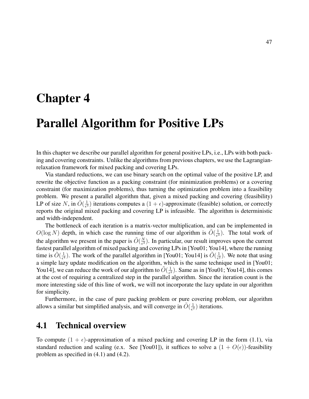# Chapter 4

# Parallel Algorithm for Positive LPs

In this chapter we describe our parallel algorithm for general positive LPs, i.e., LPs with both packing and covering constraints. Unlike the algorithms from previous chapters, we use the Lagrangianrelaxation framework for mixed packing and covering LPs.

Via standard reductions, we can use binary search on the optimal value of the positive LP, and rewrite the objective function as a packing constraint (for minimization problems) or a covering constraint (for maximization problems), thus turning the optimization problem into a feasibility problem. We present a parallel algorithm that, given a mixed packing and covering (feasibility) LP of size N, in  $\tilde{O}(\frac{1}{\epsilon^2})$  $\frac{1}{\epsilon^3}$ ) iterations computes a  $(1 + \epsilon)$ -approximate (feasible) solution, or correctly reports the original mixed packing and covering LP is infeasible. The algorithm is deterministic and width-independent.

The bottleneck of each iteration is a matrix-vector multiplication, and can be implemented in  $O(\log N)$  depth, in which case the running time of our algorithm is  $\tilde{O}(\frac{1}{\epsilon^2})$  $\frac{1}{e^3}$ ). The total work of the algorithm we present in the paper is  $\tilde{O}(\frac{N}{\epsilon^3})$  $\frac{N}{\epsilon^3}$ ). In particular, our result improves upon the current fastest parallel algorithm of mixed packing and covering LPs in [You01; You14], where the running time is  $\tilde{O}(\frac{1}{\epsilon^4})$  $\frac{1}{\epsilon^4}$ ). The work of the parallel algorithm in [You01; You14] is  $\tilde{O}(\frac{1}{\epsilon^2})$  $\frac{1}{e^2}$ ). We note that using a simple lazy update modification on the algorithm, which is the same technique used in [You01; You14], we can reduce the work of our algorithm to  $\tilde{O}(\frac{1}{\epsilon^2})$  $\frac{1}{\epsilon^2}$ ). Same as in [You01; You14], this comes at the cost of requiring a centralized step in the parallel algorithm. Since the iteration count is the more interesting side of this line of work, we will not incorporate the lazy update in our algorithm for simplicity.

Furthermore, in the case of pure packing problem or pure covering problem, our algorithm allows a similar but simplified analysis, and will converge in  $\tilde{O}(\frac{1}{\epsilon^2})$  $\frac{1}{\epsilon^2}$ ) iterations.

## 4.1 Technical overview

To compute  $(1 + \epsilon)$ -approximation of a mixed packing and covering LP in the form (1.1), via standard reduction and scaling (e.x. See [You01]), it suffices to solve a  $(1 + O(\epsilon))$ -feasibility problem as specified in (4.1) and (4.2).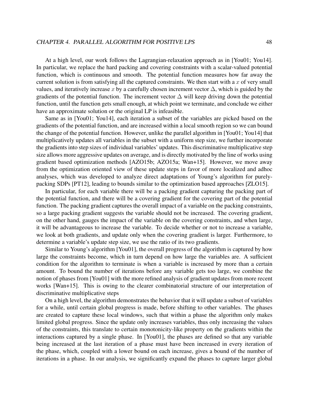At a high level, our work follows the Lagrangian-relaxation approach as in [You01; You14]. In particular, we replace the hard packing and covering constraints with a scalar-valued potential function, which is continuous and smooth. The potential function measures how far away the current solution is from satisfying all the captured constraints. We then start with a  $x$  of very small values, and iteratively increase x by a carefully chosen increment vector  $\Delta$ , which is guided by the gradients of the potential function. The increment vector  $\Delta$  will keep driving down the potential function, until the function gets small enough, at which point we terminate, and conclude we either have an approximate solution or the original LP is infeasible.

Same as in [You01; You14], each iteration a subset of the variables are picked based on the gradients of the potential function, and are increased within a local smooth region so we can bound the change of the potential function. However, unlike the parallel algorithm in [You01; You14] that multiplicatively updates all variables in the subset with a uniform step size, we further incorporate the gradients into step sizes of individual variables' updates. This discriminative multiplicative step size allows more aggressive updates on average, and is directly motivated by the line of works using gradient based optimization methods [AZO15b; AZO15a; Wan+15]. However, we move away from the optimization oriented view of these update steps in favor of more localized and adhoc analyses, which was developed to analyze direct adaptations of Young's algorithm for purelypacking SDPs [PT12], leading to bounds similar to the optimization based approaches [ZLO15].

In particular, for each variable there will be a packing gradient capturing the packing part of the potential function, and there will be a covering gradient for the covering part of the potential function. The packing gradient captures the overall impact of a variable on the packing constraints, so a large packing gradient suggests the variable should not be increased. The covering gradient, on the other hand, gauges the impact of the variable on the covering constraints, and when large, it will be advantageous to increase the variable. To decide whether or not to increase a variable, we look at both gradients, and update only when the covering gradient is larger. Furthermore, to determine a variable's update step size, we use the ratio of its two gradients.

Similar to Young's algorithm [You01], the overall progress of the algorithm is captured by how large the constraints become, which in turn depend on how large the variables are. A sufficient condition for the algorithm to terminate is when a variable is increased by more than a certain amount. To bound the number of iterations before any variable gets too large, we combine the notion of phases from [You01] with the more refined analysis of gradient updates from more recent works [Wan+15]. This is owing to the clearer combinatorial structure of our interpretation of discriminative multiplicative steps

On a high level, the algorithm demonstrates the behavior that it will update a subset of variables for a while, until certain global progress is made, before shifting to other variables. The phases are created to capture these local windows, such that within a phase the algorithm only makes limited global progress. Since the update only increases variables, thus only increasing the values of the constraints, this translate to certain monotonicity-like property on the gradients within the interactions captured by a single phase. In [You01], the phases are defined so that any variable being increased at the last iteration of a phase must have been increased in every iteration of the phase, which, coupled with a lower bound on each increase, gives a bound of the number of iterations in a phase. In our analysis, we significantly expand the phases to capture larger global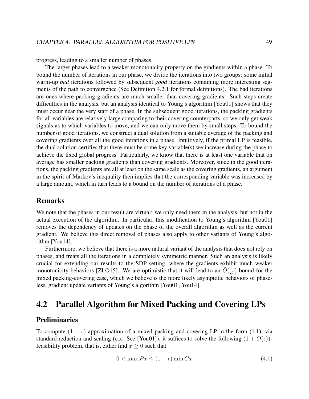progress, leading to a smaller number of phases.

The larger phases lead to a weaker monotonicity property on the gradients within a phase. To bound the number of iterations in our phase, we divide the iterations into two groups: some initial warm-up *bad* iterations followed by subsequent *good* iterations containing more interesting segments of the path to convergence (See Definition 4.2.1 for formal definitions). The bad iterations are ones where packing gradients are much smaller than covering gradients. Such steps create difficulties in the analysis, but an analysis identical to Young's algorithm [You01] shows that they must occur near the very start of a phase. In the subsequent good iterations, the packing gradients for all variables are relatively large comparing to their covering counterparts, so we only get weak signals as to which variables to move, and we can only move them by small steps. To bound the number of good iterations, we construct a dual solution from a suitable average of the packing and covering gradients over all the good iterations in a phase. Intuitively, if the primal LP is feasible, the dual solution certifies that there must be some key variable(s) we increase during the phase to achieve the fixed global progress. Particularly, we know that there is at least one variable that on average has smaller packing gradients than covering gradients. Moreover, since in the good iterations, the packing gradients are all at least on the same scale as the covering gradients, an argument in the spirit of Markov's inequality then implies that the corresponding variable was increased by a large amount, which in turn leads to a bound on the number of iterations of a phase.

### Remarks

We note that the phases in our result are virtual: we only need them in the analysis, but not in the actual execution of the algorithm. In particular, this modification to Young's algorithm [You01] removes the dependency of updates on the phase of the overall algorithm as well as the current gradient. We believe this direct removal of phases also apply to other variants of Young's algorithm [You14].

Furthermore, we believe that there is a more natural variant of the analysis that does not rely on phases, and treats all the iterations in a completely symmetric manner. Such an analysis is likely crucial for extending our results to the SDP setting, where the gradients exhibit much weaker monotonicity behaviors [ZLO15]. We are optimistic that it will lead to an  $\tilde{O}(\frac{1}{\epsilon^2})$  $\frac{1}{e^2}$ ) bound for the mixed packing-covering case, which we believe is the more likely asymptotic behaviors of phaseless, gradient update variants of Young's algorithm [You01; You14].

## 4.2 Parallel Algorithm for Mixed Packing and Covering LPs

## Preliminaries

To compute  $(1 + \epsilon)$ -approximation of a mixed packing and covering LP in the form (1.1), via standard reduction and scaling (e.x. See [You01]), it suffices to solve the following  $(1 + O(\epsilon))$ feasibility problem, that is, either find  $x \geq 0$  such that

$$
0 < \max P x \le (1 + \epsilon) \min C x \tag{4.1}
$$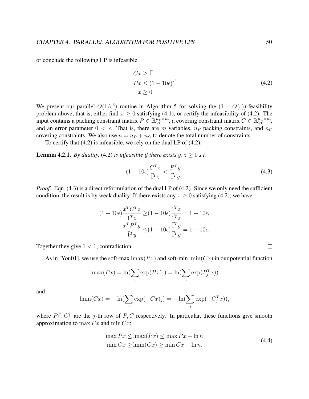or conclude the following LP is infeasible

$$
Cx \ge \vec{1}
$$
  
\n
$$
Px \le (1 - 10\epsilon)\vec{1}
$$
  
\n
$$
x \ge 0
$$
\n(4.2)

We present our parallel  $\tilde{O}(1/\epsilon^3)$  routine in Algorithm 5 for solving the  $(1 + O(\epsilon))$ -feasibility problem above, that is, either find  $x \ge 0$  satisfying (4.1), or certify the infeasibility of (4.2). The input contains a packing constraint matrix  $P \in \mathbb{R}_{\geq 0}^{n_P \times m}$ , a covering constraint matrix  $C \in \mathbb{R}_{\geq 0}^{n_C \times m}$ , and an error parameter  $0 < \epsilon$ . That is, there are m variables,  $n_P$  packing constraints, and  $n_C$ covering constraints. We also use  $n = n_P + n_C$  to denote the total number of constraints.

To certify that (4.2) is infeasible, we rely on the dual LP of (4.2).

**Lemma 4.2.1.** *By duality,* (4.2) *is infeasible if there exists*  $y, z \ge 0$  *s.t.* 

$$
(1 - 10\epsilon) \frac{C^T z}{\vec{1}^T z} < \frac{P^T y}{\vec{1}^T y}.\tag{4.3}
$$

*Proof.* Eqn. (4.3) is a direct reformulation of the dual LP of (4.2). Since we only need the sufficient condition, the result is by weak duality. If there exists any  $x \ge 0$  satisfying (4.2), we have

$$
(1-10\epsilon)\frac{x^TC^Tz}{\vec{1}^Tz} \geq (1-10\epsilon)\frac{\vec{1}^Tz}{\vec{1}^Tz} = 1-10\epsilon,
$$
  

$$
\frac{x^TP^Ty}{\vec{1}^Ty} \leq (1-10\epsilon)\frac{\vec{1}^Ty}{\vec{1}^Ty} = 1-10\epsilon.
$$

Together they give  $1 < 1$ , contradiction.

As in [You01], we use the soft-max  $\max(Px)$  and soft-min  $\min(Cx)$  in our potential function

$$
\operatorname{lmax}(Px) = \ln(\sum_j \exp(Px)_j) = \ln(\sum_j \exp(P_j^T x))
$$

and

$$
\lim_{j} (Cx) = -\ln(\sum_{j} \exp(-Cx)_j) = -\ln(\sum_{j} \exp(-C_j^T x)),
$$

where  $P_j^T$ ,  $C_j^T$  are the j-th row of P, C respectively. In particular, these functions give smooth approximation to max  $Px$  and min  $Cx$ :

$$
\max Px \le \max(Px) \le \max Px + \ln n
$$
  
\n
$$
\min Cx \ge \limi(Cx) \ge \min Cx - \ln n.
$$
\n(4.4)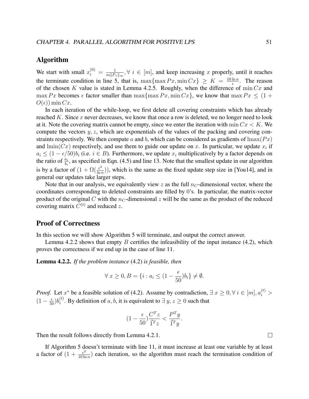## Algorithm

We start with small  $x_i^{(0)} = \frac{1}{m||P|}$  $\frac{1}{m||P_{:i}||_{\infty}}, \forall i \in [m]$ , and keep increasing x properly, until it reaches the terminate condition in line 5, that is,  $\max\{\max Px, \min Cx\} \geq K = \frac{10 \ln n}{\epsilon}$  $\frac{\ln n}{\epsilon}$ . The reason of the chosen K value is stated in Lemma 4.2.5. Roughly, when the difference of  $\min Cx$  and max Px becomes  $\epsilon$  factor smaller than max $\{\max Px, \min Cx\}$ , we know that max  $Px \leq (1 +$  $O(\epsilon)$ ) min Cx.

In each iteration of the while-loop, we first delete all covering constraints which has already reached K. Since  $x$  never decreases, we know that once a row is deleted, we no longer need to look at it. Note the covering matrix cannot be empty, since we enter the iteration with  $\min Cx < K$ . We compute the vectors  $y, z$ , which are exponentials of the values of the packing and covering constraints respectively. We then compute a and b, which can be considered as gradients of  $\text{Imax}(Px)$ and  $\text{lmin}(Cx)$  respectively, and use them to guide our update on x. In particular, we update  $x_i$  if  $a_i \leq (1 - \epsilon/50)b_i$  (i.e.  $i \in B$ ). Furthermore, we update  $x_i$  multiplicatively by a factor depends on the ratio of  $\frac{a_i}{b_i}$ , as specified in Eqn. (4.5) and line 13. Note that the smallest update in our algorithm is by a factor of  $(1 + \Omega(\frac{\epsilon^2}{\ln n}))$  $\frac{\epsilon^2}{\ln n}$ ), which is the same as the fixed update step size in [You14], and in general our updates take larger steps.

Note that in our analysis, we equivalently view z as the full  $n_C$ -dimensional vector, where the coordinates corresponding to deleted constraints are filled by 0's. In particular, the matrix-vector product of the original C with the  $n_C$ -dimensional z will be the same as the product of the reduced covering matrix  $C^{(t)}$  and reduced z.

### Proof of Correctness

In this section we will show Algorithm 5 will terminate, and output the correct answer.

Lemma 4.2.2 shows that empty  $B$  certifies the infeasibility of the input instance (4.2), which proves the correctness if we end up in the case of line 11.

Lemma 4.2.2. *If the problem instance* (4.2) *is feasible, then*

$$
\forall x \ge 0, B = \{i : a_i \le (1 - \frac{\epsilon}{50})b_i\} \ne \emptyset.
$$

*Proof.* Let  $x^*$  be a feasible solution of (4.2). Assume by contradiction,  $\exists x \geq 0, \forall i \in [m], a_i^{(t)} >$  $(1-\frac{\epsilon}{50})b_i^{(t)}$  $i^{(t)}_i$ . By definition of a, b, it is equivalent to  $\exists y, z \ge 0$  such that

$$
(1-\frac{\epsilon}{50})\frac{C^Tz}{\vec{1}^Tz} < \frac{P^Ty}{\vec{1}^T y}.
$$

Then the result follows directly from Lemma 4.2.1.

If Algorithm 5 doesn't terminate with line 11, it must increase at least one variable by at least a factor of  $(1 + \frac{\epsilon^2}{10 \text{ kg}})$  $\frac{\epsilon^2}{10 \ln n}$ ) each iteration, so the algorithm must reach the termination condition of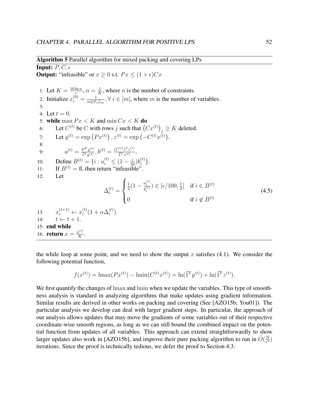Algorithm 5 Parallel algorithm for mixed packing and covering LPs

**Output:** "infeasible" or  $x \ge 0$  s.t.  $Px \le (1 + \epsilon)Cx$ 

**Input:**  $P, C, \epsilon$ 

1: Let  $K = \frac{10 \ln n}{\epsilon}$  $\frac{\ln n}{\epsilon},\,\alpha=\frac{1}{K}$  $\frac{1}{K}$ , where *n* is the number of constraints. 2: Initialize  $x_i^{(0)} = \frac{1}{m\|P\|}$  $\frac{1}{m||P_{:i}||_{\infty}}, \forall i \in [m]$ , where m is the number of variables. 3: 4: Let  $t = 0$ . 5: while  $\max Px < K$  and  $\min Cx < K$  do 6: Let  $C^{(t)}$  be C with rows j such that  $(Cx^{(t)})_j \ge K$  deleted. 7: Let  $y^{(t)} = \exp(Px^{(t)})$ ,  $z^{(t)} = \exp(-C^{(t)}x^{(t)})$ . 8: 9:  $a^{(t)} = \frac{P^{T} y^{(t)}}{\vec{1}^{T} y^{(t)}}$  $\frac{P^{T}y^{(t)}}{\vec{1}^{T}y^{(t)}},b^{(t)}=\frac{(C^{(t)})^{T}z^{(t)}}{\vec{1}^{T}z^{(t)}}$  $\frac{\overline{1}^T z^{(t)}}{\overline{1}^T z^{(t)}}$ 10: Define  $B^{(t)} = \{i : a_i^{(t)} \leq (1 - \frac{\epsilon}{50})b_i^{(t)}\}$  $i^{(t)}$ . 11: If  $B^{(t)} = \emptyset$ , then return "infeasible". 12: Let  $\Delta_i^{(t)}=$  $\sqrt{ }$  $\int$  $\overline{\mathcal{L}}$ 1  $\frac{1}{2}(1-\frac{a_i^{(t)}}{b_i^{(t)}}$  $\frac{a_i^{(t)}}{b_i^{(t)}}$ )  $\in [\epsilon/100, \frac{1}{2}]$  $\frac{1}{2}$  if  $i \in B^{(t)}$ 0 if  $i \notin B^{(t)}$ (4.5)  $13:$  $x_i^{(t+1)} \leftarrow x_i^{(t)}$  $i^{(t)}(1+\alpha\Delta_i^{(t)})$  $\binom{[t]}{i}$ . 14:  $t \leftarrow t + 1$ . 15: end while 16: **return**  $x = \frac{x^{(t)}}{K}$  $\frac{\zeta^{(t)}}{K}$ .

the while loop at some point, and we need to show the output x satisfies  $(4.1)$ . We consider the following potential function,

$$
f(x^{(t)}) = \lim_{t \to \infty} (Px^{(t)}) - \lim_{t \to \infty} (C^{(t)}x^{(t)}) = \ln(\vec{1}^T y^{(t)}) + \ln(\vec{1}^T z^{(t)}).
$$

We first quantify the changes of  $\text{Im}x$  and  $\text{Im}y$  when we update the variables. This type of smoothness analysis is standard in analyzing algorithms that make updates using gradient information. Similar results are derived in other works on packing and covering (See [AZO15b; You01]). The particular analysis we develop can deal with larger gradient steps. In particular, the approach of our analysis allows updates that may move the gradients of some variables out of their respective coordinate-wise smooth regions, as long as we can still bound the combined impact on the potential function from updates of all variables. This approach can extend straightforwardly to show larger updates also work in [AZO15b], and improve their pure packing algorithm to run in  $\tilde{O}(\frac{N}{\epsilon^2})$  $\frac{N}{\epsilon^2}$ iterations. Since the proof is technically tedious, we defer the proof to Section 4.3.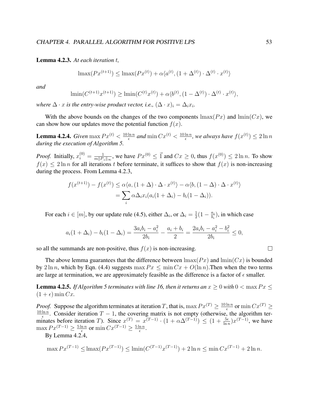Lemma 4.2.3. *At each iteration* t*,*

$$
\max(Px^{(t+1)}) \le \max(Px^{(t)}) + \alpha \langle a^{(t)}, (1 + \Delta^{(t)}) \cdot \Delta^{(t)} \cdot x^{(t)} \rangle
$$

*and*

$$
\lim_{t \to 0} (C^{(t+1)} x^{(t+1)}) \ge \lim_{t \to 0} (C^{(t)} x^{(t)}) + \alpha \langle b^{(t)}, (1 - \Delta^{(t)}) \cdot \Delta^{(t)} \cdot x^{(t)} \rangle,
$$

*where*  $\Delta \cdot x$  *is the entry-wise product vector, i.e.,*  $(\Delta \cdot x)_i = \Delta_i x_i$ *.* 

With the above bounds on the changes of the two components  $\max(P_x)$  and  $\min(C_x)$ , we can show how our updates move the potential function  $f(x)$ .

**Lemma 4.2.4.** *Given* max  $Px^{(t)} < \frac{10 \ln n}{6}$  $\frac{\ln n}{\epsilon}$  and  $\min C x^{(t)} < \frac{10 \ln n}{\epsilon}$  $\frac{\ln n}{\epsilon}$ , we always have  $f(x^{(t)}) \leq 2 \ln n$ *during the execution of Algorithm 5.*

*Proof.* Initially,  $x_i^{(0)} = \frac{1}{m||P|}$  $\frac{1}{m||P_{:i}||_{\infty}}$ , we have  $Px^{(0)} \leq \vec{1}$  and  $Cx \geq 0$ , thus  $f(x^{(0)}) \leq 2 \ln n$ . To show  $f(x) \le 2 \ln n$  for all iterations t before terminate, it suffices to show that  $f(x)$  is non-increasing during the process. From Lemma 4.2.3,

$$
f(x^{(t+1)}) - f(x^{(t)}) \le \alpha \langle a, (1 + \Delta) \cdot \Delta \cdot x^{(t)} \rangle - \alpha \langle b, (1 - \Delta) \cdot \Delta \cdot x^{(t)} \rangle
$$
  
= 
$$
\sum_{i} \alpha \Delta_i x_i (a_i (1 + \Delta_i) - b_i (1 - \Delta_i)).
$$

For each  $i \in [m]$ , by our update rule (4.5), either  $\Delta_i$ , or  $\Delta_i = \frac{1}{2}$  $\frac{1}{2}(1-\frac{a_i}{b_i}$  $\frac{a_i}{b_i}$ ), in which case

$$
a_i(1+\Delta_i) - b_i(1-\Delta_i) = \frac{3a_ib_i - a_i^2}{2b_i} - \frac{a_i + b_i}{2} = \frac{2a_ib_i - a_i^2 - b_i^2}{2b_i} \le 0,
$$

so all the summands are non-positive, thus  $f(x)$  is non-increasing.

The above lemma guarantees that the difference between  $\max(P_x)$  and  $\min(C_x)$  is bounded by  $2 \ln n$ , which by Eqn. (4.4) suggests  $\max Px \leq \min Cx + O(\ln n)$ . Then when the two terms are large at termination, we are approximately feasible as the difference is a factor of  $\epsilon$  smaller.

**Lemma 4.2.5.** *If Algorithm 5 terminates with line 16, then it returns an*  $x \geq 0$  *with*  $0 < \max P x \leq 1$  $(1 + \epsilon)$  min Cx.

*Proof.* Suppose the algorithm terminates at iteration T, that is,  $\max Px^{(T)} \geq \frac{10 \ln n}{\epsilon}$  $\frac{\ln n}{\epsilon}$  or  $\min C x^{(T)} \geq$  $10 \ln n$  $\frac{\ln n}{\epsilon}$ . Consider iteration  $T - 1$ , the covering matrix is not empty (otherwise, the algorithm terminates before iteration T). Since  $x^{(T)} = x^{(T-1)} \cdot (1 + \alpha \Delta^{(T-1)}) \leq (1 + \frac{5\epsilon}{\ln n}) x^{(T-1)}$ , we have  $\max Px^{(T-1)} \geq \frac{5\ln n}{\epsilon}$  $\frac{\ln n}{\epsilon}$  or  $\min C x^{(T-1)} \geq \frac{5 \ln n}{\epsilon}$  $\frac{\ln n}{\epsilon}$ .

By Lemma 4.2.4,

$$
\max Px^{(T-1)} \le \lim x(Px^{(T-1)}) \le \lim \left(C^{(T-1)}x^{(T-1)}\right) + 2\ln n \le \min Cx^{(T-1)} + 2\ln n.
$$

$$
\qquad \qquad \Box
$$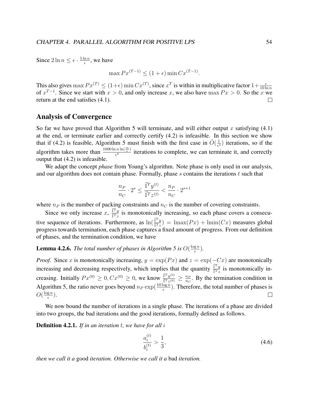Since  $2 \ln n \leq \epsilon \cdot \frac{5 \ln n}{\epsilon}$  $\frac{\ln n}{\epsilon}$ , we have

$$
\max Px^{(T-1)} \le (1+\epsilon) \min Cx^{(T-1)}.
$$

This also gives  $\max Px^{(T)} \le (1+\epsilon) \min Cx^{(T)}$ , since  $x^T$  is within in multiplicative factor  $1+\frac{\epsilon}{10\ln n}$ of  $x^{T-1}$ . Since we start with  $x > 0$ , and only increase x, we also have max  $Px > 0$ . So the x we return at the end satisfies (4.1).  $\Box$ 

### Analysis of Convergence

So far we have proved that Algorithm 5 will terminate, and will either output x satisfying  $(4.1)$ at the end, or terminate earlier and correctly certify (4.2) is infeasible. In this section we show that if (4.2) is feasible, Algorithm 5 must finish with the first case in  $\tilde{O}(\frac{1}{\epsilon^2})$  $\frac{1}{e^3}$ ) iterations, so if the algorithm takes more than  $\frac{1000 \ln n \ln(\frac{m}{\epsilon})}{\epsilon^3}$  $\frac{n \ln(n-1)}{\epsilon^3}$  iterations to complete, we can terminate it, and correctly output that (4.2) is infeasible.

We adapt the concept *phase* from Young's algorithm. Note phase is only used in our analysis, and our algorithm does not contain phase. Formally, phase  $s$  contains the iterations  $t$  such that

$$
\frac{n_P}{n_C} \cdot 2^s \le \frac{\vec{1}^T y^{(t)}}{\vec{1}^T z^{(t)}} < \frac{n_P}{n_C} \cdot 2^{s+1}
$$

where  $n_P$  is the number of packing constraints and  $n_C$  is the number of covering constraints.

Since we only increase x,  $\frac{\vec{I}^T y}{\vec{I}^T x}$  $\frac{1^2 y}{1^2 z}$  is monotonically increasing, so each phase covers a consecutive sequence of iterations. Furthermore, as  $\ln(\frac{\vec{r}^T y}{\vec{r}^T})$  $\frac{1^2y}{1^2z}$  = lmax $(Px)$  + lmin $(Cx)$  measures global progress towards termination, each phase captures a fixed amount of progress. From our definition of phases, and the termination condition, we have

**Lemma 4.2.6.** The total number of phases in Algorithm 5 is  $O(\frac{\log n}{\epsilon})$  $\frac{\mathrm{g}\,n}{\epsilon}$ ).

*Proof.* Since x is monotonically increasing,  $y = \exp(Px)$  and  $z = \exp(-Cx)$  are monotonically increasing and decreasing respectively, which implies that the quantity  $\frac{\vec{I}^T y}{\vec{I}^T x}$  $\frac{1+y}{1^Tz}$  is monotonically increasing. Initially  $Px^{(0)} \ge 0, Cx^{(0)} \ge 0$ , we know  $\frac{\vec{r}^T y^{(0)}}{\vec{r}^T x^{(0)}}$  $\frac{1^T y^{(0)}}{1^T z^{(0)}} \geq \frac{n_F}{n_C}$  $\frac{n_P}{n_C}$ . By the termination condition in Algorithm 5, the ratio never goes beyond  $n_P \exp(\frac{10 \log n}{\epsilon})$ . Therefore, the total number of phases is  $O(\frac{\log n}{\epsilon})$  $\frac{\mathrm{g}\,n}{\epsilon}).$  $\Box$ 

We now bound the number of iterations in a single phase. The iterations of a phase are divided into two groups, the bad iterations and the good iterations, formally defined as follows.

Definition 4.2.1. *If in an iteration* t*, we have for all* i

$$
\frac{a_i^{(t)}}{b_i^{(t)}} > \frac{1}{3},\tag{4.6}
$$

*then we call it a* good *iteration. Otherwise we call it a* bad *iteration.*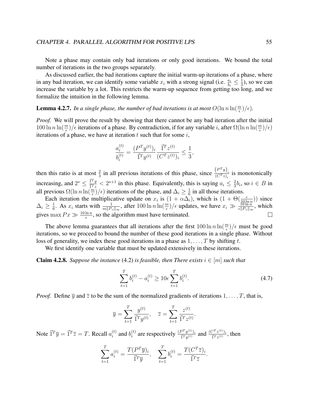Note a phase may contain only bad iterations or only good iterations. We bound the total number of iterations in the two groups separately.

As discussed earlier, the bad iterations capture the initial warm-up iterations of a phase, where in any bad iteration, we can identify some variable  $x_i$  with a strong signal (i.e.  $\frac{a_i}{b_i} \leq \frac{1}{3}$  $\frac{1}{3}$ ), so we can increase the variable by a lot. This restricts the warm-up sequence from getting too long, and we formalize the intuition in the following lemma.

## **Lemma 4.2.7.** In a single phase, the number of bad iterations is at most  $O(\ln n \ln(\frac{m}{\epsilon})/\epsilon)$ .

*Proof.* We will prove the result by showing that there cannot be any bad iteration after the initial  $100 \ln n \ln(\frac{m}{\epsilon})/\epsilon$  iterations of a phase. By contradiction, if for any variable *i*, after  $\Omega(\ln n \ln(\frac{m}{\epsilon})/\epsilon)$ iterations of a phase, we have at iteration  $t$  such that for some  $i$ ,

$$
\frac{a_i^{(t)}}{b_i^{(t)}} = \frac{(P^T y^{(t)})_i}{\vec{1}^T y^{(t)}} \frac{\vec{1}^T z^{(t)}}{(C^T z^{(t)})_i} \le \frac{1}{3},
$$

then this ratio is at most  $\frac{2}{3}$  in all previous iterations of this phase, since  $\frac{(P^Ty)_i}{(C^Tx)_i}$  is monotonically increasing, and  $2^s \leq \frac{\vec{1}^T y}{\vec{1}^T \cdot x}$  $\frac{1^2y}{1^2z}$  <  $2^{s+1}$  in this phase. Equivalently, this is saying  $a_i \leq \frac{2}{3}$  $\frac{2}{3}b_i$ , so  $i \in B$  in all previous  $\Omega(\ln n \ln(\frac{m}{\epsilon})/\epsilon)$  iterations of the phase, and  $\Delta_i \ge \frac{1}{6}$  $\frac{1}{6}$  in all those iterations.

Each iteration the multiplicative update on  $x_i$  is  $(1 + \alpha \Delta_i)$ , which is  $(1 + \Theta(\frac{\epsilon}{10 \ln n}))$  since  $\Delta_i \geq \frac{1}{6}$  $\frac{1}{6}$ . As  $x_i$  starts with  $\frac{1}{m||P_{i}||_{\infty}}$ , after  $100 \ln n \ln(\frac{m}{\epsilon})/\epsilon$  updates, we have  $x_i \gg \frac{10 \ln n}{\epsilon ||P_{i}||_{\infty}}$ , which gives max  $Px \gg \frac{10 \ln n}{\epsilon}$ , so the algorithm must have terminated.  $\Box$ 

The above lemma guarantees that all iterations after the first  $100 \ln n \ln(\frac{m}{\epsilon})/\epsilon$  must be good iterations, so we proceed to bound the number of these good iterations in a single phase. Without loss of generality, we index these good iterations in a phase as  $1, \ldots, T$  by shifting t.

We first identify one variable that must be updated extensively in these iterations.

**Claim 4.2.8.** Suppose the instance (4.2) is feasible, then There exists  $i \in [m]$  such that

$$
\sum_{t=1}^{T} b_i^{(t)} - a_i^{(t)} \ge 10\epsilon \sum_{t=1}^{T} b_i^{(t)}.
$$
\n(4.7)

.

*Proof.* Define  $\overline{y}$  and  $\overline{z}$  to be the sum of the normalized gradients of iterations  $1, \ldots, T$ , that is,

$$
\overline{y} = \sum_{t=1}^{T} \frac{y^{(t)}}{\overline{1}^T y^{(t)}}, \quad \overline{z} = \sum_{t=1}^{T} \frac{z^{(t)}}{\overline{1}^T z^{(t)}}
$$

Note  $\vec{1}^T \overline{y} = \vec{1}^T \overline{z} = T$ . Recall  $a_i^{(t)}$  $i$ <sub>i</sub> $i$  and  $b$ <sub>i</sub> $i$ <sup>(t)</sup>  $i^{(t)}$  are respectively  $\frac{(P^{T} y^{(t)})_i}{\vec{1}^{T} y^{(t)}}$  $\frac{P^{T}y^{(t)})_{i}}{\vec{1}^{T}y^{(t)}}$  and  $\frac{(C^{T}z^{(t)})_{i}}{\vec{1}^{T}z^{(t)}}$  $\frac{\sum \binom{z^{(t)}}{i}}{\prod \binom{r}{z^{(t)}}},$  then

$$
\sum_{t=1}^T a_i^{(t)} = \frac{T(P^T \overline{y})_i}{\overline{1}^T \overline{y}}, \quad \sum_{t=1}^T b_i^{(t)} = \frac{T(C^T \overline{z})_i}{\overline{1}^T \overline{z}}.
$$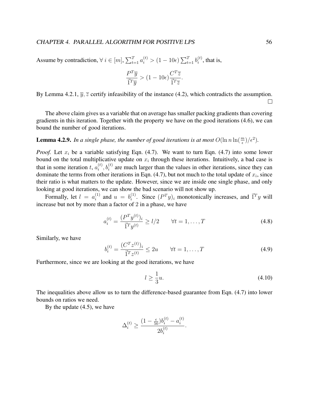Assume by contradiction,  $\forall i \in [m], \sum_{t=1}^{T} a_i^{(t)} > (1 - 10\epsilon) \sum_{t=1}^{T} b_i^{(t)}$  $i^{(t)}$ , that is,

$$
\frac{P^T \overline{y}}{\overline{1}^T \overline{y}} > (1 - 10\epsilon) \frac{C^T \overline{z}}{\overline{1}^T \overline{z}}.
$$

By Lemma 4.2.1,  $\overline{y}$ ,  $\overline{z}$  certify infeasibility of the instance (4.2), which contradicts the assumption. П.

The above claim gives us a variable that on average has smaller packing gradients than covering gradients in this iteration. Together with the property we have on the good iterations (4.6), we can bound the number of good iterations.

**Lemma 4.2.9.** In a single phase, the number of good iterations is at most  $O(\ln n \ln(\frac{m}{\epsilon})/\epsilon^2)$ .

*Proof.* Let  $x_i$  be a variable satisfying Eqn. (4.7). We want to turn Eqn. (4.7) into some lower bound on the total multiplicative update on  $x_i$  through these iterations. Intuitively, a bad case is that in some iteration t,  $a_i^{(t)}$  $i<sub>i</sub>$ ,  $b<sub>i</sub>$ <sup>(t)</sup>,  $b<sub>i</sub>$ <sup>(t)</sup>) are much larger than the values in other iterations, since they can dominate the terms from other iterations in Eqn.  $(4.7)$ , but not much to the total update of  $x_i$ , since their ratio is what matters to the update. However, since we are inside one single phase, and only looking at good iterations, we can show the bad scenario will not show up.

Formally, let  $l = a_i^{(1)}$  $i^{(1)}$  and  $u = b^{(1)}_i$  $i^{(1)}$ . Since  $(P<sup>T</sup>y)_i$  monotonically increases, and  $\vec{1}^T y$  will increase but not by more than a factor of 2 in a phase, we have

$$
a_i^{(t)} = \frac{(P^T y^{(t)})_i}{\vec{1}^T y^{(t)}} \ge l/2 \qquad \forall t = 1, ..., T
$$
 (4.8)

Similarly, we have

$$
b_i^{(t)} = \frac{(C^T z^{(t)})_i}{\vec{1}^T z^{(t)}} \le 2u \qquad \forall t = 1, ..., T
$$
 (4.9)

Furthermore, since we are looking at the good iterations, we have

$$
l \ge \frac{1}{3}u.\tag{4.10}
$$

The inequalities above allow us to turn the difference-based guarantee from Eqn. (4.7) into lower bounds on ratios we need.

By the update (4.5), we have

$$
\Delta_i^{(t)} \ge \frac{(1-\frac{\epsilon}{50}) b_i^{(t)} - a_i^{(t)}}{2 b_i^{(t)}}.
$$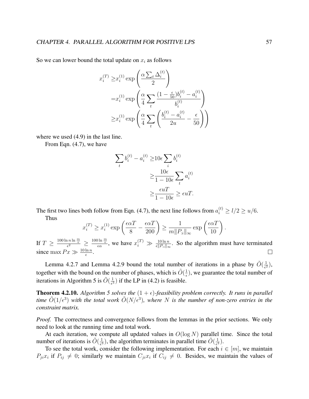So we can lower bound the total update on  $x_i$  as follows

$$
x_i^{(T)} \ge x_i^{(1)} \exp\left(\frac{\alpha \sum_t \Delta_i^{(t)}}{2}\right)
$$
  
= $x_i^{(1)} \exp\left(\frac{\alpha}{4} \sum_t \frac{(1 - \frac{\epsilon}{50})b_i^{(t)} - a_i^{(t)}}{b_i^{(t)}}\right)$   
 $\ge x_i^{(1)} \exp\left(\frac{\alpha}{4} \sum_t \left(\frac{b_i^{(t)} - a_i^{(t)}}{2u} - \frac{\epsilon}{50}\right)\right)$ 

where we used  $(4.9)$  in the last line.

From Eqn. (4.7), we have

$$
\sum_{t} b_i^{(t)} - a_i^{(t)} \ge 10\epsilon \sum_{i} b_i^{(t)}
$$

$$
\ge \frac{10\epsilon}{1 - 10\epsilon} \sum_{t} a_i^{(t)}
$$

$$
\ge \frac{\epsilon uT}{1 - 10\epsilon} \ge \epsilon uT.
$$

The first two lines both follow from Eqn. (4.7), the next line follows from  $a_i^{(t)} \ge l/2 \ge u/6$ . Thus

$$
x_i^{(T)} \ge x_i^{(1)} \exp\left(\frac{\epsilon \alpha T}{8} - \frac{\epsilon \alpha T}{200}\right) \ge \frac{1}{m \|P_{:i}\|_{\infty}} \exp\left(\frac{\epsilon \alpha T}{10}\right).
$$

If  $T \geq \frac{100 \ln n \ln \frac{m}{\epsilon}}{\epsilon^2} \geq \frac{100 \ln \frac{m}{\epsilon}}{\epsilon \alpha}$ , we have  $x_i^{(T)} \gg \frac{10 \ln n}{\epsilon \|P_{i\cdot}\|_{\infty}}$ . So the algorithm must have terminated since max  $Px \gg \frac{10 \ln n}{\epsilon}$ .

Lemma 4.2.7 and Lemma 4.2.9 bound the total number of iterations in a phase by  $\tilde{O}(\frac{1}{\epsilon^2})$  $\frac{1}{\epsilon^2}),$ together with the bound on the number of phases, which is  $\tilde{O}(\frac{1}{\epsilon})$  $\frac{1}{\epsilon}$ ), we guarantee the total number of iterations in Algorithm 5 is  $\tilde{O}(\frac{1}{\epsilon^3})$  $\frac{1}{\epsilon^3}$ ) if the LP in (4.2) is feasible.

**Theorem 4.2.10.** *Algorithm 5 solves the*  $(1 + \epsilon)$ -feasibility problem correctly. It runs in parallel time  $\tilde{O}(1/\epsilon^3)$  with the total work  $\tilde{O}(N/\epsilon^3)$ , where N is the number of non-zero entries in the *constraint matrix.*

*Proof.* The correctness and convergence follows from the lemmas in the prior sections. We only need to look at the running time and total work.

At each iteration, we compute all updated values in  $O(\log N)$  parallel time. Since the total number of iterations is  $\tilde{O}(\frac{1}{\epsilon^3})$  $\frac{1}{\epsilon^3}$ ), the algorithm terminates in parallel time  $\tilde{O}(\frac{1}{\epsilon^3})$  $\frac{1}{\epsilon^3}$ .

To see the total work, consider the following implementation. For each  $i \in [m]$ , we maintain  $P_{ji}x_i$  if  $P_{ij} \neq 0$ ; similarly we maintain  $C_{ji}x_i$  if  $C_{ij} \neq 0$ . Besides, we maintain the values of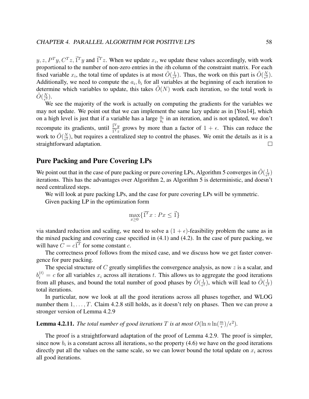$y, z, P^{T}y, C^{T}z, \vec{1}^{T}y$  and  $\vec{1}^{T}z$ . When we update  $x_i$ , we update these values accordingly, with work proportional to the number of non-zero entries in the ith column of the constraint matrix. For each fixed variable  $x_i$ , the total time of updates is at most  $\tilde{O}(\frac{1}{\epsilon^2})$  $\frac{1}{\epsilon^2}$ ). Thus, the work on this part is  $\tilde{O}(\frac{N}{\epsilon^2})$  $\frac{N}{\epsilon^2}).$ Additionally, we need to compute the  $a_i, b_i$  for all variables at the beginning of each iteration to determine which variables to update, this takes  $\tilde{O}(N)$  work each iteration, so the total work is  $\tilde{O}(\frac{N}{\epsilon^3})$  $\frac{N}{\epsilon^3}$ .

We see the majority of the work is actually on computing the gradients for the variables we may not update. We point out that we can implement the same lazy update as in [You14], which on a high level is just that if a variable has a large  $\frac{a_i}{b_i}$  in an iteration, and is not updated, we don't recompute its gradients, until  $\frac{\vec{I}^T y}{\vec{I}^T x}$  $\frac{1+y}{1^Tz}$  grows by more than a factor of  $1 + \epsilon$ . This can reduce the work to  $\tilde{O}(\frac{N}{\epsilon^2})$  $\frac{N}{\epsilon^2}$ ), but requires a centralized step to control the phases. We omit the details as it is a straightforward adaptation.  $\Box$ 

### Pure Packing and Pure Covering LPs

We point out that in the case of pure packing or pure covering LPs, Algorithm 5 converges in  $\tilde{O}(\frac{1}{\epsilon^2})$  $\frac{1}{\epsilon^2})$ iterations. This has the advantages over Algorithm 2, as Algorithm 5 is deterministic, and doesn't need centralized steps.

We will look at pure packing LPs, and the case for pure covering LPs will be symmetric.

Given packing LP in the optimization form

$$
\max_{x \ge 0} \{ \vec{1}^T x : Px \le \vec{1} \}
$$

via standard reduction and scaling, we need to solve a  $(1 + \epsilon)$ -feasibility problem the same as in the mixed packing and covering case specified in (4.1) and (4.2). In the case of pure packing, we will have  $C = c\vec{1}^T$  for some constant c.

The correctness proof follows from the mixed case, and we discuss how we get faster convergence for pure packing.

The special structure of  $C$  greatly simplifies the convergence analysis, as now  $z$  is a scalar, and  $b_i^{(t)} = c$  for all variables  $x_i$  across all iterations t. This allows us to aggregate the good iterations from all phases, and bound the total number of good phases by  $\tilde{O}(\frac{1}{\epsilon^2})$  $\frac{1}{\epsilon^2}$ ), which will lead to  $\tilde{O}(\frac{1}{\epsilon^2})$  $\frac{1}{\epsilon^2})$ total iterations.

In particular, now we look at all the good iterations across all phases together, and WLOG number them  $1, \ldots, T$ . Claim 4.2.8 still holds, as it doesn't rely on phases. Then we can prove a stronger version of Lemma 4.2.9

**Lemma 4.2.11.** *The total number of good iterations T is at most*  $O(\ln n \ln(\frac{m}{\epsilon})/\epsilon^2)$ *.* 

The proof is a straightforward adaptation of the proof of Lemma 4.2.9. The proof is simpler, since now  $b_i$  is a constant across all iterations, so the property (4.6) we have on the good iterations directly put all the values on the same scale, so we can lower bound the total update on  $x_i$  across all good iterations.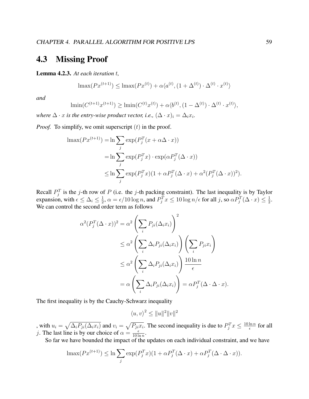## 4.3 Missing Proof

Lemma 4.2.3. *At each iteration* t*,*

$$
\max(Px^{(t+1)}) \le \max(Px^{(t)}) + \alpha \langle a^{(t)}, (1 + \Delta^{(t)}) \cdot \Delta^{(t)} \cdot x^{(t)} \rangle
$$

*and*

$$
\lim (C^{(t+1)}x^{(t+1)}) \ge \lim (C^{(t)}x^{(t)}) + \alpha \langle b^{(t)}, (1 - \Delta^{(t)}) \cdot \Delta^{(t)} \cdot x^{(t)} \rangle,
$$

*where*  $\Delta \cdot x$  *is the entry-wise product vector, i.e.,*  $(\Delta \cdot x)_i = \Delta_i x_i$ *.* 

*Proof.* To simplify, we omit superscript  $(t)$  in the proof.

$$
\begin{aligned} \operatorname{lmax}(Px^{(t+1)}) &= \ln \sum_{j} \exp(P_j^T(x + \alpha \Delta \cdot x)) \\ &= \ln \sum_{j} \exp(P_j^T x) \cdot \exp(\alpha P_j^T (\Delta \cdot x)) \\ &\leq \ln \sum_{j} \exp(P_j^T x) (1 + \alpha P_j^T (\Delta \cdot x) + \alpha^2 (P_j^T (\Delta \cdot x))^2). \end{aligned}
$$

Recall  $P_j^T$  is the j-th row of P (i.e. the j-th packing constraint). The last inequality is by Taylor expansion, with  $\epsilon \leq \Delta_i \leq \frac{1}{2}$  $\frac{1}{2}, \alpha = \epsilon/10\log n,$  and  $P_j^Tx \leq 10\log n/\epsilon$  for all  $j$ , so  $\alpha P_j^T(\Delta \cdot x) \leq \frac{1}{2}$  $\frac{1}{2}$ . We can control the second order term as follows

$$
\alpha^{2}(P_{j}^{T}(\Delta \cdot x))^{2} = \alpha^{2} \left(\sum_{i} P_{ji}(\Delta_{i} x_{i})\right)^{2}
$$
  
\n
$$
\leq \alpha^{2} \left(\sum_{i} \Delta_{i} P_{ji}(\Delta_{i} x_{i})\right) \left(\sum_{i} P_{ji} x_{i}\right)
$$
  
\n
$$
\leq \alpha^{2} \left(\sum_{i} \Delta_{i} P_{ji}(\Delta_{i} x_{i})\right) \frac{10 \ln n}{\epsilon}
$$
  
\n
$$
= \alpha \left(\sum_{i} \Delta_{i} P_{ji}(\Delta_{i} x_{i})\right) = \alpha P_{j}^{T}(\Delta \cdot \Delta \cdot x).
$$

The first inequality is by the Cauchy-Schwarz inequality

$$
\langle u, v \rangle^2 \le ||u||^2 ||v||^2
$$

, with  $u_i = \sqrt{\Delta_i P_{ji}(\Delta_i x_i)}$  and  $v_i = \sqrt{P_{ji}x_i}$ . The second inequality is due to  $P_j^T x \le \frac{10 \ln n}{\epsilon}$  $\frac{\ln n}{\epsilon}$  for all j. The last line is by our choice of  $\alpha = \frac{\epsilon}{10 \text{ h}}$  $\frac{\epsilon}{10 \ln n}$ .

So far we have bounded the impact of the updates on each individual constraint, and we have

$$
\operatorname{lmax}(Px^{(t+1)}) \le \ln \sum_j \exp(P_j^T x)(1 + \alpha P_j^T (\Delta \cdot x) + \alpha P_j^T (\Delta \cdot \Delta \cdot x)).
$$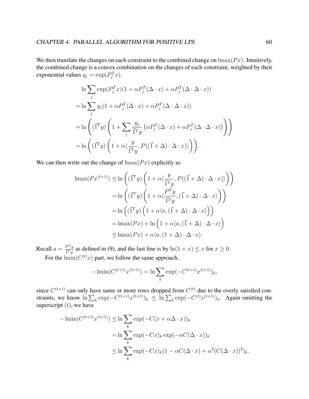We then translate the changes on each constraint to the combined change on  $\max(P_x)$ . Intuitively, the combined change is a convex combination on the changes of each constraint, weighted by their exponential values  $y_j = \exp(P_j^T x)$ .

$$
\ln \sum_{j} \exp(P_j^T x)(1 + \alpha P_j^T (\Delta \cdot x) + \alpha P_j^T (\Delta \cdot \Delta \cdot x))
$$
  
= 
$$
\ln \sum_{j} y_j (1 + \alpha P_j^T (\Delta \cdot x) + \alpha P_j^T (\Delta \cdot \Delta \cdot x))
$$
  
= 
$$
\ln \left( (\vec{1}^T y) \left( 1 + \sum_{j} \frac{y_j}{\vec{1}^T y} \left( \alpha P_j^T (\Delta \cdot x) + \alpha P_j^T (\Delta \cdot \Delta \cdot x) \right) \right) \right)
$$
  
= 
$$
\ln \left( (\vec{1}^T y) \left( 1 + \alpha \langle \frac{y}{\vec{1}^T y}, P((\vec{1} + \Delta) \cdot \Delta \cdot x) \rangle \right) \right).
$$

We can then write out the change of  $\text{Imax}(Px)$  explicitly as

$$
\begin{aligned} \operatorname{lmax}(Px^{(t+1)}) &\leq \ln\left(\left(\vec{1}^T y\right)\left(1+\alpha\langle\frac{y}{\vec{1}^T y}, P((\vec{1}+\Delta)\cdot\Delta\cdot x)\rangle\right)\right) \\ &= \ln\left(\left(\vec{1}^T y\right)\left(1+\alpha\langle\frac{P^T y}{\vec{1}^T y}, (\vec{1}+\Delta)\cdot\Delta\cdot x\rangle\right)\right) \\ &= \ln\left(\left(\vec{1}^T y\right)\left(1+\alpha\langle a, (\vec{1}+\Delta)\cdot\Delta\cdot x\rangle\right)\right) \\ &= \operatorname{lmax}(Px) + \ln\left(1+\alpha\langle a, (\vec{1}+\Delta)\cdot\Delta\cdot x\rangle\right) \\ &\leq \operatorname{lmax}(Px) + \alpha\langle a, (1+\Delta)\cdot\Delta\cdot x\rangle. \end{aligned}
$$

Recall  $a = \frac{P^T y}{\vec{r} T y}$  $\frac{P^2 y}{\Gamma^2 y}$  as defined in (9), and the last line is by  $\ln(1+x) \leq x$  for  $x \geq 0$ . For the  $\text{lmin}(C^{(t)}x)$  part, we follow the same approach.

$$
-\lim_{h \to 0} (C^{(t+1)}x^{(t+1)}) = \ln \sum_{k} \exp(-C^{(t+1)}x^{(t+1)})_k,
$$

since  $C^{(t+1)}$  can only have same or more rows dropped from  $C^{(t)}$  due to the overly satisfied constraints, we know  $\ln \sum_k \exp(-C^{(t+1)}x^{(t+1)})_k \leq \ln \sum_k \exp(-C^{(t)}x^{(t+1)})_k$ . Again omitting the superscript  $(t)$ , we have

$$
-\lim_{k} (C^{(t+1)}x^{(t+1)}) \leq \ln \sum_{k} \exp(-C(x + \alpha \Delta \cdot x))_{k}
$$
  

$$
= \ln \sum_{k} \exp(-Cx)_{k} \exp(-\alpha C(\Delta \cdot x))_{k}
$$
  

$$
\leq \ln \sum_{k} \exp(-Cx)_{k} (1 - \alpha C(\Delta \cdot x) + \alpha^{2} (C(\Delta \cdot x))^{2})_{k}.
$$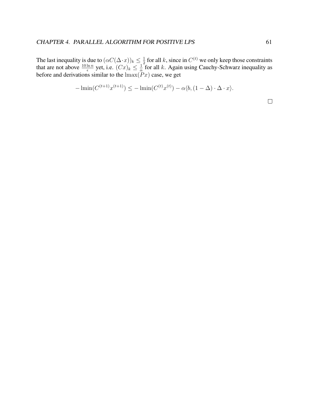The last inequality is due to  $(\alpha C(\Delta \cdot x))_k \leq \frac{1}{2}$  $\frac{1}{2}$  for all k, since in  $C^{(t)}$  we only keep those constraints that are not above  $\frac{10 \ln n}{\epsilon}$  yet, i.e.  $(Cx)_k \leq \frac{1}{\alpha}$  $\frac{1}{\alpha}$  for all k. Again using Cauchy-Schwarz inequality as before and derivations similar to the  $\max(Px)$  case, we get

$$
-\liminf (C^{(t+1)}x^{(t+1)}) \le -\liminf (C^{(t)}x^{(t)}) - \alpha \langle b, (1 - \Delta) \cdot \Delta \cdot x \rangle.
$$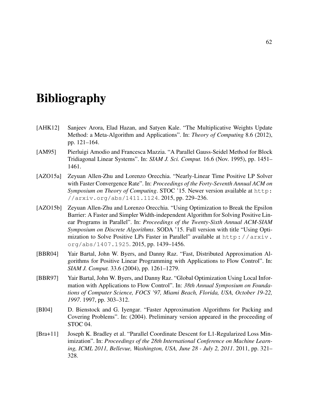# **Bibliography**

- [AHK12] Sanjeev Arora, Elad Hazan, and Satyen Kale. "The Multiplicative Weights Update Method: a Meta-Algorithm and Applications". In: *Theory of Computing* 8.6 (2012), pp. 121–164.
- [AM95] Pierluigi Amodio and Francesca Mazzia. "A Parallel Gauss-Seidel Method for Block Tridiagonal Linear Systems". In: *SIAM J. Sci. Comput.* 16.6 (Nov. 1995), pp. 1451– 1461.
- [AZO15a] Zeyuan Allen-Zhu and Lorenzo Orecchia. "Nearly-Linear Time Positive LP Solver with Faster Convergence Rate". In: *Proceedings of the Forty-Seventh Annual ACM on Symposium on Theory of Computing*. STOC '15. Newer version available at http: //arxiv.org/abs/1411.1124. 2015, pp. 229–236.
- [AZO15b] Zeyuan Allen-Zhu and Lorenzo Orecchia. "Using Optimization to Break the Epsilon Barrier: A Faster and Simpler Width-independent Algorithm for Solving Positive Linear Programs in Parallel". In: *Proceedings of the Twenty-Sixth Annual ACM-SIAM Symposium on Discrete Algorithms*. SODA '15. Full version with title "Using Optimization to Solve Positive LPs Faster in Parallel" available at http://arxiv. org/abs/1407.1925. 2015, pp. 1439–1456.
- [BBR04] Yair Bartal, John W. Byers, and Danny Raz. "Fast, Distributed Approximation Algorithms for Positive Linear Programming with Applications to Flow Control". In: *SIAM J. Comput.* 33.6 (2004), pp. 1261–1279.
- [BBR97] Yair Bartal, John W. Byers, and Danny Raz. "Global Optimization Using Local Information with Applications to Flow Control". In: *38th Annual Symposium on Foundations of Computer Science, FOCS '97, Miami Beach, Florida, USA, October 19-22, 1997*. 1997, pp. 303–312.
- [BI04] D. Bienstock and G. Iyengar. "Faster Approximation Algorithms for Packing and Covering Problems". In: (2004). Preliminary version appeared in the proceeding of STOC 04.
- [Bra+11] Joseph K. Bradley et al. "Parallel Coordinate Descent for L1-Regularized Loss Minimization". In: *Proceedings of the 28th International Conference on Machine Learning, ICML 2011, Bellevue, Washington, USA, June 28 - July 2, 2011*. 2011, pp. 321– 328.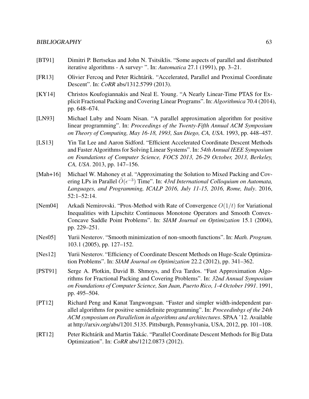## BIBLIOGRAPHY 63

- [BT91] Dimitri P. Bertsekas and John N. Tsitsiklis. "Some aspects of parallel and distributed iterative algorithms - A survey, ". In: *Automatica* 27.1 (1991), pp. 3–21.
- [FR13] Olivier Fercoq and Peter Richtárik. "Accelerated, Parallel and Proximal Coordinate Descent". In: *CoRR* abs/1312.5799 (2013).
- [KY14] Christos Koufogiannakis and Neal E. Young. "A Nearly Linear-Time PTAS for Explicit Fractional Packing and Covering Linear Programs". In: *Algorithmica* 70.4 (2014), pp. 648–674.
- [LN93] Michael Luby and Noam Nisan. "A parallel approximation algorithm for positive linear programming". In: *Proceedings of the Twenty-Fifth Annual ACM Symposium on Theory of Computing, May 16-18, 1993, San Diego, CA, USA*. 1993, pp. 448–457.
- [LS13] Yin Tat Lee and Aaron Sidford. "Efficient Accelerated Coordinate Descent Methods and Faster Algorithms for Solving Linear Systems". In: *54th Annual IEEE Symposium on Foundations of Computer Science, FOCS 2013, 26-29 October, 2013, Berkeley, CA, USA*. 2013, pp. 147–156.
- [Mah+16] Michael W. Mahoney et al. "Approximating the Solution to Mixed Packing and Covering LPs in Parallel  $\tilde{O}(\epsilon^{-3})$  Time". In: 43rd International Colloquium on Automata, *Languages, and Programming, ICALP 2016, July 11-15, 2016, Rome, Italy*. 2016, 52:1–52:14.
- [Nem04] Arkadi Nemirovski. "Prox-Method with Rate of Convergence  $O(1/t)$  for Variational Inequalities with Lipschitz Continuous Monotone Operators and Smooth Convex-Concave Saddle Point Problems". In: *SIAM Journal on Optimization* 15.1 (2004), pp. 229–251.
- [Nes05] Yurii Nesterov. "Smooth minimization of non-smooth functions". In: *Math. Program.* 103.1 (2005), pp. 127–152.
- [Nes12] Yurii Nesterov. "Efficiency of Coordinate Descent Methods on Huge-Scale Optimization Problems". In: *SIAM Journal on Optimization* 22.2 (2012), pp. 341–362.
- [PST91] Serge A. Plotkin, David B. Shmoys, and Éva Tardos. "Fast Approximation Algorithms for Fractional Packing and Covering Problems". In: *32nd Annual Symposium on Foundations of Computer Science, San Juan, Puerto Rico, 1-4 October 1991*. 1991, pp. 495–504.
- [PT12] Richard Peng and Kanat Tangwongsan. "Faster and simpler width-independent parallel algorithms for positive semidefinite programming". In: *Proceedinbgs of the 24th ACM symposium on Parallelism in algorithms and architectures*. SPAA '12. Available at http://arxiv.org/abs/1201.5135. Pittsburgh, Pennsylvania, USA, 2012, pp. 101–108.
- [RT12] Peter Richtárik and Martin Takác. "Parallel Coordinate Descent Methods for Big Data Optimization". In: *CoRR* abs/1212.0873 (2012).